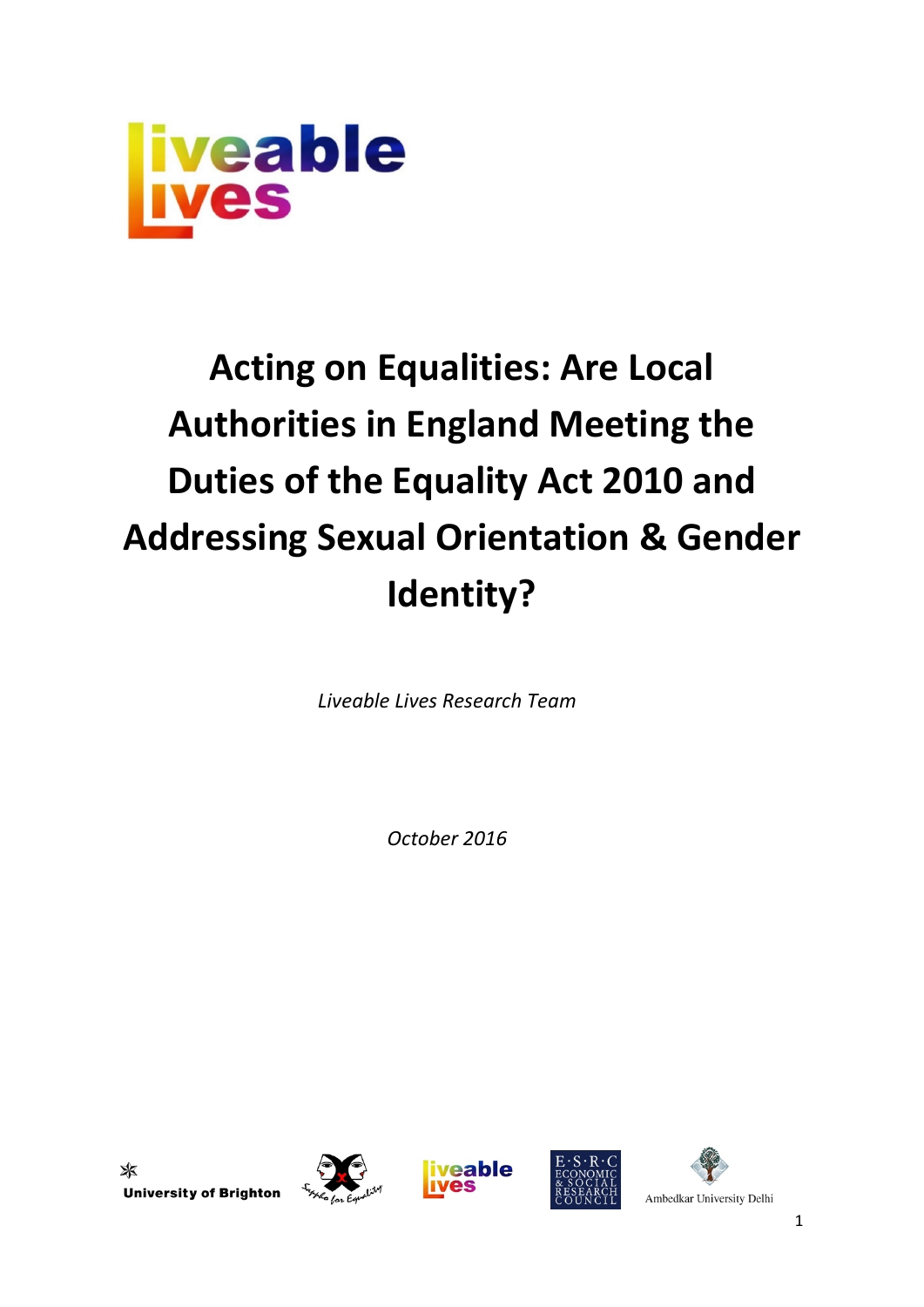

# **Acting on Equalities: Are Local Authorities in England Meeting the Duties of the Equality Act 2010 and Addressing Sexual Orientation & Gender Identity?**

*Liveable Lives Research Team*

*October 2016*

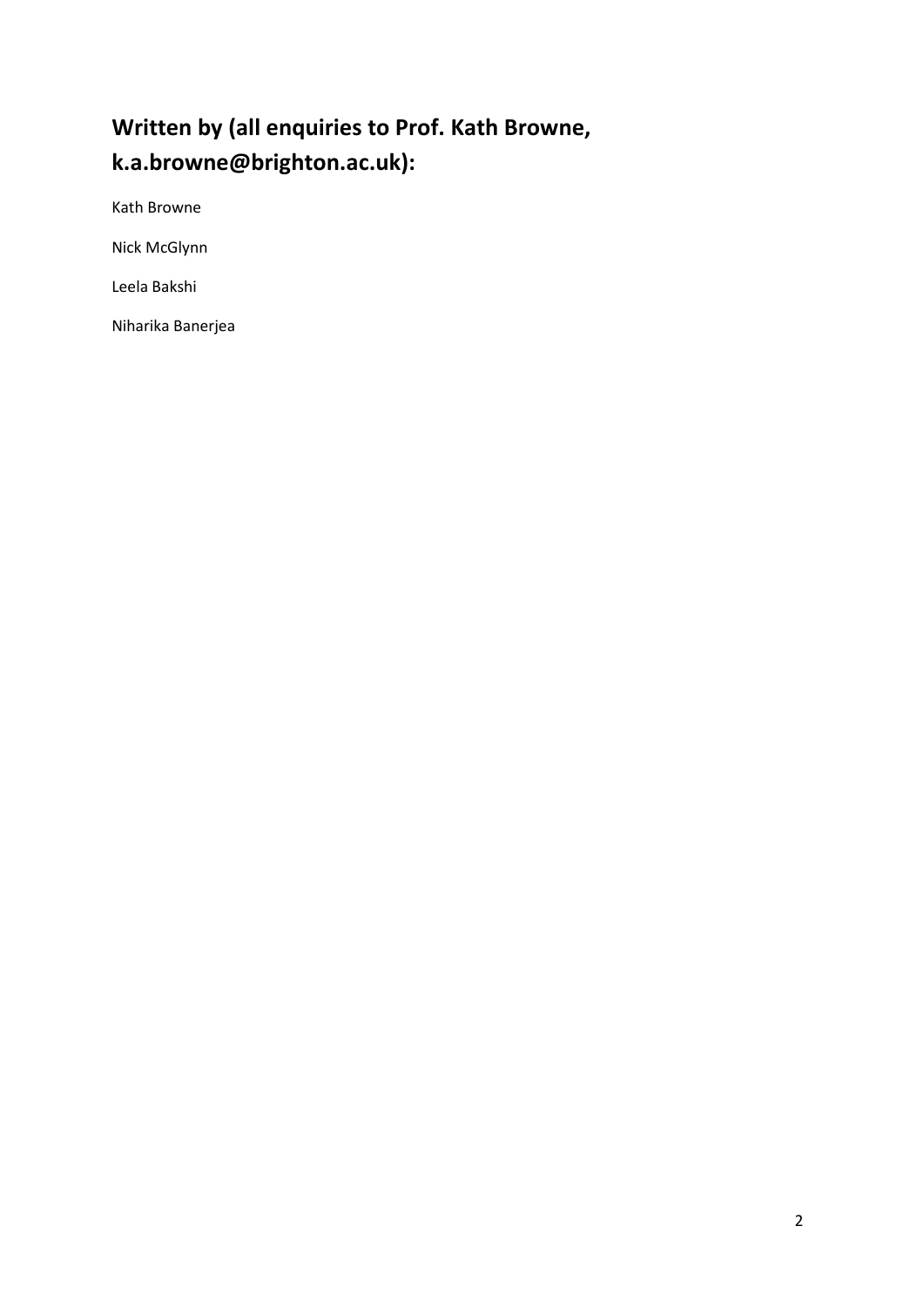# **Written by (all enquiries to Prof. Kath Browne, k.a.browne@brighton.ac.uk):**

Kath Browne

Nick McGlynn

Leela Bakshi

Niharika Banerjea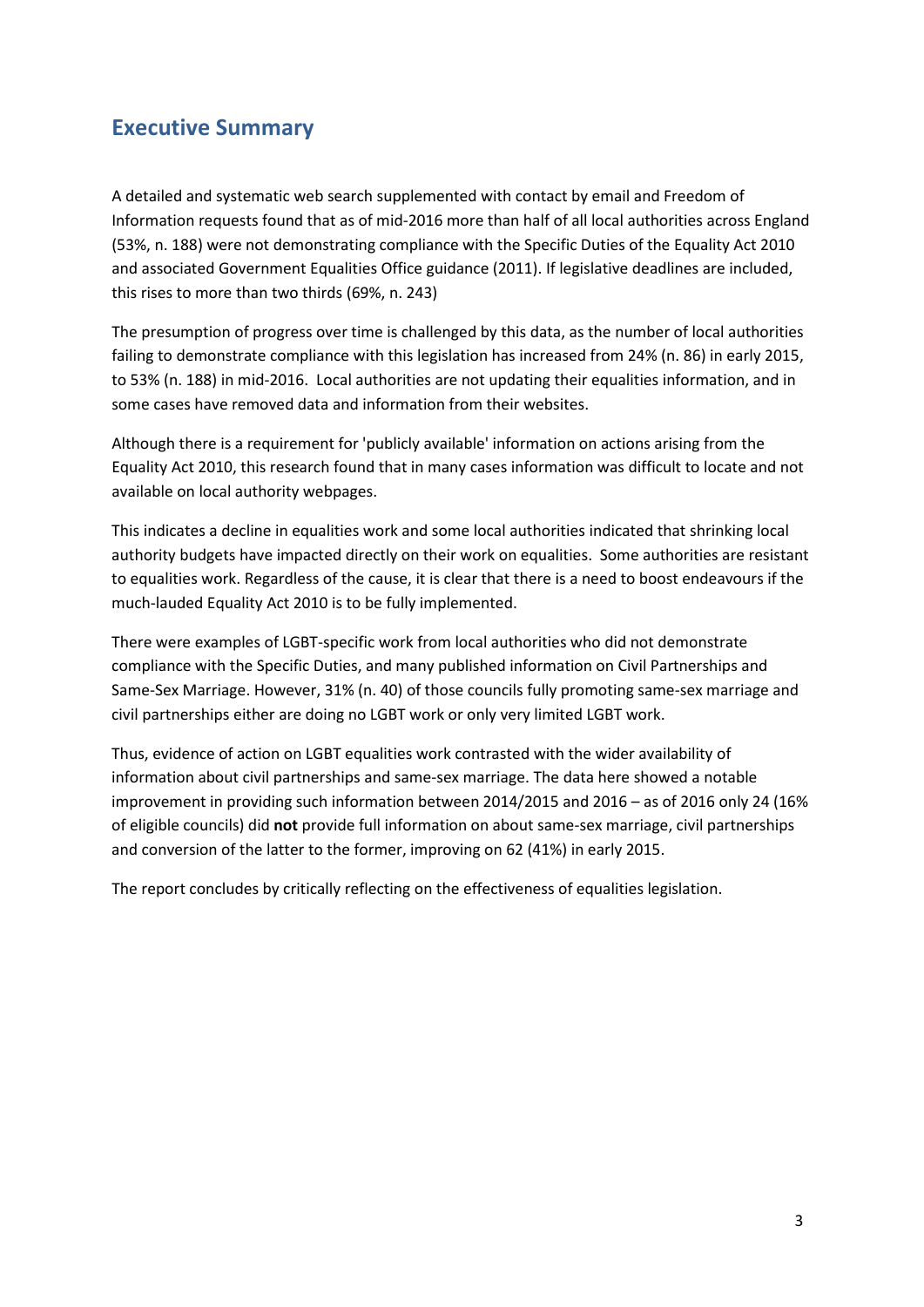# <span id="page-2-0"></span>**Executive Summary**

A detailed and systematic web search supplemented with contact by email and Freedom of Information requests found that as of mid-2016 more than half of all local authorities across England (53%, n. 188) were not demonstrating compliance with the Specific Duties of the Equality Act 2010 and associated Government Equalities Office guidance (2011). If legislative deadlines are included, this rises to more than two thirds (69%, n. 243)

The presumption of progress over time is challenged by this data, as the number of local authorities failing to demonstrate compliance with this legislation has increased from 24% (n. 86) in early 2015, to 53% (n. 188) in mid-2016. Local authorities are not updating their equalities information, and in some cases have removed data and information from their websites.

Although there is a requirement for 'publicly available' information on actions arising from the Equality Act 2010, this research found that in many cases information was difficult to locate and not available on local authority webpages.

This indicates a decline in equalities work and some local authorities indicated that shrinking local authority budgets have impacted directly on their work on equalities. Some authorities are resistant to equalities work. Regardless of the cause, it is clear that there is a need to boost endeavours if the much-lauded Equality Act 2010 is to be fully implemented.

There were examples of LGBT-specific work from local authorities who did not demonstrate compliance with the Specific Duties, and many published information on Civil Partnerships and Same-Sex Marriage. However, 31% (n. 40) of those councils fully promoting same-sex marriage and civil partnerships either are doing no LGBT work or only very limited LGBT work.

Thus, evidence of action on LGBT equalities work contrasted with the wider availability of information about civil partnerships and same-sex marriage. The data here showed a notable improvement in providing such information between 2014/2015 and 2016 – as of 2016 only 24 (16% of eligible councils) did **not** provide full information on about same-sex marriage, civil partnerships and conversion of the latter to the former, improving on 62 (41%) in early 2015.

The report concludes by critically reflecting on the effectiveness of equalities legislation.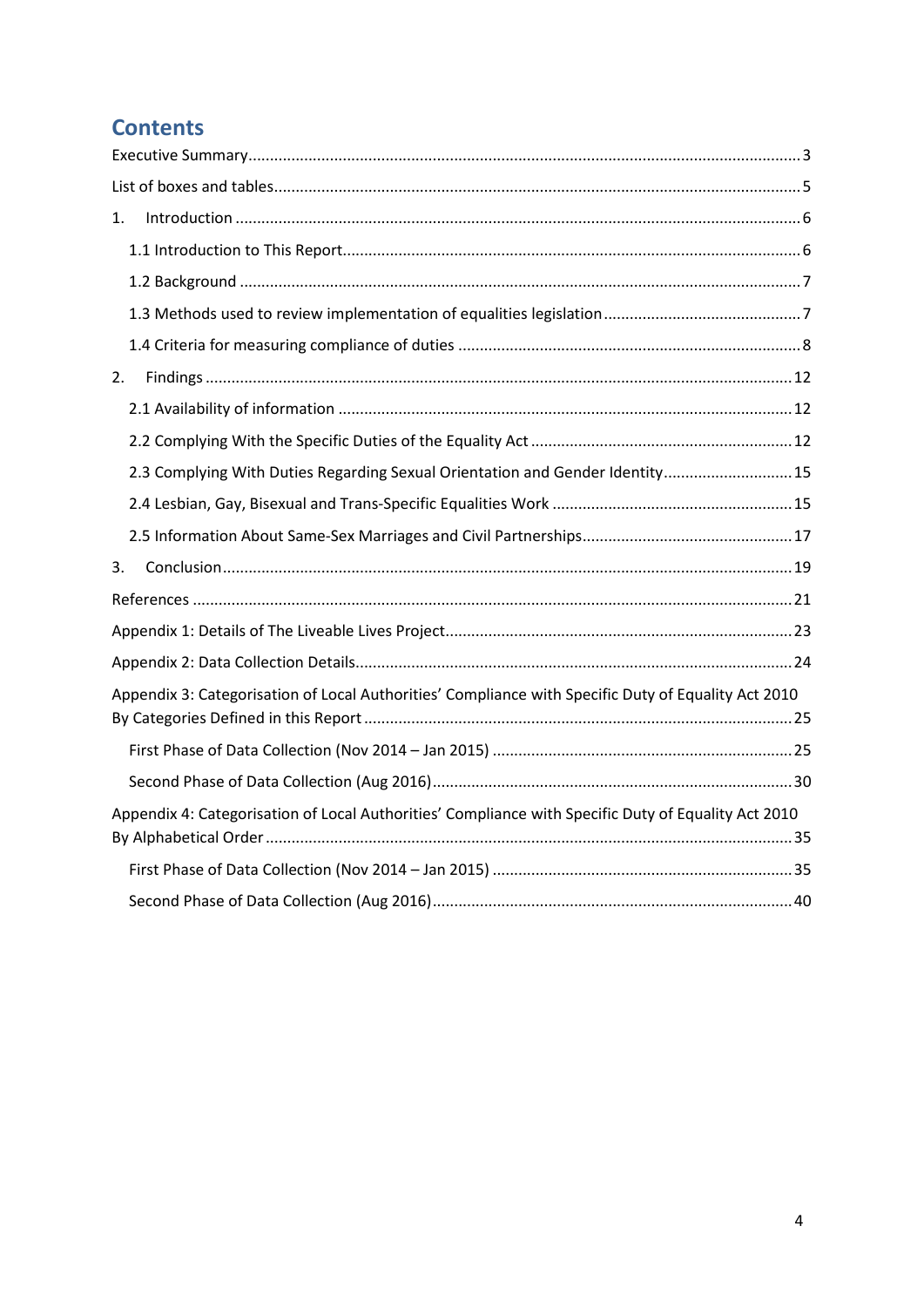# **Contents**

| 1.                                                                                                  |  |
|-----------------------------------------------------------------------------------------------------|--|
|                                                                                                     |  |
|                                                                                                     |  |
|                                                                                                     |  |
|                                                                                                     |  |
| 2.                                                                                                  |  |
|                                                                                                     |  |
|                                                                                                     |  |
| 2.3 Complying With Duties Regarding Sexual Orientation and Gender Identity 15                       |  |
|                                                                                                     |  |
|                                                                                                     |  |
| 3.                                                                                                  |  |
|                                                                                                     |  |
|                                                                                                     |  |
|                                                                                                     |  |
| Appendix 3: Categorisation of Local Authorities' Compliance with Specific Duty of Equality Act 2010 |  |
|                                                                                                     |  |
|                                                                                                     |  |
| Appendix 4: Categorisation of Local Authorities' Compliance with Specific Duty of Equality Act 2010 |  |
|                                                                                                     |  |
|                                                                                                     |  |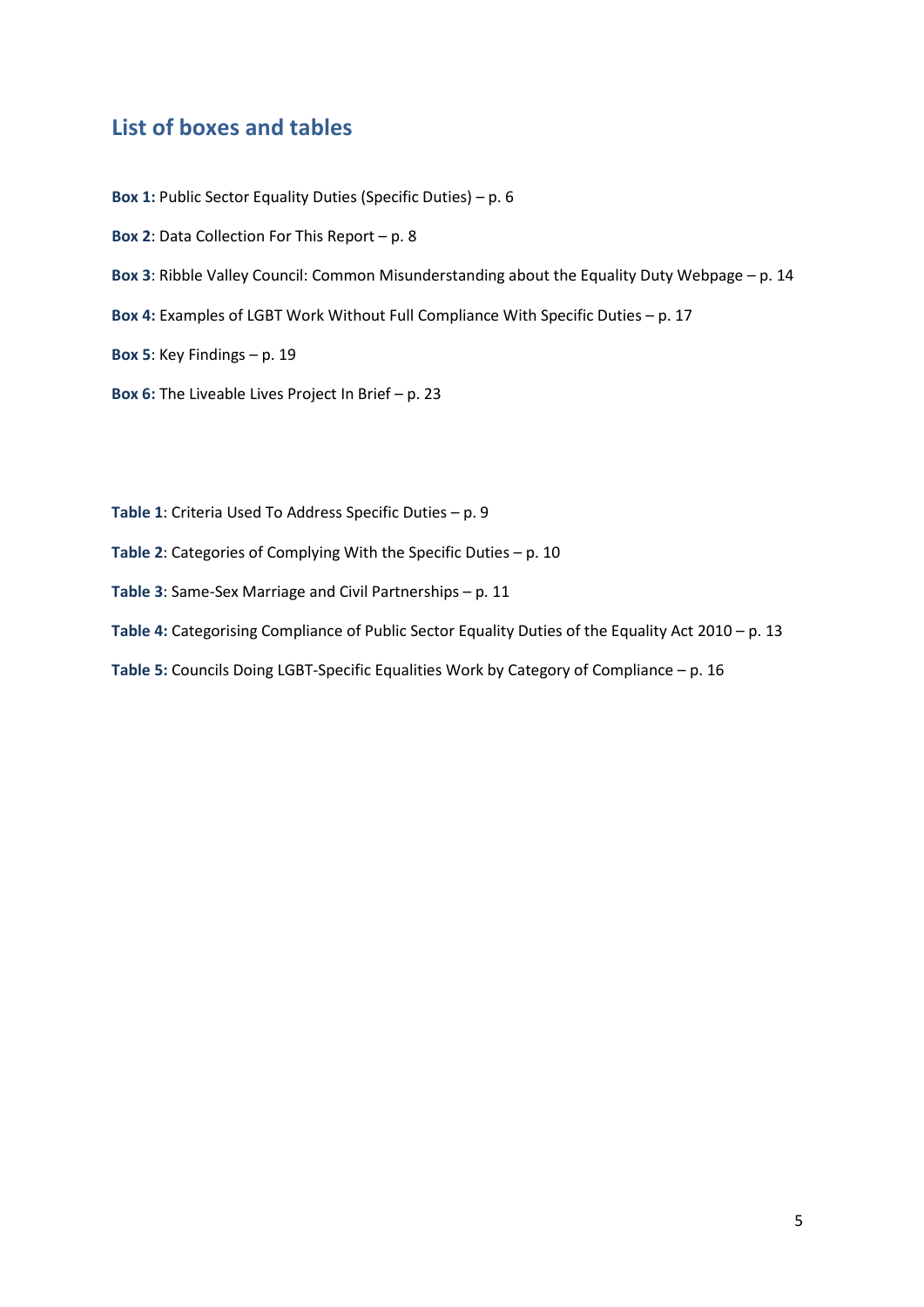## <span id="page-4-0"></span>**List of boxes and tables**

**Box 1:** Public Sector Equality Duties (Specific Duties) – p. 6

**Box 2**: Data Collection For This Report – p. 8

**Box 3**: Ribble Valley Council: Common Misunderstanding about the Equality Duty Webpage – p. 14

**Box 4:** Examples of LGBT Work Without Full Compliance With Specific Duties – p. 17

**Box 5**: Key Findings – p. 19

**Box 6:** The Liveable Lives Project In Brief – p. 23

**Table 1**: Criteria Used To Address Specific Duties – p. 9

**Table 2**: Categories of Complying With the Specific Duties – p. 10

**Table 3**: Same-Sex Marriage and Civil Partnerships – p. 11

**Table 4:** Categorising Compliance of Public Sector Equality Duties of the Equality Act 2010 – p. 13

**Table 5:** Councils Doing LGBT-Specific Equalities Work by Category of Compliance – p. 16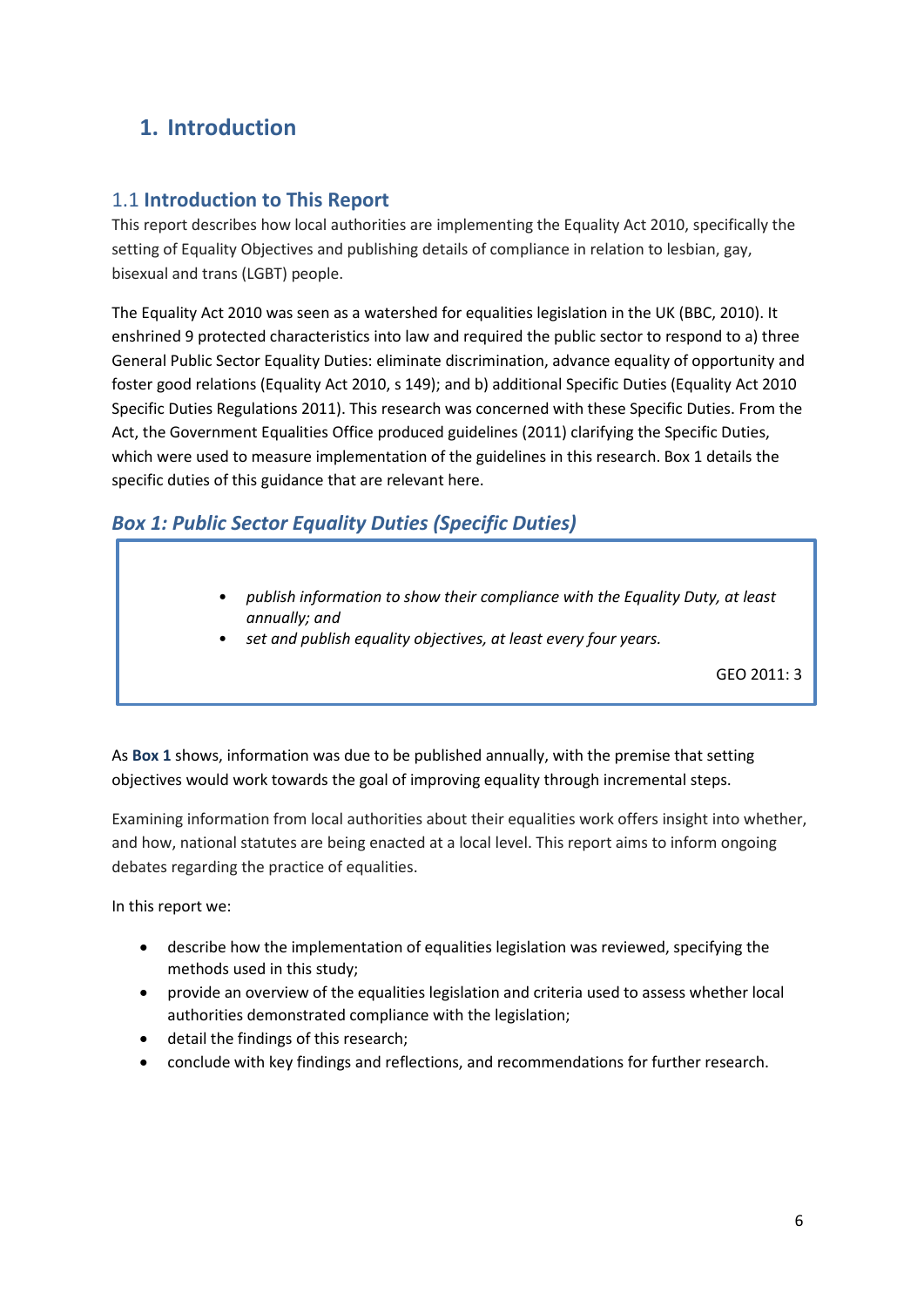# <span id="page-5-0"></span>**1. Introduction**

#### <span id="page-5-1"></span>1.1 **Introduction to This Report**

This report describes how local authorities are implementing the Equality Act 2010, specifically the setting of Equality Objectives and publishing details of compliance in relation to lesbian, gay, bisexual and trans (LGBT) people.

The Equality Act 2010 was seen as a watershed for equalities legislation in the UK (BBC, 2010). It enshrined 9 protected characteristics into law and required the public sector to respond to a) three General Public Sector Equality Duties: eliminate discrimination, advance equality of opportunity and foster good relations (Equality Act 2010, s 149); and b) additional Specific Duties (Equality Act 2010 Specific Duties Regulations 2011). This research was concerned with these Specific Duties. From the Act, the Government Equalities Office produced guidelines (2011) clarifying the Specific Duties, which were used to measure implementation of the guidelines in this research. Box 1 details the specific duties of this guidance that are relevant here.

## *Box 1: Public Sector Equality Duties (Specific Duties)*

- *publish information to show their compliance with the Equality Duty, at least annually; and*
- *set and publish equality objectives, at least every four years.*

GEO 2011: 3

As **Box 1** shows, information was due to be published annually, with the premise that setting objectives would work towards the goal of improving equality through incremental steps.

Examining information from local authorities about their equalities work offers insight into whether, and how, national statutes are being enacted at a local level. This report aims to inform ongoing debates regarding the practice of equalities.

In this report we:

- describe how the implementation of equalities legislation was reviewed, specifying the methods used in this study;
- provide an overview of the equalities legislation and criteria used to assess whether local authorities demonstrated compliance with the legislation;
- detail the findings of this research;
- conclude with key findings and reflections, and recommendations for further research.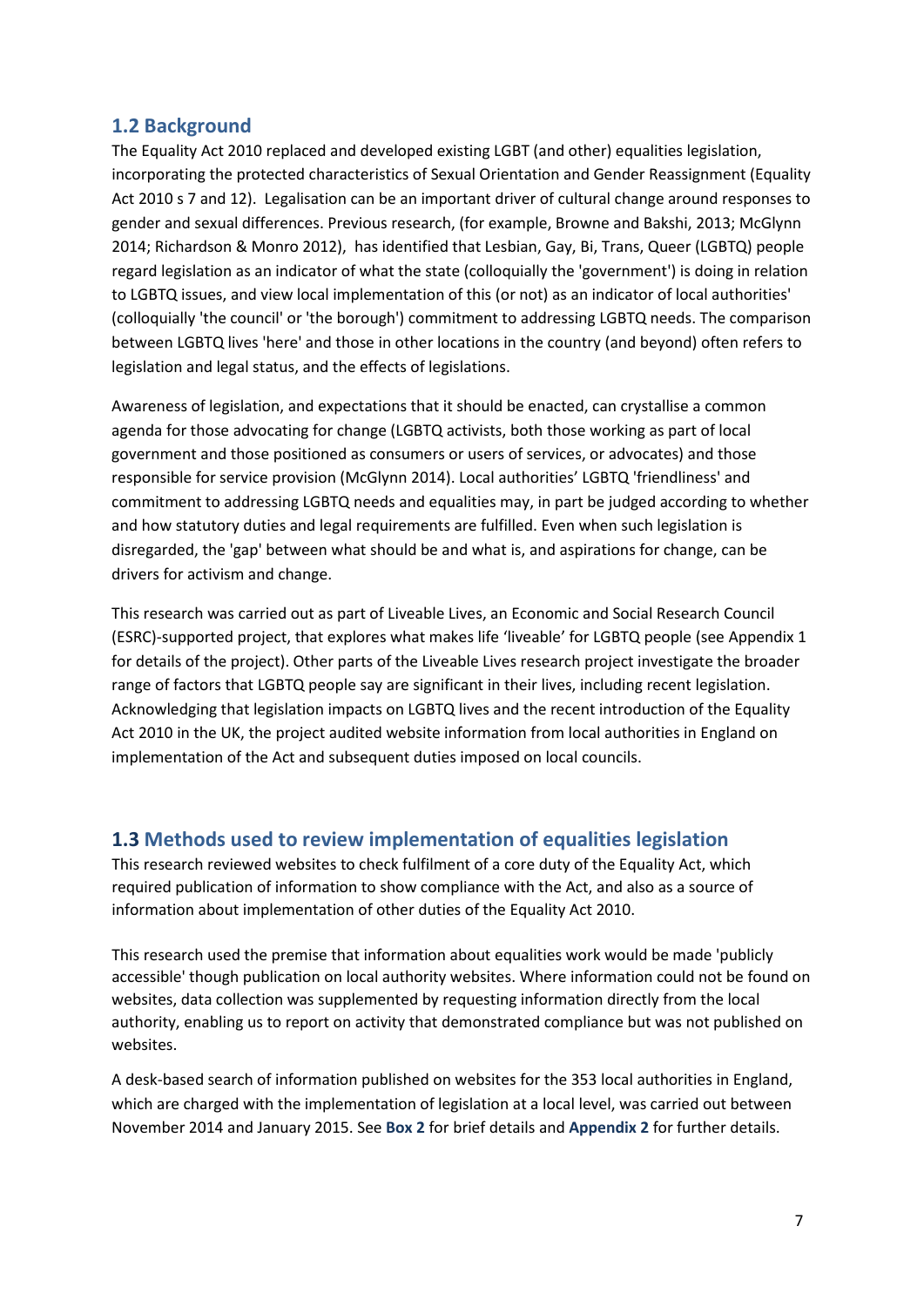#### <span id="page-6-0"></span>**1.2 Background**

The Equality Act 2010 replaced and developed existing LGBT (and other) equalities legislation, incorporating the protected characteristics of Sexual Orientation and Gender Reassignment (Equality Act 2010 s 7 and 12). Legalisation can be an important driver of cultural change around responses to gender and sexual differences. Previous research, (for example, Browne and Bakshi, 2013; McGlynn 2014; Richardson & Monro 2012), has identified that Lesbian, Gay, Bi, Trans, Queer (LGBTQ) people regard legislation as an indicator of what the state (colloquially the 'government') is doing in relation to LGBTQ issues, and view local implementation of this (or not) as an indicator of local authorities' (colloquially 'the council' or 'the borough') commitment to addressing LGBTQ needs. The comparison between LGBTQ lives 'here' and those in other locations in the country (and beyond) often refers to legislation and legal status, and the effects of legislations.

Awareness of legislation, and expectations that it should be enacted, can crystallise a common agenda for those advocating for change (LGBTQ activists, both those working as part of local government and those positioned as consumers or users of services, or advocates) and those responsible for service provision (McGlynn 2014). Local authorities' LGBTQ 'friendliness' and commitment to addressing LGBTQ needs and equalities may, in part be judged according to whether and how statutory duties and legal requirements are fulfilled. Even when such legislation is disregarded, the 'gap' between what should be and what is, and aspirations for change, can be drivers for activism and change.

This research was carried out as part of Liveable Lives, an Economic and Social Research Council (ESRC)-supported project, that explores what makes life 'liveable' for LGBTQ people (see Appendix 1 for details of the project). Other parts of the Liveable Lives research project investigate the broader range of factors that LGBTQ people say are significant in their lives, including recent legislation. Acknowledging that legislation impacts on LGBTQ lives and the recent introduction of the Equality Act 2010 in the UK, the project audited website information from local authorities in England on implementation of the Act and subsequent duties imposed on local councils.

#### <span id="page-6-1"></span>**1.3 Methods used to review implementation of equalities legislation**

This research reviewed websites to check fulfilment of a core duty of the Equality Act, which required publication of information to show compliance with the Act, and also as a source of information about implementation of other duties of the Equality Act 2010.

This research used the premise that information about equalities work would be made 'publicly accessible' though publication on local authority websites. Where information could not be found on websites, data collection was supplemented by requesting information directly from the local authority, enabling us to report on activity that demonstrated compliance but was not published on websites.

A desk-based search of information published on websites for the 353 local authorities in England, which are charged with the implementation of legislation at a local level, was carried out between November 2014 and January 2015. See **Box 2** for brief details and **Appendix 2** for further details.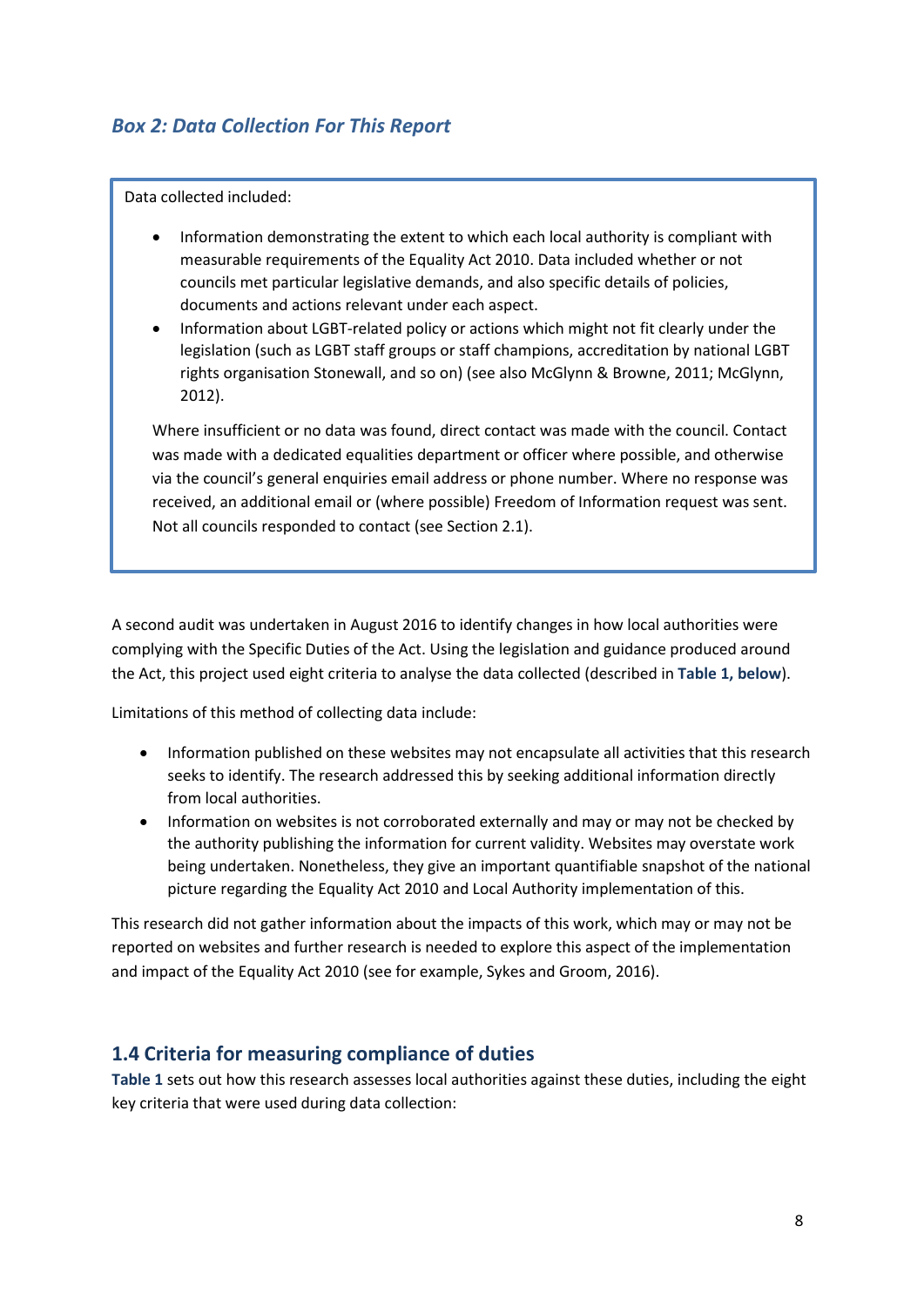#### *Box 2: Data Collection For This Report*

Data collected included:

- Information demonstrating the extent to which each local authority is compliant with measurable requirements of the Equality Act 2010. Data included whether or not councils met particular legislative demands, and also specific details of policies, documents and actions relevant under each aspect.
- Information about LGBT-related policy or actions which might not fit clearly under the legislation (such as LGBT staff groups or staff champions, accreditation by national LGBT rights organisation Stonewall, and so on) (see also McGlynn & Browne, 2011; McGlynn, 2012).

Where insufficient or no data was found, direct contact was made with the council. Contact was made with a dedicated equalities department or officer where possible, and otherwise via the council's general enquiries email address or phone number. Where no response was received, an additional email or (where possible) Freedom of Information request was sent. Not all councils responded to contact (see Section 2.1).

A second audit was undertaken in August 2016 to identify changes in how local authorities were complying with the Specific Duties of the Act. Using the legislation and guidance produced around the Act, this project used eight criteria to analyse the data collected (described in **Table 1, below**).

Limitations of this method of collecting data include:

- Information published on these websites may not encapsulate all activities that this research seeks to identify. The research addressed this by seeking additional information directly from local authorities.
- Information on websites is not corroborated externally and may or may not be checked by the authority publishing the information for current validity. Websites may overstate work being undertaken. Nonetheless, they give an important quantifiable snapshot of the national picture regarding the Equality Act 2010 and Local Authority implementation of this.

This research did not gather information about the impacts of this work, which may or may not be reported on websites and further research is needed to explore this aspect of the implementation and impact of the Equality Act 2010 (see for example, Sykes and Groom, 2016).

#### <span id="page-7-0"></span>**1.4 Criteria for measuring compliance of duties**

**Table 1** sets out how this research assesses local authorities against these duties, including the eight key criteria that were used during data collection: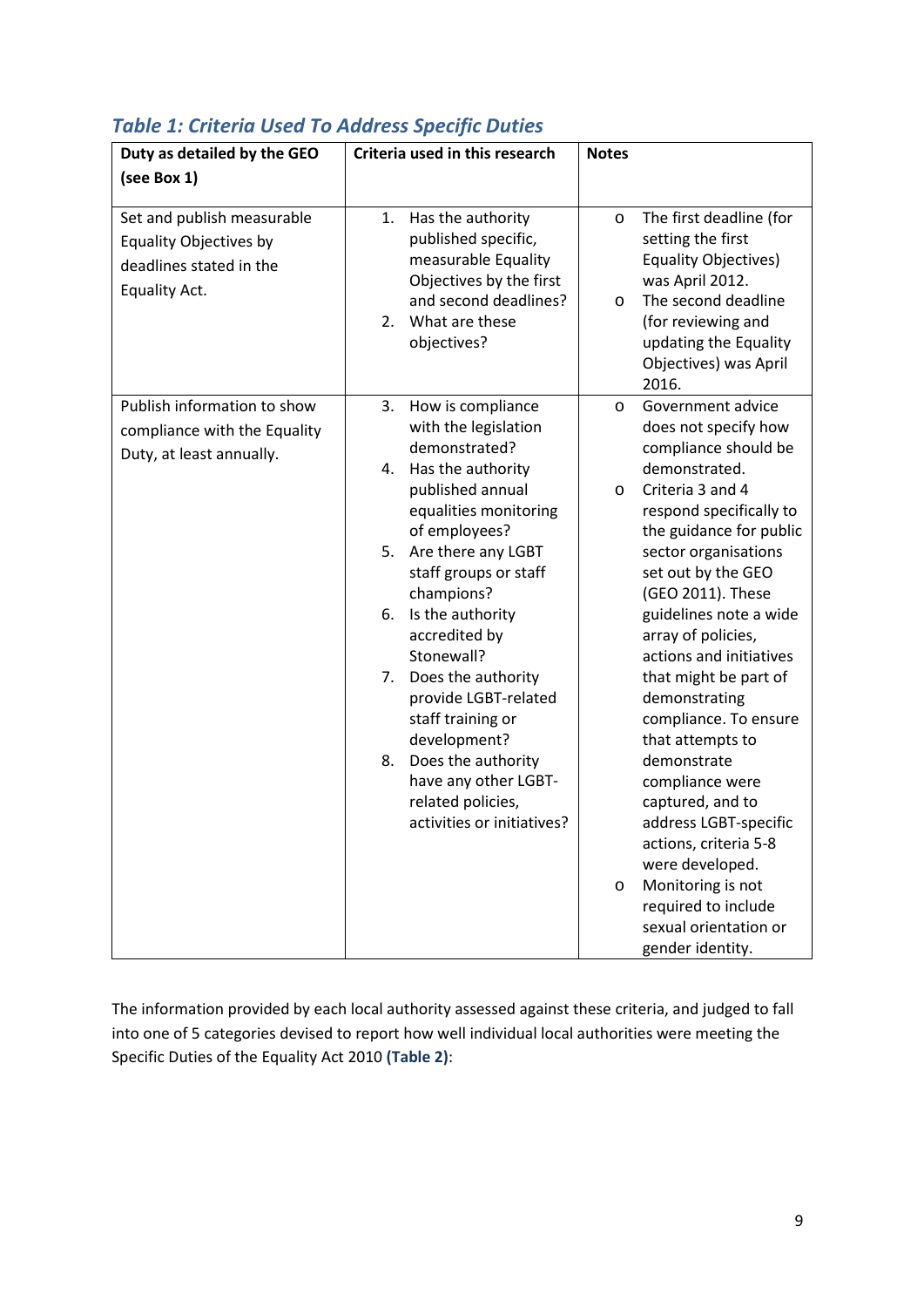| Duty as detailed by the GEO   | Criteria used in this research          | <b>Notes</b>                                   |
|-------------------------------|-----------------------------------------|------------------------------------------------|
| (see Box 1)                   |                                         |                                                |
|                               |                                         |                                                |
| Set and publish measurable    | Has the authority<br>1.                 | The first deadline (for<br>$\circ$             |
| <b>Equality Objectives by</b> | published specific,                     | setting the first                              |
| deadlines stated in the       | measurable Equality                     | <b>Equality Objectives)</b>                    |
| Equality Act.                 | Objectives by the first                 | was April 2012.                                |
|                               | and second deadlines?<br>What are these | The second deadline<br>O                       |
|                               | 2.                                      | (for reviewing and                             |
|                               | objectives?                             | updating the Equality<br>Objectives) was April |
|                               |                                         | 2016.                                          |
| Publish information to show   | 3.<br>How is compliance                 | Government advice<br>O                         |
| compliance with the Equality  | with the legislation                    | does not specify how                           |
| Duty, at least annually.      | demonstrated?                           | compliance should be                           |
|                               | Has the authority<br>4.                 | demonstrated.                                  |
|                               | published annual                        | Criteria 3 and 4<br>O                          |
|                               | equalities monitoring                   | respond specifically to                        |
|                               | of employees?                           | the guidance for public                        |
|                               | 5.<br>Are there any LGBT                | sector organisations                           |
|                               | staff groups or staff                   | set out by the GEO                             |
|                               | champions?                              | (GEO 2011). These                              |
|                               | Is the authority<br>6.                  | guidelines note a wide                         |
|                               | accredited by                           | array of policies,                             |
|                               | Stonewall?                              | actions and initiatives                        |
|                               | Does the authority<br>7.                | that might be part of                          |
|                               | provide LGBT-related                    | demonstrating                                  |
|                               | staff training or<br>development?       | compliance. To ensure<br>that attempts to      |
|                               | Does the authority<br>8.                | demonstrate                                    |
|                               | have any other LGBT-                    | compliance were                                |
|                               | related policies,                       | captured, and to                               |
|                               | activities or initiatives?              | address LGBT-specific                          |
|                               |                                         | actions, criteria 5-8                          |
|                               |                                         | were developed.                                |
|                               |                                         | Monitoring is not<br>O                         |
|                               |                                         | required to include                            |
|                               |                                         | sexual orientation or                          |
|                               |                                         | gender identity.                               |

# *Table 1: Criteria Used To Address Specific Duties*

The information provided by each local authority assessed against these criteria, and judged to fall into one of 5 categories devised to report how well individual local authorities were meeting the Specific Duties of the Equality Act 2010 **(Table 2)**: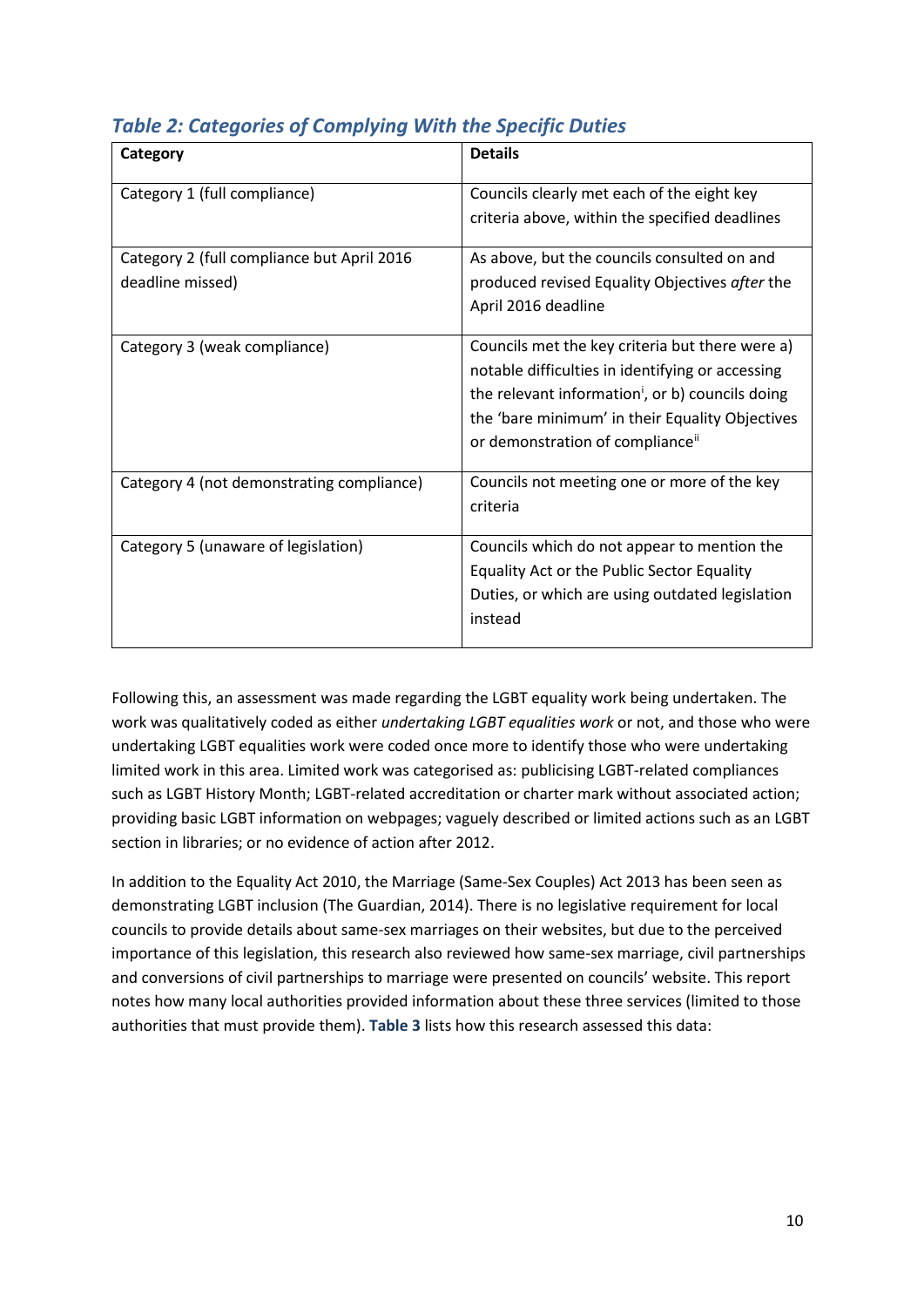| Category                                   | <b>Details</b>                                               |
|--------------------------------------------|--------------------------------------------------------------|
| Category 1 (full compliance)               | Councils clearly met each of the eight key                   |
|                                            | criteria above, within the specified deadlines               |
| Category 2 (full compliance but April 2016 | As above, but the councils consulted on and                  |
| deadline missed)                           | produced revised Equality Objectives after the               |
|                                            | April 2016 deadline                                          |
| Category 3 (weak compliance)               | Councils met the key criteria but there were a)              |
|                                            | notable difficulties in identifying or accessing             |
|                                            | the relevant information <sup>i</sup> , or b) councils doing |
|                                            | the 'bare minimum' in their Equality Objectives              |
|                                            | or demonstration of compliance <sup>ii</sup>                 |
| Category 4 (not demonstrating compliance)  | Councils not meeting one or more of the key                  |
|                                            | criteria                                                     |
| Category 5 (unaware of legislation)        | Councils which do not appear to mention the                  |
|                                            | Equality Act or the Public Sector Equality                   |
|                                            | Duties, or which are using outdated legislation              |
|                                            | instead                                                      |
|                                            |                                                              |

# *Table 2: Categories of Complying With the Specific Duties*

Following this, an assessment was made regarding the LGBT equality work being undertaken. The work was qualitatively coded as either *undertaking LGBT equalities work* or not, and those who were undertaking LGBT equalities work were coded once more to identify those who were undertaking limited work in this area. Limited work was categorised as: publicising LGBT-related compliances such as LGBT History Month; LGBT-related accreditation or charter mark without associated action; providing basic LGBT information on webpages; vaguely described or limited actions such as an LGBT section in libraries; or no evidence of action after 2012.

In addition to the Equality Act 2010, the Marriage (Same-Sex Couples) Act 2013 has been seen as demonstrating LGBT inclusion (The Guardian, 2014). There is no legislative requirement for local councils to provide details about same-sex marriages on their websites, but due to the perceived importance of this legislation, this research also reviewed how same-sex marriage, civil partnerships and conversions of civil partnerships to marriage were presented on councils' website. This report notes how many local authorities provided information about these three services (limited to those authorities that must provide them). **Table 3** lists how this research assessed this data: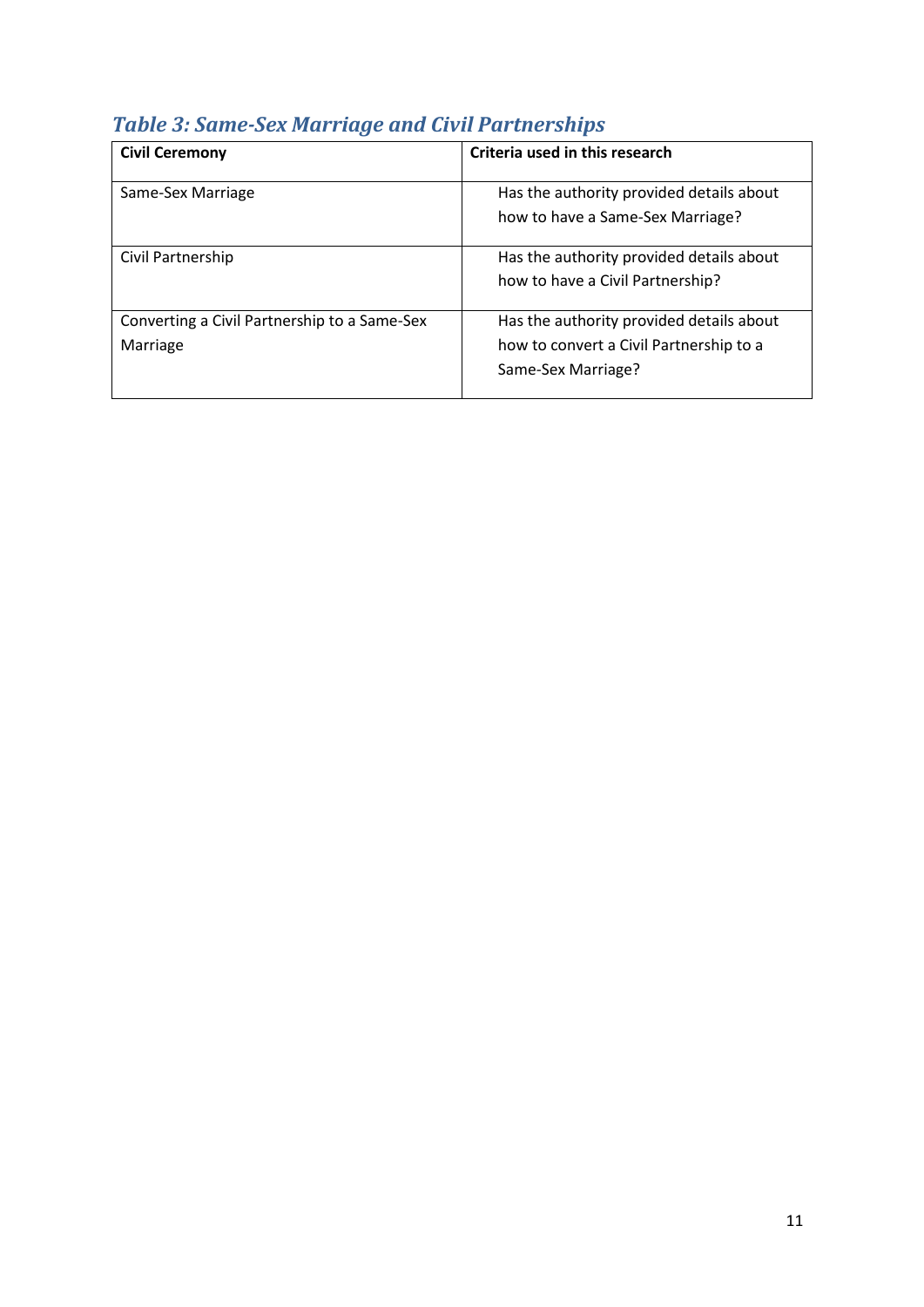|  |  | <b>Table 3: Same-Sex Marriage and Civil Partnerships</b> |
|--|--|----------------------------------------------------------|
|  |  |                                                          |

| <b>Civil Ceremony</b>                                    | Criteria used in this research                                                                            |
|----------------------------------------------------------|-----------------------------------------------------------------------------------------------------------|
| Same-Sex Marriage                                        | Has the authority provided details about<br>how to have a Same-Sex Marriage?                              |
| Civil Partnership                                        | Has the authority provided details about<br>how to have a Civil Partnership?                              |
| Converting a Civil Partnership to a Same-Sex<br>Marriage | Has the authority provided details about<br>how to convert a Civil Partnership to a<br>Same-Sex Marriage? |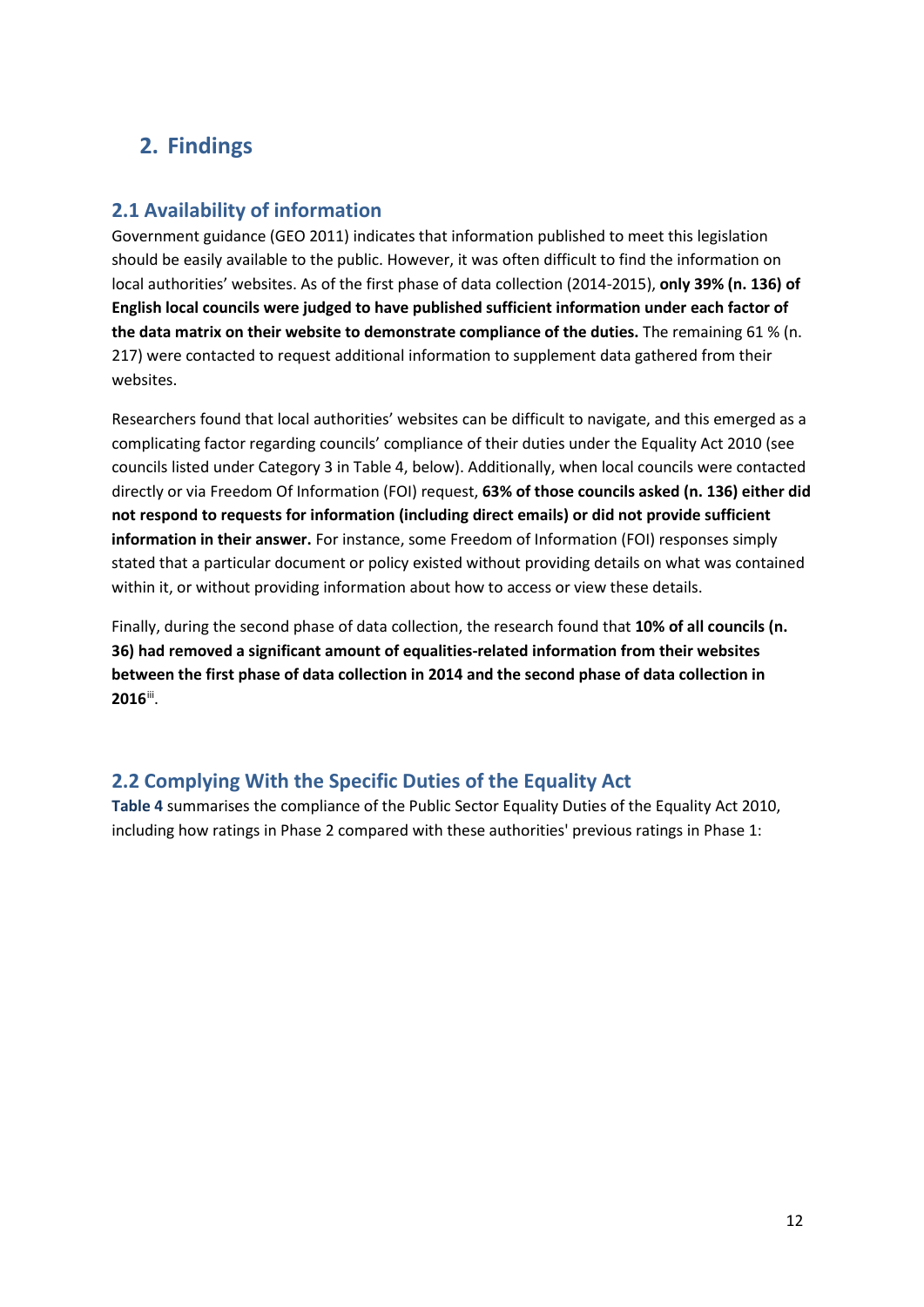# <span id="page-11-0"></span>**2. Findings**

#### <span id="page-11-1"></span>**2.1 Availability of information**

Government guidance (GEO 2011) indicates that information published to meet this legislation should be easily available to the public. However, it was often difficult to find the information on local authorities' websites. As of the first phase of data collection (2014-2015), **only 39% (n. 136) of English local councils were judged to have published sufficient information under each factor of the data matrix on their website to demonstrate compliance of the duties.** The remaining 61 % (n. 217) were contacted to request additional information to supplement data gathered from their websites.

Researchers found that local authorities' websites can be difficult to navigate, and this emerged as a complicating factor regarding councils' compliance of their duties under the Equality Act 2010 (see councils listed under Category 3 in Table 4, below). Additionally, when local councils were contacted directly or via Freedom Of Information (FOI) request, **63% of those councils asked (n. 136) either did not respond to requests for information (including direct emails) or did not provide sufficient information in their answer.** For instance, some Freedom of Information (FOI) responses simply stated that a particular document or policy existed without providing details on what was contained within it, or without providing information about how to access or view these details.

Finally, during the second phase of data collection, the research found that **10% of all councils (n. 36) had removed a significant amount of equalities-related information from their websites between the first phase of data collection in 2014 and the second phase of data collection in 2016**[iii](#page-45-2).

#### <span id="page-11-2"></span>**2.2 Complying With the Specific Duties of the Equality Act**

**Table 4** summarises the compliance of the Public Sector Equality Duties of the Equality Act 2010, including how ratings in Phase 2 compared with these authorities' previous ratings in Phase 1: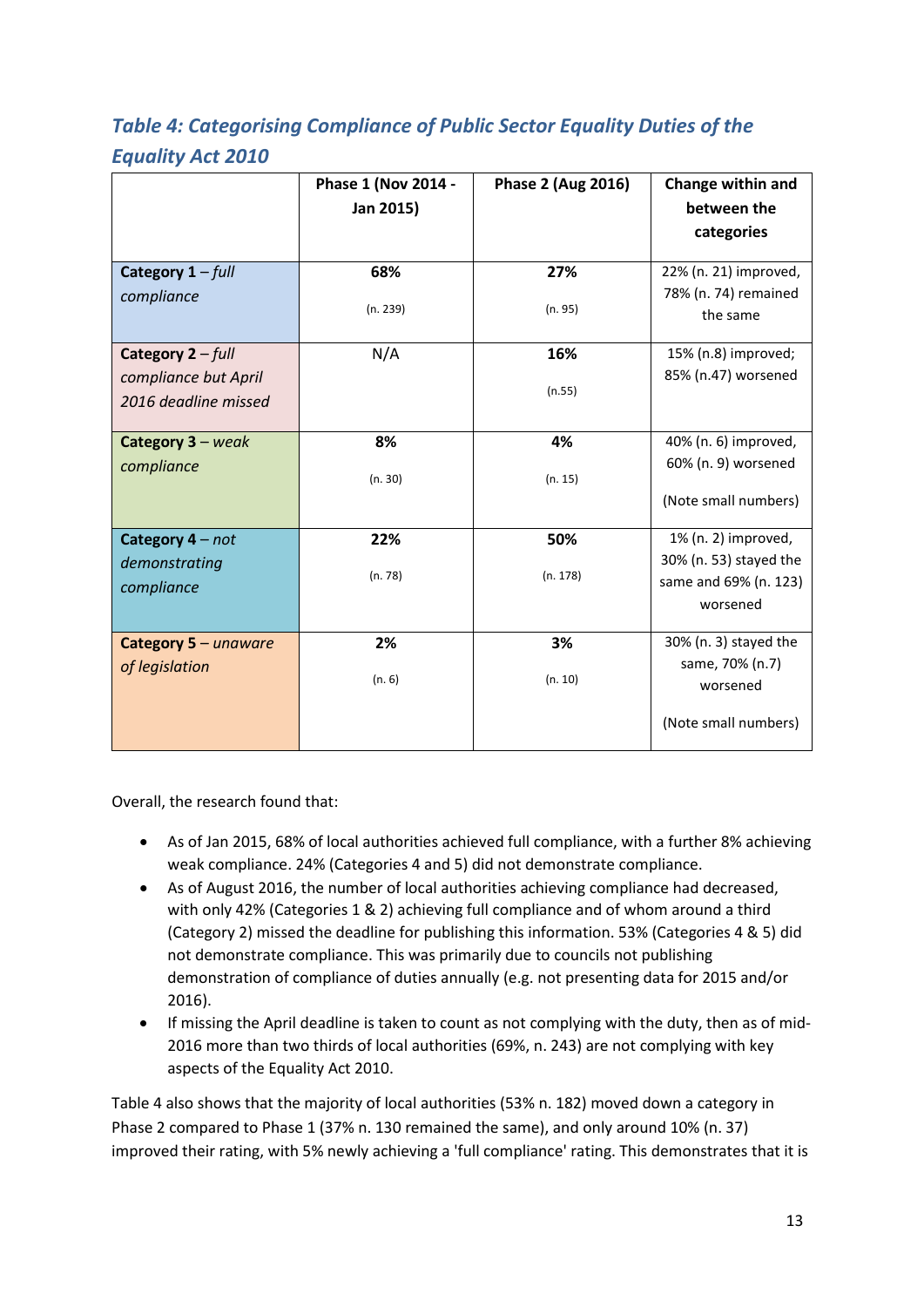# *Table 4: Categorising Compliance of Public Sector Equality Duties of the Equality Act 2010*

|                      | Phase 1 (Nov 2014 - | Phase 2 (Aug 2016) | Change within and      |
|----------------------|---------------------|--------------------|------------------------|
|                      | Jan 2015)           |                    | between the            |
|                      |                     |                    | categories             |
|                      |                     |                    |                        |
| Category $1 - full$  | 68%                 | 27%                | 22% (n. 21) improved,  |
| compliance           |                     |                    | 78% (n. 74) remained   |
|                      | (n. 239)            | (n. 95)            | the same               |
| Category $2 - full$  | N/A                 | 16%                | 15% (n.8) improved;    |
| compliance but April |                     |                    | 85% (n.47) worsened    |
| 2016 deadline missed |                     | (n.55)             |                        |
|                      |                     |                    |                        |
| Category 3 - weak    | 8%                  | 4%                 | 40% (n. 6) improved,   |
| compliance           |                     |                    | 60% (n. 9) worsened    |
|                      | (n. 30)             | (n. 15)            |                        |
|                      |                     |                    | (Note small numbers)   |
| Category $4 - not$   | 22%                 | 50%                | 1% (n. 2) improved,    |
| demonstrating        |                     |                    | 30% (n. 53) stayed the |
| compliance           | (n. 78)             | (n. 178)           | same and 69% (n. 123)  |
|                      |                     |                    | worsened               |
|                      |                     |                    |                        |
| Category 5 - unaware | 2%                  | 3%                 | 30% (n. 3) stayed the  |
| of legislation       | (n. 6)              | (n. 10)            | same, 70% (n.7)        |
|                      |                     |                    | worsened               |
|                      |                     |                    | (Note small numbers)   |

Overall, the research found that:

- As of Jan 2015, 68% of local authorities achieved full compliance, with a further 8% achieving weak compliance. 24% (Categories 4 and 5) did not demonstrate compliance.
- As of August 2016, the number of local authorities achieving compliance had decreased, with only 42% (Categories 1 & 2) achieving full compliance and of whom around a third (Category 2) missed the deadline for publishing this information. 53% (Categories 4 & 5) did not demonstrate compliance. This was primarily due to councils not publishing demonstration of compliance of duties annually (e.g. not presenting data for 2015 and/or 2016).
- If missing the April deadline is taken to count as not complying with the duty, then as of mid-2016 more than two thirds of local authorities (69%, n. 243) are not complying with key aspects of the Equality Act 2010.

Table 4 also shows that the majority of local authorities (53% n. 182) moved down a category in Phase 2 compared to Phase 1 (37% n. 130 remained the same), and only around 10% (n. 37) improved their rating, with 5% newly achieving a 'full compliance' rating. This demonstrates that it is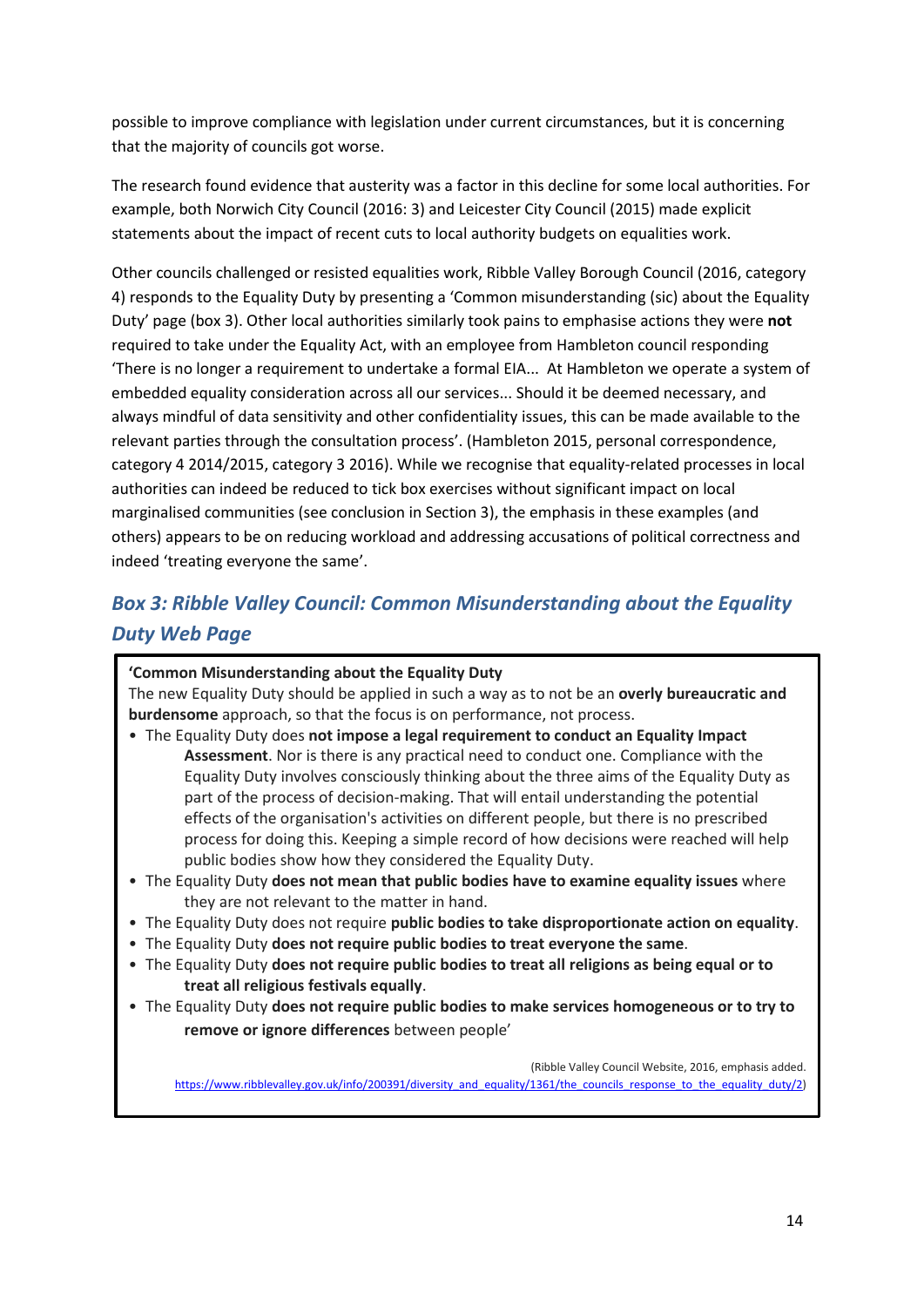possible to improve compliance with legislation under current circumstances, but it is concerning that the majority of councils got worse.

The research found evidence that austerity was a factor in this decline for some local authorities. For example, both Norwich City Council (2016: 3) and Leicester City Council (2015) made explicit statements about the impact of recent cuts to local authority budgets on equalities work.

Other councils challenged or resisted equalities work, Ribble Valley Borough Council (2016, category 4) responds to the Equality Duty by presenting a 'Common misunderstanding (sic) about the Equality Duty' page (box 3). Other local authorities similarly took pains to emphasise actions they were **not**  required to take under the Equality Act, with an employee from Hambleton council responding 'There is no longer a requirement to undertake a formal EIA... At Hambleton we operate a system of embedded equality consideration across all our services... Should it be deemed necessary, and always mindful of data sensitivity and other confidentiality issues, this can be made available to the relevant parties through the consultation process'. (Hambleton 2015, personal correspondence, category 4 2014/2015, category 3 2016). While we recognise that equality-related processes in local authorities can indeed be reduced to tick box exercises without significant impact on local marginalised communities (see conclusion in Section 3), the emphasis in these examples (and others) appears to be on reducing workload and addressing accusations of political correctness and indeed 'treating everyone the same'.

# *Box 3: Ribble Valley Council: Common Misunderstanding about the Equality Duty Web Page*

#### **'Common Misunderstanding about the Equality Duty**

The new Equality Duty should be applied in such a way as to not be an **overly bureaucratic and burdensome** approach, so that the focus is on performance, not process.

- The Equality Duty does **not impose a legal requirement to conduct an Equality Impact Assessment**. Nor is there is any practical need to conduct one. Compliance with the Equality Duty involves consciously thinking about the three aims of the Equality Duty as part of the process of decision-making. That will entail understanding the potential effects of the organisation's activities on different people, but there is no prescribed process for doing this. Keeping a simple record of how decisions were reached will help public bodies show how they considered the Equality Duty.
- The Equality Duty **does not mean that public bodies have to examine equality issues** where they are not relevant to the matter in hand.
- The Equality Duty does not require **public bodies to take disproportionate action on equality**.
- The Equality Duty **does not require public bodies to treat everyone the same**.
- The Equality Duty **does not require public bodies to treat all religions as being equal or to treat all religious festivals equally**.
- The Equality Duty **does not require public bodies to make services homogeneous or to try to**

**remove or ignore differences** between people'

(Ribble Valley Council Website, 2016, emphasis added. [https://www.ribblevalley.gov.uk/info/200391/diversity\\_and\\_equality/1361/the\\_councils\\_response\\_to\\_the\\_equality\\_duty/2\)](https://www.ribblevalley.gov.uk/info/200391/diversity_and_equality/1361/the_councils_response_to_the_equality_duty/2)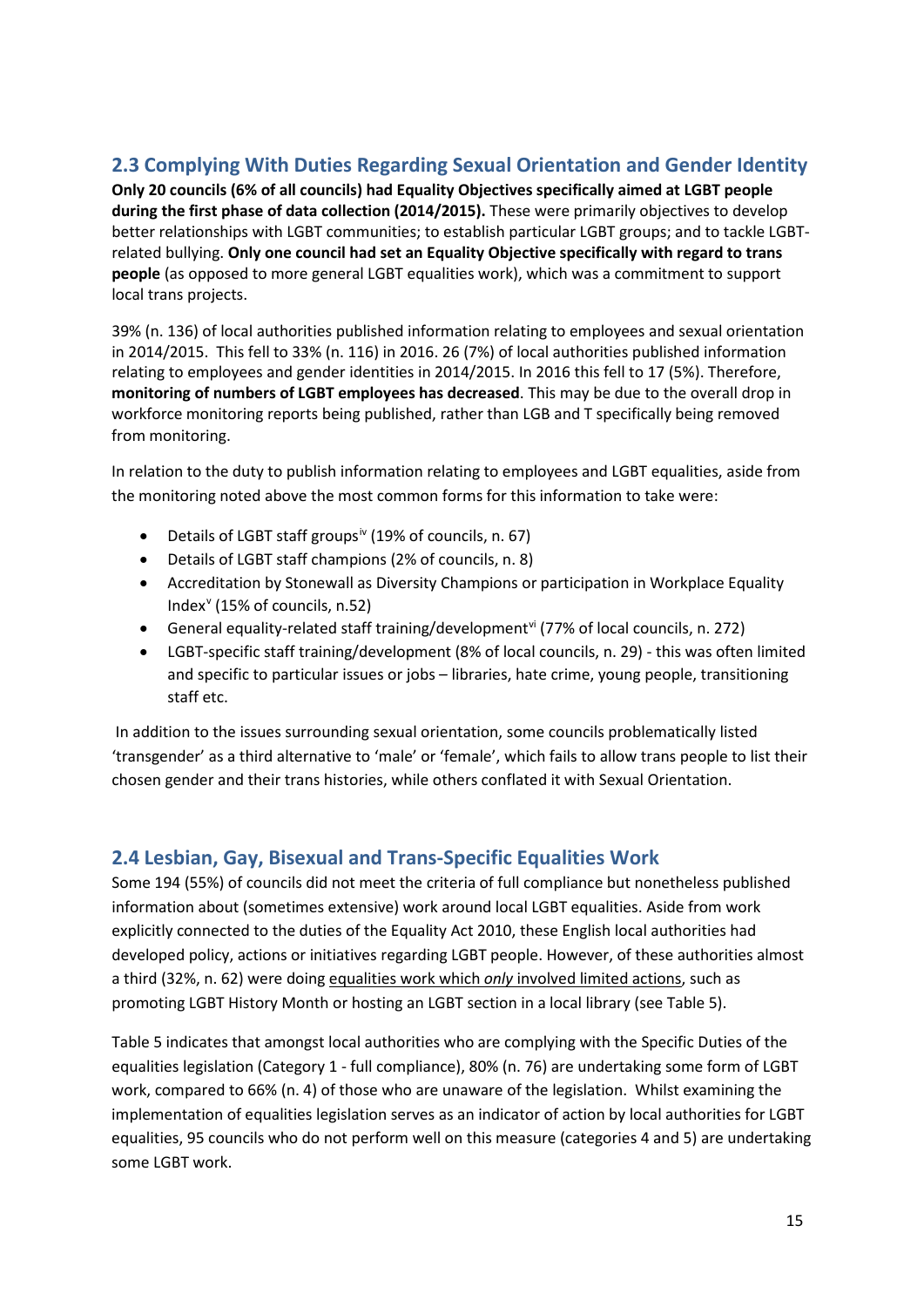#### <span id="page-14-0"></span>**2.3 Complying With Duties Regarding Sexual Orientation and Gender Identity**

**Only 20 councils (6% of all councils) had Equality Objectives specifically aimed at LGBT people during the first phase of data collection (2014/2015).** These were primarily objectives to develop better relationships with LGBT communities; to establish particular LGBT groups; and to tackle LGBTrelated bullying. **Only one council had set an Equality Objective specifically with regard to trans people** (as opposed to more general LGBT equalities work), which was a commitment to support local trans projects.

39% (n. 136) of local authorities published information relating to employees and sexual orientation in 2014/2015. This fell to 33% (n. 116) in 2016. 26 (7%) of local authorities published information relating to employees and gender identities in 2014/2015. In 2016 this fell to 17 (5%). Therefore, **monitoring of numbers of LGBT employees has decreased**. This may be due to the overall drop in workforce monitoring reports being published, rather than LGB and T specifically being removed from monitoring.

In relation to the duty to publish information relating to employees and LGBT equalities, aside from the monitoring noted above the most common forms for this information to take were:

- Details of LGBT staff groups<sup>[iv](#page-45-3)</sup> (19% of councils, n. 67)
- Details of LGBT staff champions (2% of councils, n. 8)
- Accreditation by Stonewall as Diversity Champions or participation in Workplace Equality Index[v](#page-45-4) (15% of councils, n.52)
- General equality-related staff training/development<sup>[vi](#page-45-5)</sup> (77% of local councils, n. 272)
- LGBT-specific staff training/development (8% of local councils, n. 29) this was often limited and specific to particular issues or jobs – libraries, hate crime, young people, transitioning staff etc.

In addition to the issues surrounding sexual orientation, some councils problematically listed 'transgender' as a third alternative to 'male' or 'female', which fails to allow trans people to list their chosen gender and their trans histories, while others conflated it with Sexual Orientation.

#### <span id="page-14-1"></span>**2.4 Lesbian, Gay, Bisexual and Trans-Specific Equalities Work**

Some 194 (55%) of councils did not meet the criteria of full compliance but nonetheless published information about (sometimes extensive) work around local LGBT equalities. Aside from work explicitly connected to the duties of the Equality Act 2010, these English local authorities had developed policy, actions or initiatives regarding LGBT people. However, of these authorities almost a third (32%, n. 62) were doing equalities work which *only* involved limited actions, such as promoting LGBT History Month or hosting an LGBT section in a local library (see Table 5).

Table 5 indicates that amongst local authorities who are complying with the Specific Duties of the equalities legislation (Category 1 - full compliance), 80% (n. 76) are undertaking some form of LGBT work, compared to 66% (n. 4) of those who are unaware of the legislation. Whilst examining the implementation of equalities legislation serves as an indicator of action by local authorities for LGBT equalities, 95 councils who do not perform well on this measure (categories 4 and 5) are undertaking some LGBT work.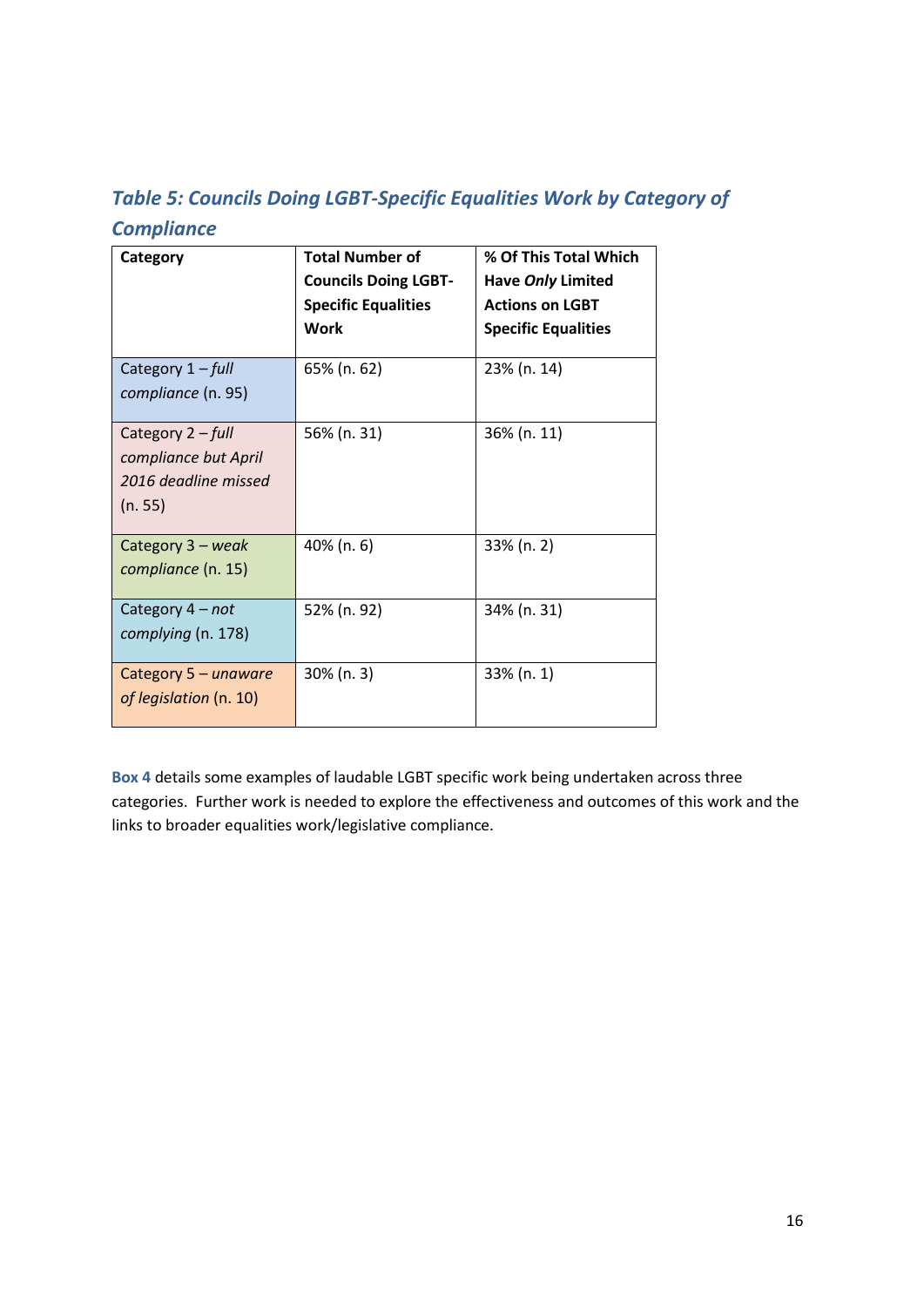# *Table 5: Councils Doing LGBT-Specific Equalities Work by Category of Compliance*

| Category                                                                     | <b>Total Number of</b><br><b>Councils Doing LGBT-</b><br><b>Specific Equalities</b><br><b>Work</b> | % Of This Total Which<br>Have Only Limited<br><b>Actions on LGBT</b><br><b>Specific Equalities</b> |
|------------------------------------------------------------------------------|----------------------------------------------------------------------------------------------------|----------------------------------------------------------------------------------------------------|
| Category 1 - full<br>compliance (n. 95)                                      | 65% (n. 62)                                                                                        | 23% (n. 14)                                                                                        |
| Category 2 - full<br>compliance but April<br>2016 deadline missed<br>(n. 55) | 56% (n. 31)                                                                                        | 36% (n. 11)                                                                                        |
| Category 3 - weak<br>compliance (n. 15)                                      | 40% (n. 6)                                                                                         | 33% (n. 2)                                                                                         |
| Category 4 - not<br>complying (n. 178)                                       | 52% (n. 92)                                                                                        | 34% (n. 31)                                                                                        |
| Category 5 - unaware<br>of legislation (n. 10)                               | 30% (n. 3)                                                                                         | 33% (n. 1)                                                                                         |

**Box 4** details some examples of laudable LGBT specific work being undertaken across three categories. Further work is needed to explore the effectiveness and outcomes of this work and the links to broader equalities work/legislative compliance.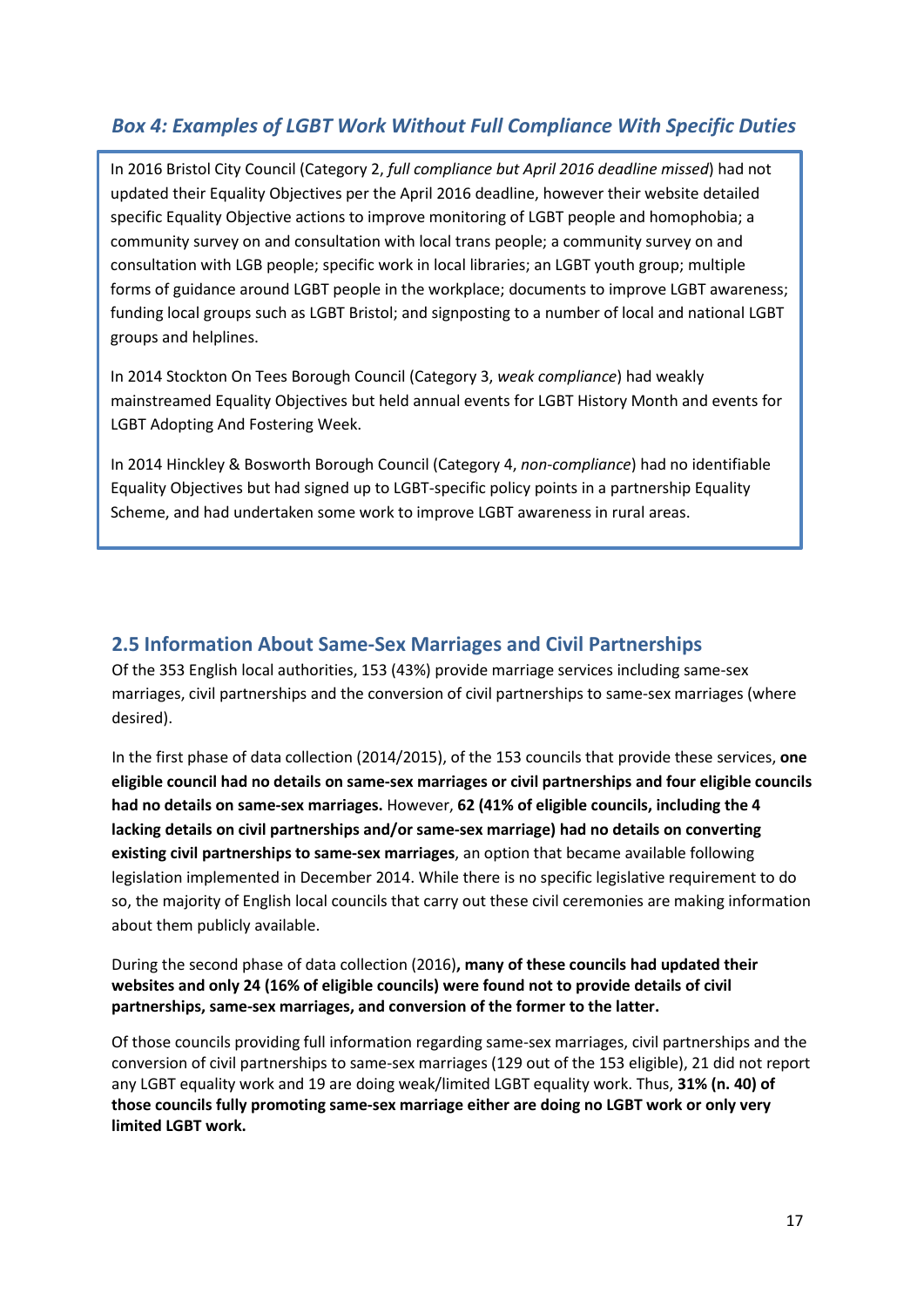#### *Box 4: Examples of LGBT Work Without Full Compliance With Specific Duties*

In 2016 Bristol City Council (Category 2, *full compliance but April 2016 deadline missed*) had not updated their Equality Objectives per the April 2016 deadline, however their website detailed specific Equality Objective actions to improve monitoring of LGBT people and homophobia; a community survey on and consultation with local trans people; a community survey on and consultation with LGB people; specific work in local libraries; an LGBT youth group; multiple forms of guidance around LGBT people in the workplace; documents to improve LGBT awareness; funding local groups such as LGBT Bristol; and signposting to a number of local and national LGBT groups and helplines.

In 2014 Stockton On Tees Borough Council (Category 3, *weak compliance*) had weakly mainstreamed Equality Objectives but held annual events for LGBT History Month and events for LGBT Adopting And Fostering Week.

In 2014 Hinckley & Bosworth Borough Council (Category 4, *non-compliance*) had no identifiable Equality Objectives but had signed up to LGBT-specific policy points in a partnership Equality Scheme, and had undertaken some work to improve LGBT awareness in rural areas.

#### <span id="page-16-0"></span>**2.5 Information About Same-Sex Marriages and Civil Partnerships**

Of the 353 English local authorities, 153 (43%) provide marriage services including same-sex marriages, civil partnerships and the conversion of civil partnerships to same-sex marriages (where desired).

In the first phase of data collection (2014/2015), of the 153 councils that provide these services, **one eligible council had no details on same-sex marriages or civil partnerships and four eligible councils had no details on same-sex marriages.** However, **62 (41% of eligible councils, including the 4 lacking details on civil partnerships and/or same-sex marriage) had no details on converting existing civil partnerships to same-sex marriages**, an option that became available following legislation implemented in December 2014. While there is no specific legislative requirement to do so, the majority of English local councils that carry out these civil ceremonies are making information about them publicly available.

During the second phase of data collection (2016)**, many of these councils had updated their websites and only 24 (16% of eligible councils) were found not to provide details of civil partnerships, same-sex marriages, and conversion of the former to the latter.**

Of those councils providing full information regarding same-sex marriages, civil partnerships and the conversion of civil partnerships to same-sex marriages (129 out of the 153 eligible), 21 did not report any LGBT equality work and 19 are doing weak/limited LGBT equality work. Thus, **31% (n. 40) of those councils fully promoting same-sex marriage either are doing no LGBT work or only very limited LGBT work.**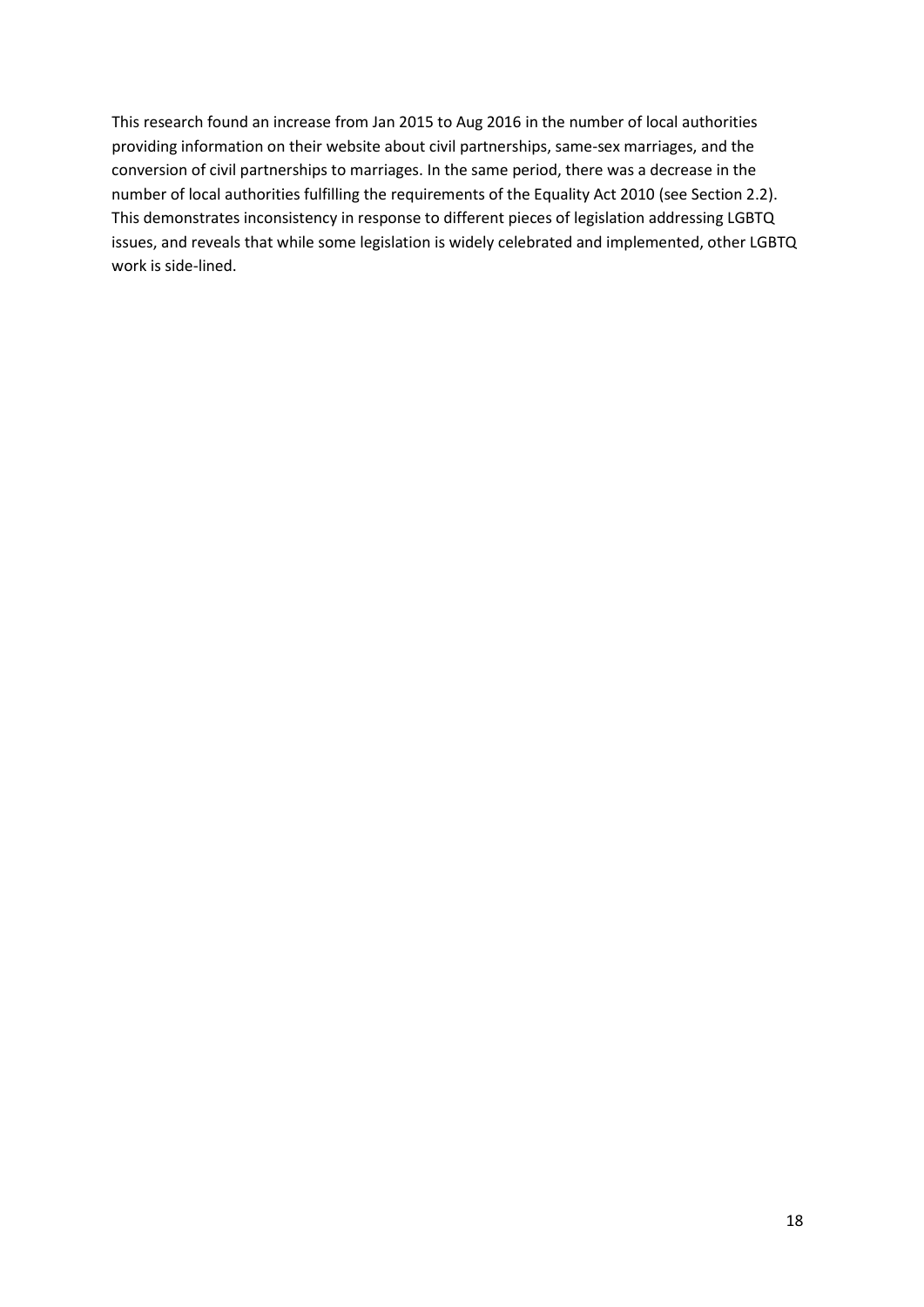This research found an increase from Jan 2015 to Aug 2016 in the number of local authorities providing information on their website about civil partnerships, same-sex marriages, and the conversion of civil partnerships to marriages. In the same period, there was a decrease in the number of local authorities fulfilling the requirements of the Equality Act 2010 (see Section 2.2). This demonstrates inconsistency in response to different pieces of legislation addressing LGBTQ issues, and reveals that while some legislation is widely celebrated and implemented, other LGBTQ work is side-lined.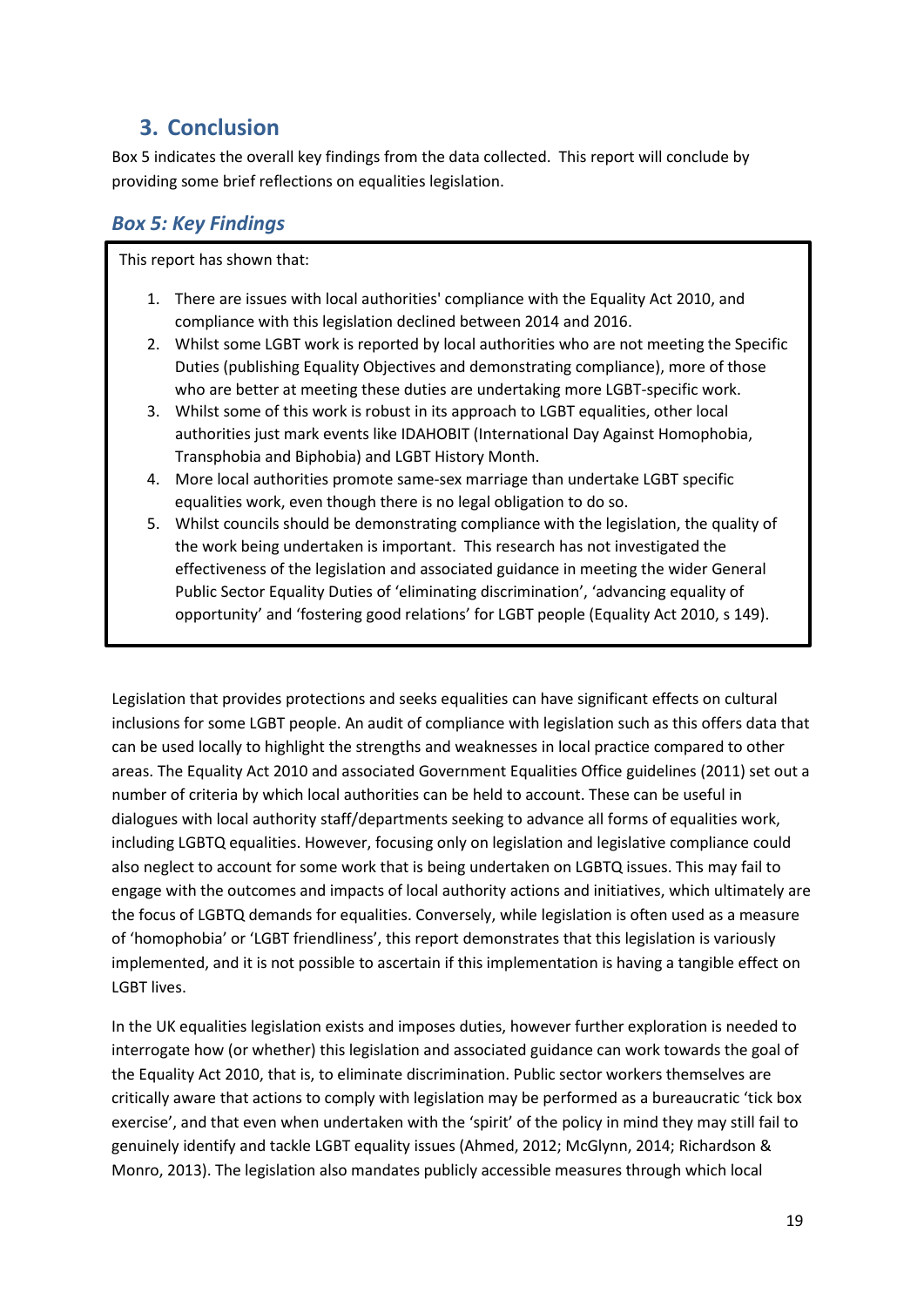# <span id="page-18-0"></span>**3. Conclusion**

Box 5 indicates the overall key findings from the data collected. This report will conclude by providing some brief reflections on equalities legislation.

#### *Box 5: Key Findings*

This report has shown that:

- 1. There are issues with local authorities' compliance with the Equality Act 2010, and compliance with this legislation declined between 2014 and 2016.
- 2. Whilst some LGBT work is reported by local authorities who are not meeting the Specific Duties (publishing Equality Objectives and demonstrating compliance), more of those who are better at meeting these duties are undertaking more LGBT-specific work.
- 3. Whilst some of this work is robust in its approach to LGBT equalities, other local authorities just mark events like IDAHOBIT (International Day Against Homophobia, Transphobia and Biphobia) and LGBT History Month.
- 4. More local authorities promote same-sex marriage than undertake LGBT specific equalities work, even though there is no legal obligation to do so.
- 5. Whilst councils should be demonstrating compliance with the legislation, the quality of the work being undertaken is important. This research has not investigated the effectiveness of the legislation and associated guidance in meeting the wider General Public Sector Equality Duties of 'eliminating discrimination', 'advancing equality of opportunity' and 'fostering good relations' for LGBT people (Equality Act 2010, s 149).

Legislation that provides protections and seeks equalities can have significant effects on cultural inclusions for some LGBT people. An audit of compliance with legislation such as this offers data that can be used locally to highlight the strengths and weaknesses in local practice compared to other areas. The Equality Act 2010 and associated Government Equalities Office guidelines (2011) set out a number of criteria by which local authorities can be held to account. These can be useful in dialogues with local authority staff/departments seeking to advance all forms of equalities work, including LGBTQ equalities. However, focusing only on legislation and legislative compliance could also neglect to account for some work that is being undertaken on LGBTQ issues. This may fail to engage with the outcomes and impacts of local authority actions and initiatives, which ultimately are the focus of LGBTQ demands for equalities. Conversely, while legislation is often used as a measure of 'homophobia' or 'LGBT friendliness', this report demonstrates that this legislation is variously implemented, and it is not possible to ascertain if this implementation is having a tangible effect on LGBT lives.

In the UK equalities legislation exists and imposes duties, however further exploration is needed to interrogate how (or whether) this legislation and associated guidance can work towards the goal of the Equality Act 2010, that is, to eliminate discrimination. Public sector workers themselves are critically aware that actions to comply with legislation may be performed as a bureaucratic 'tick box exercise', and that even when undertaken with the 'spirit' of the policy in mind they may still fail to genuinely identify and tackle LGBT equality issues (Ahmed, 2012; McGlynn, 2014; Richardson & Monro, 2013). The legislation also mandates publicly accessible measures through which local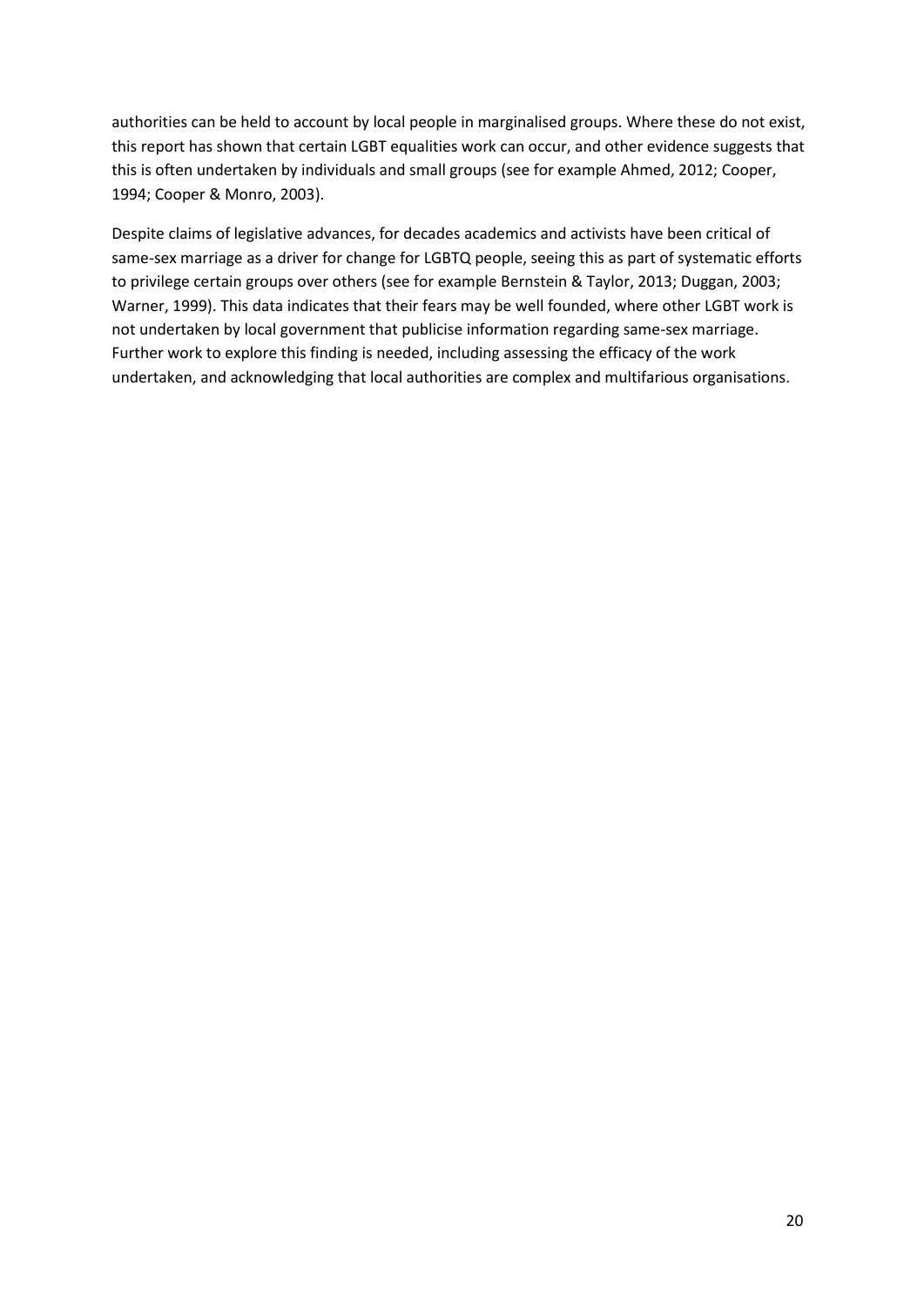authorities can be held to account by local people in marginalised groups. Where these do not exist, this report has shown that certain LGBT equalities work can occur, and other evidence suggests that this is often undertaken by individuals and small groups (see for example Ahmed, 2012; Cooper, 1994; Cooper & Monro, 2003).

Despite claims of legislative advances, for decades academics and activists have been critical of same-sex marriage as a driver for change for LGBTQ people, seeing this as part of systematic efforts to privilege certain groups over others (see for example Bernstein & Taylor, 2013; Duggan, 2003; Warner, 1999). This data indicates that their fears may be well founded, where other LGBT work is not undertaken by local government that publicise information regarding same-sex marriage. Further work to explore this finding is needed, including assessing the efficacy of the work undertaken, and acknowledging that local authorities are complex and multifarious organisations.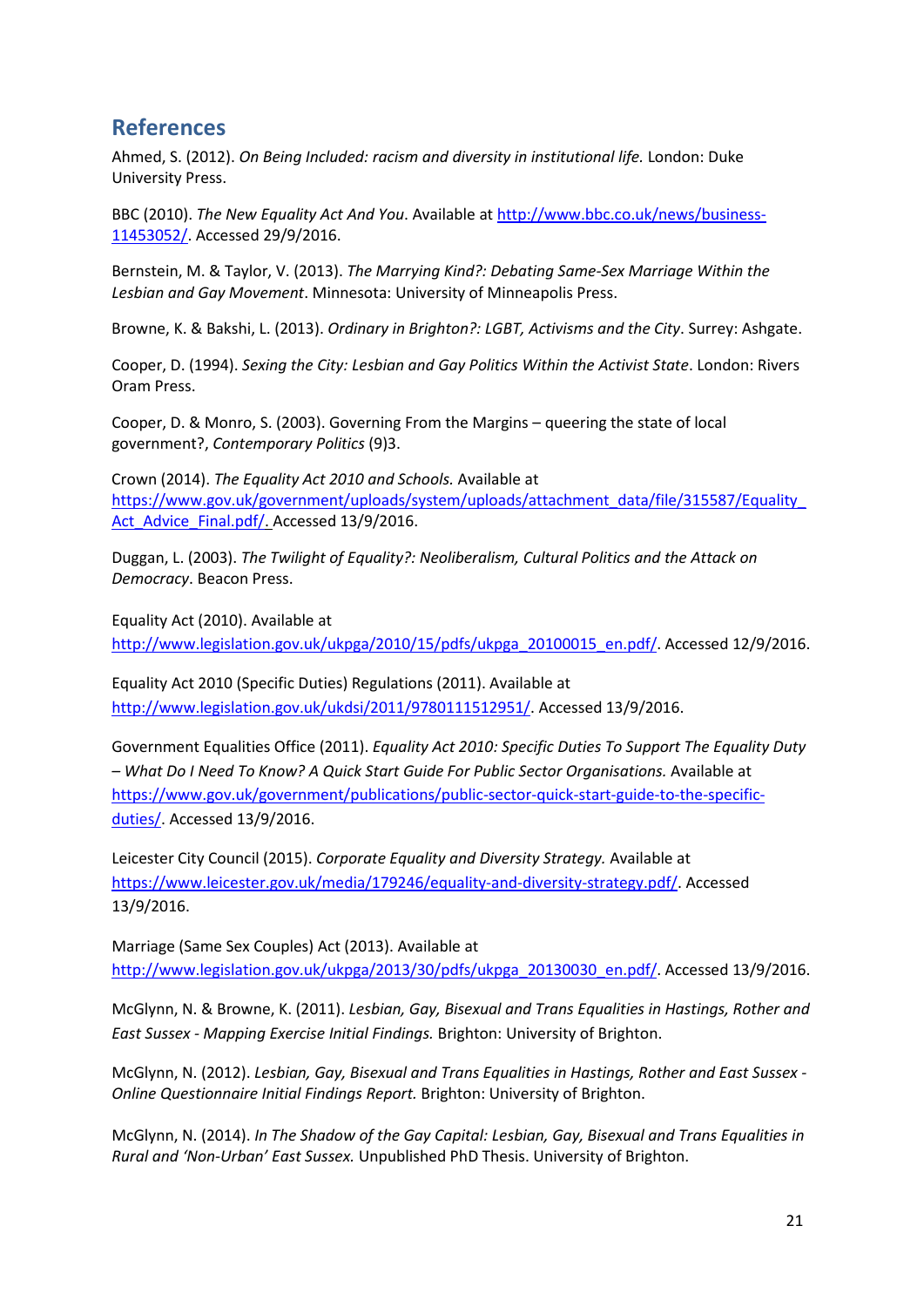#### <span id="page-20-0"></span>**References**

Ahmed, S. (2012). *On Being Included: racism and diversity in institutional life.* London: Duke University Press.

BBC (2010). *The New Equality Act And You*. Available at [http://www.bbc.co.uk/news/business-](http://www.bbc.co.uk/news/business-11453052/)[11453052/.](http://www.bbc.co.uk/news/business-11453052/) Accessed 29/9/2016.

Bernstein, M. & Taylor, V. (2013). *The Marrying Kind?: Debating Same-Sex Marriage Within the Lesbian and Gay Movement*. Minnesota: University of Minneapolis Press.

Browne, K. & Bakshi, L. (2013). *Ordinary in Brighton?: LGBT, Activisms and the City*. Surrey: Ashgate.

Cooper, D. (1994). *Sexing the City: Lesbian and Gay Politics Within the Activist State*. London: Rivers Oram Press.

Cooper, D. & Monro, S. (2003). Governing From the Margins – queering the state of local government?, *Contemporary Politics* (9)3.

Crown (2014). *The Equality Act 2010 and Schools.* Available at [https://www.gov.uk/government/uploads/system/uploads/attachment\\_data/file/315587/Equality\\_](https://www.gov.uk/government/uploads/system/uploads/attachment_data/file/315587/Equality_Act_Advice_Final.pdf/) Act Advice Final.pdf/. Accessed 13/9/2016.

Duggan, L. (2003). *The Twilight of Equality?: Neoliberalism, Cultural Politics and the Attack on Democracy*. Beacon Press.

Equality Act (2010). Available at

[http://www.legislation.gov.uk/ukpga/2010/15/pdfs/ukpga\\_20100015\\_en.pdf/.](http://www.legislation.gov.uk/ukpga/2010/15/pdfs/ukpga_20100015_en.pdf/) Accessed 12/9/2016.

Equality Act 2010 (Specific Duties) Regulations (2011). Available at [http://www.legislation.gov.uk/ukdsi/2011/9780111512951/.](http://www.legislation.gov.uk/ukdsi/2011/9780111512951/) Accessed 13/9/2016.

Government Equalities Office (2011). *Equality Act 2010: Specific Duties To Support The Equality Duty – What Do I Need To Know? A Quick Start Guide For Public Sector Organisations.* Available at [https://www.gov.uk/government/publications/public-sector-quick-start-guide-to-the-specific](https://www.gov.uk/government/publications/public-sector-quick-start-guide-to-the-specific-duties/)[duties/.](https://www.gov.uk/government/publications/public-sector-quick-start-guide-to-the-specific-duties/) Accessed 13/9/2016.

Leicester City Council (2015). *Corporate Equality and Diversity Strategy.* Available at [https://www.leicester.gov.uk/media/179246/equality-and-diversity-strategy.pdf/.](https://www.leicester.gov.uk/media/179246/equality-and-diversity-strategy.pdf/) Accessed 13/9/2016.

Marriage (Same Sex Couples) Act (2013). Available at [http://www.legislation.gov.uk/ukpga/2013/30/pdfs/ukpga\\_20130030\\_en.pdf/.](http://www.legislation.gov.uk/ukpga/2013/30/pdfs/ukpga_20130030_en.pdf/) Accessed 13/9/2016.

McGlynn, N. & Browne, K. (2011). *Lesbian, Gay, Bisexual and Trans Equalities in Hastings, Rother and East Sussex - Mapping Exercise Initial Findings.* Brighton: University of Brighton.

McGlynn, N. (2012). *Lesbian, Gay, Bisexual and Trans Equalities in Hastings, Rother and East Sussex - Online Questionnaire Initial Findings Report.* Brighton: University of Brighton.

McGlynn, N. (2014). *In The Shadow of the Gay Capital: Lesbian, Gay, Bisexual and Trans Equalities in Rural and 'Non-Urban' East Sussex.* Unpublished PhD Thesis. University of Brighton.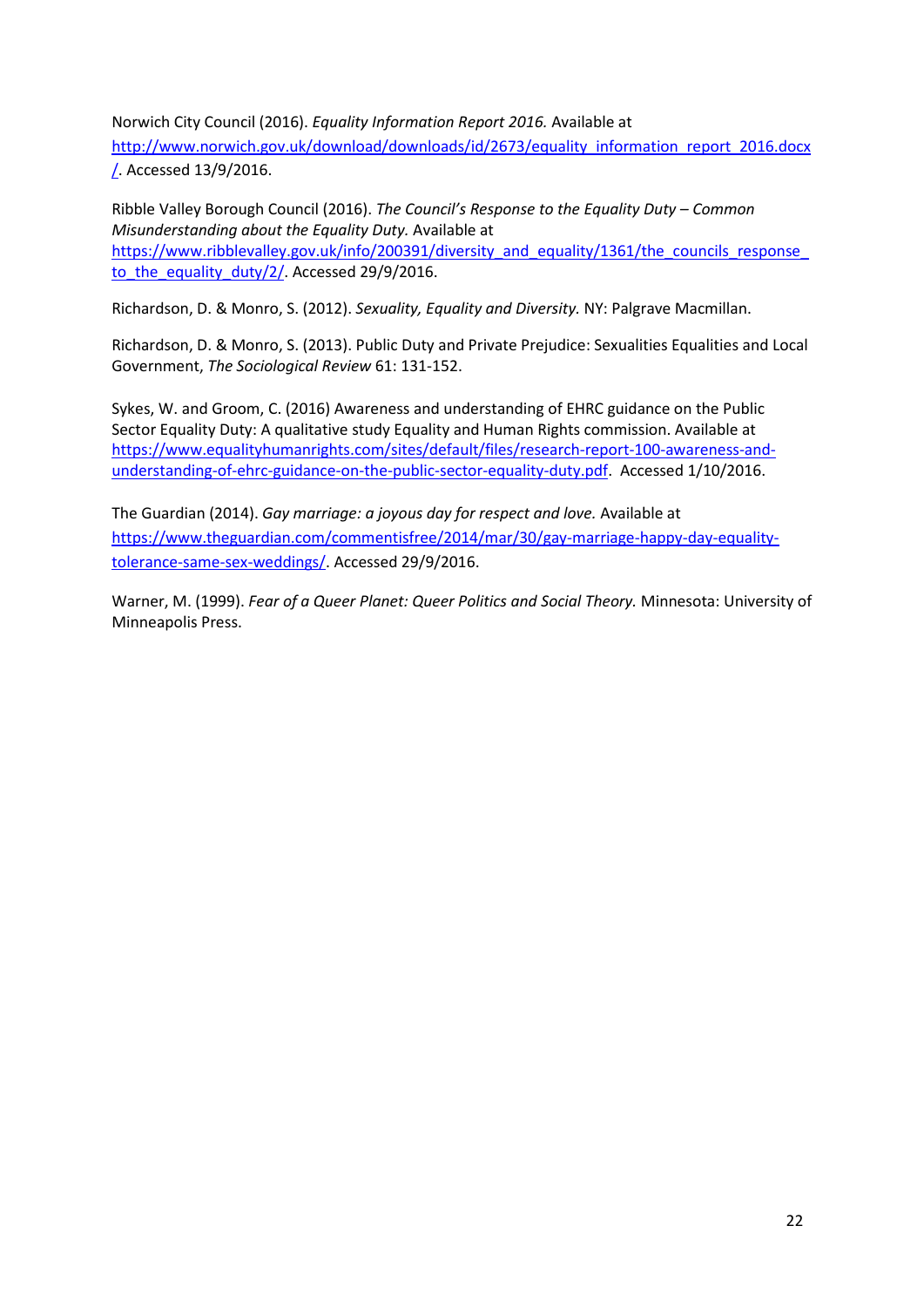Norwich City Council (2016). *Equality Information Report 2016.* Available at [http://www.norwich.gov.uk/download/downloads/id/2673/equality\\_information\\_report\\_2016.docx](http://www.norwich.gov.uk/download/downloads/id/2673/equality_information_report_2016.docx/) [/.](http://www.norwich.gov.uk/download/downloads/id/2673/equality_information_report_2016.docx/) Accessed 13/9/2016.

Ribble Valley Borough Council (2016). *The Council's Response to the Equality Duty – Common Misunderstanding about the Equality Duty.* Available at https://www.ribblevalley.gov.uk/info/200391/diversity\_and\_equality/1361/the\_councils\_response to the equality duty/2/. Accessed 29/9/2016.

Richardson, D. & Monro, S. (2012). *Sexuality, Equality and Diversity.* NY: Palgrave Macmillan.

Richardson, D. & Monro, S. (2013). Public Duty and Private Prejudice: Sexualities Equalities and Local Government, *The Sociological Review* 61: 131-152.

Sykes, W. and Groom, C. (2016) Awareness and understanding of EHRC guidance on the Public Sector Equality Duty: A qualitative study Equality and Human Rights commission. Available at [https://www.equalityhumanrights.com/sites/default/files/research-report-100-awareness-and](https://www.equalityhumanrights.com/sites/default/files/research-report-100-awareness-and-understanding-of-ehrc-guidance-on-the-public-sector-equality-duty.pdf)[understanding-of-ehrc-guidance-on-the-public-sector-equality-duty.pdf.](https://www.equalityhumanrights.com/sites/default/files/research-report-100-awareness-and-understanding-of-ehrc-guidance-on-the-public-sector-equality-duty.pdf) Accessed 1/10/2016.

The Guardian (2014). *Gay marriage: a joyous day for respect and love.* Available at [https://www.theguardian.com/commentisfree/2014/mar/30/gay-marriage-happy-day-equality](https://www.theguardian.com/commentisfree/2014/mar/30/gay-marriage-happy-day-equality-tolerance-same-sex-weddings/)[tolerance-same-sex-weddings/.](https://www.theguardian.com/commentisfree/2014/mar/30/gay-marriage-happy-day-equality-tolerance-same-sex-weddings/) Accessed 29/9/2016.

Warner, M. (1999). *Fear of a Queer Planet: Queer Politics and Social Theory.* Minnesota: University of Minneapolis Press.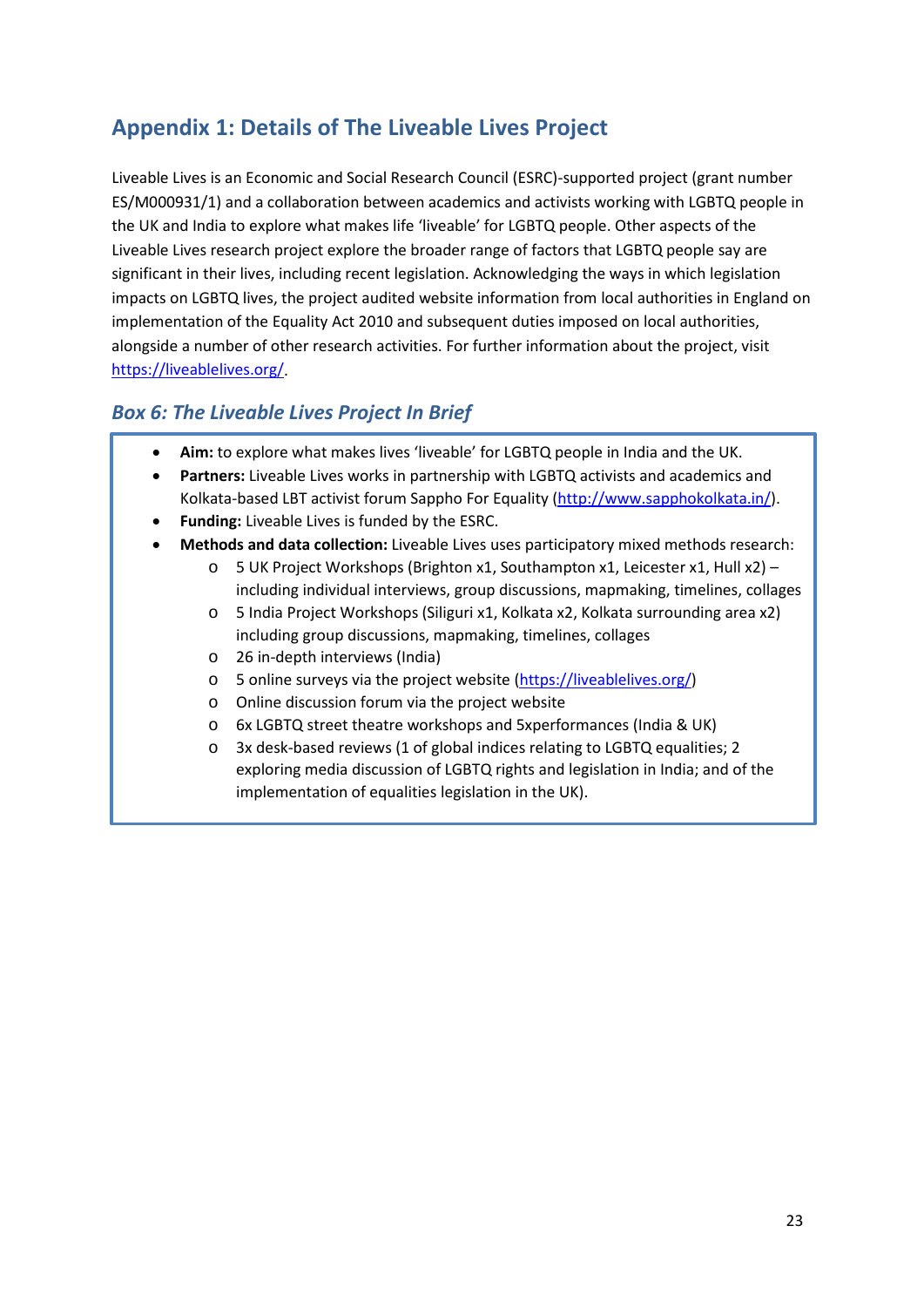# <span id="page-22-0"></span>**Appendix 1: Details of The Liveable Lives Project**

Liveable Lives is an Economic and Social Research Council (ESRC)-supported project (grant number ES/M000931/1) and a collaboration between academics and activists working with LGBTQ people in the UK and India to explore what makes life 'liveable' for LGBTQ people. Other aspects of the Liveable Lives research project explore the broader range of factors that LGBTQ people say are significant in their lives, including recent legislation. Acknowledging the ways in which legislation impacts on LGBTQ lives, the project audited website information from local authorities in England on implementation of the Equality Act 2010 and subsequent duties imposed on local authorities, alongside a number of other research activities. For further information about the project, visit [https://liveablelives.org/.](https://liveablelives.org/)

#### *Box 6: The Liveable Lives Project In Brief*

- **Aim:** to explore what makes lives 'liveable' for LGBTQ people in India and the UK.
- **Partners:** Liveable Lives works in partnership with LGBTQ activists and academics and Kolkata-based LBT activist forum Sappho For Equality [\(http://www.sapphokolkata.in/\)](http://www.sapphokolkata.in/).
- **Funding:** Liveable Lives is funded by the ESRC.
- **Methods and data collection:** Liveable Lives uses participatory mixed methods research:
	- o 5 UK Project Workshops (Brighton x1, Southampton x1, Leicester x1, Hull x2) including individual interviews, group discussions, mapmaking, timelines, collages
		- o 5 India Project Workshops (Siliguri x1, Kolkata x2, Kolkata surrounding area x2) including group discussions, mapmaking, timelines, collages
		- o 26 in-depth interviews (India)
		- o 5 online surveys via the project website [\(https://liveablelives.org/\)](https://liveablelives.org/)
		- o Online discussion forum via the project website
		- o 6x LGBTQ street theatre workshops and 5xperformances (India & UK)
		- o 3x desk-based reviews (1 of global indices relating to LGBTQ equalities; 2 exploring media discussion of LGBTQ rights and legislation in India; and of the implementation of equalities legislation in the UK).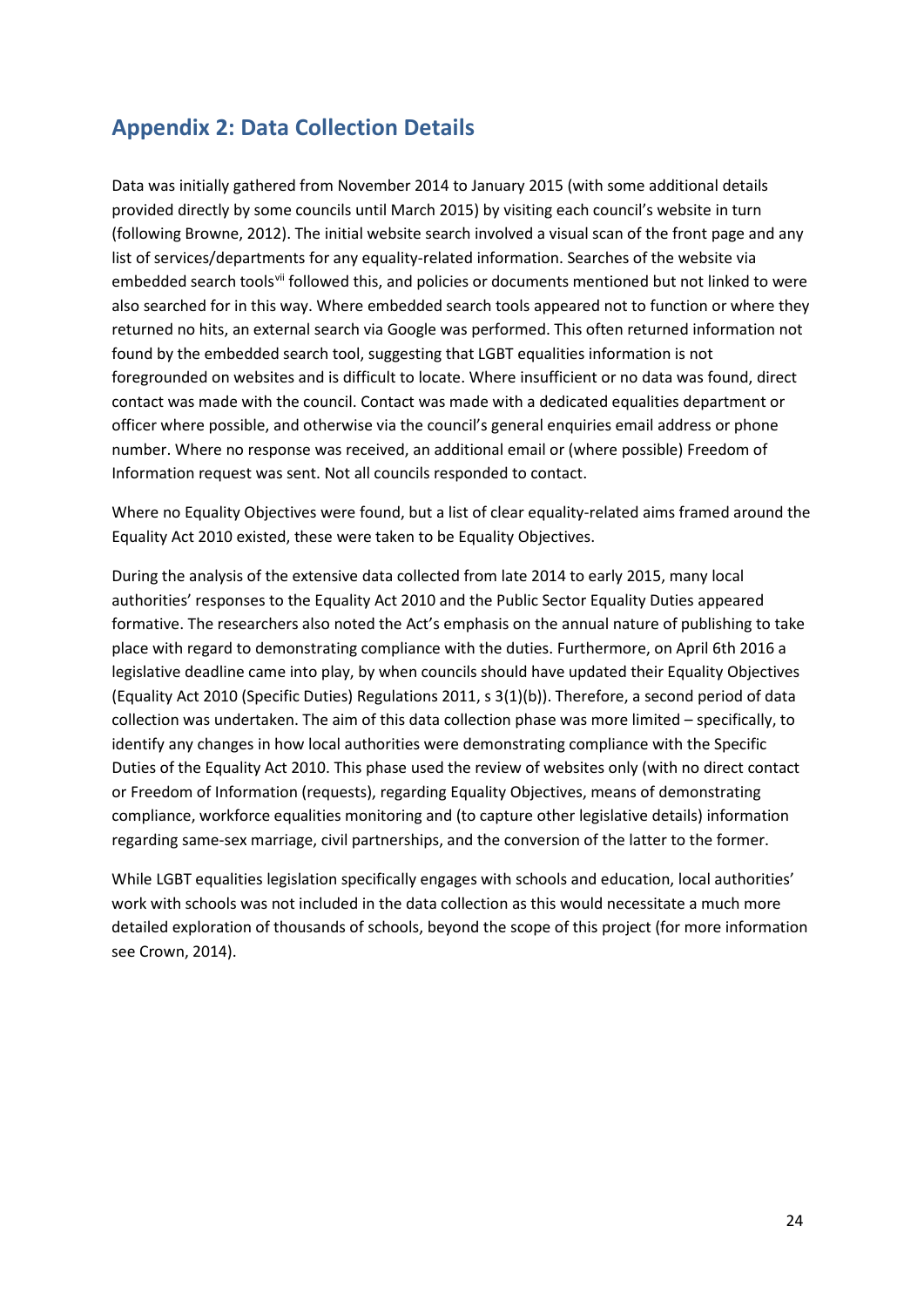# <span id="page-23-0"></span>**Appendix 2: Data Collection Details**

Data was initially gathered from November 2014 to January 2015 (with some additional details provided directly by some councils until March 2015) by visiting each council's website in turn (following Browne, 2012). The initial website search involved a visual scan of the front page and any list of services/departments for any equality-related information. Searches of the website via embedded search tools<sup>[vii](#page-45-6)</sup> followed this, and policies or documents mentioned but not linked to were also searched for in this way. Where embedded search tools appeared not to function or where they returned no hits, an external search via Google was performed. This often returned information not found by the embedded search tool, suggesting that LGBT equalities information is not foregrounded on websites and is difficult to locate. Where insufficient or no data was found, direct contact was made with the council. Contact was made with a dedicated equalities department or officer where possible, and otherwise via the council's general enquiries email address or phone number. Where no response was received, an additional email or (where possible) Freedom of Information request was sent. Not all councils responded to contact.

Where no Equality Objectives were found, but a list of clear equality-related aims framed around the Equality Act 2010 existed, these were taken to be Equality Objectives.

During the analysis of the extensive data collected from late 2014 to early 2015, many local authorities' responses to the Equality Act 2010 and the Public Sector Equality Duties appeared formative. The researchers also noted the Act's emphasis on the annual nature of publishing to take place with regard to demonstrating compliance with the duties. Furthermore, on April 6th 2016 a legislative deadline came into play, by when councils should have updated their Equality Objectives (Equality Act 2010 (Specific Duties) Regulations 2011, s 3(1)(b)). Therefore, a second period of data collection was undertaken. The aim of this data collection phase was more limited – specifically, to identify any changes in how local authorities were demonstrating compliance with the Specific Duties of the Equality Act 2010. This phase used the review of websites only (with no direct contact or Freedom of Information (requests), regarding Equality Objectives, means of demonstrating compliance, workforce equalities monitoring and (to capture other legislative details) information regarding same-sex marriage, civil partnerships, and the conversion of the latter to the former.

While LGBT equalities legislation specifically engages with schools and education, local authorities' work with schools was not included in the data collection as this would necessitate a much more detailed exploration of thousands of schools, beyond the scope of this project (for more information see Crown, 2014).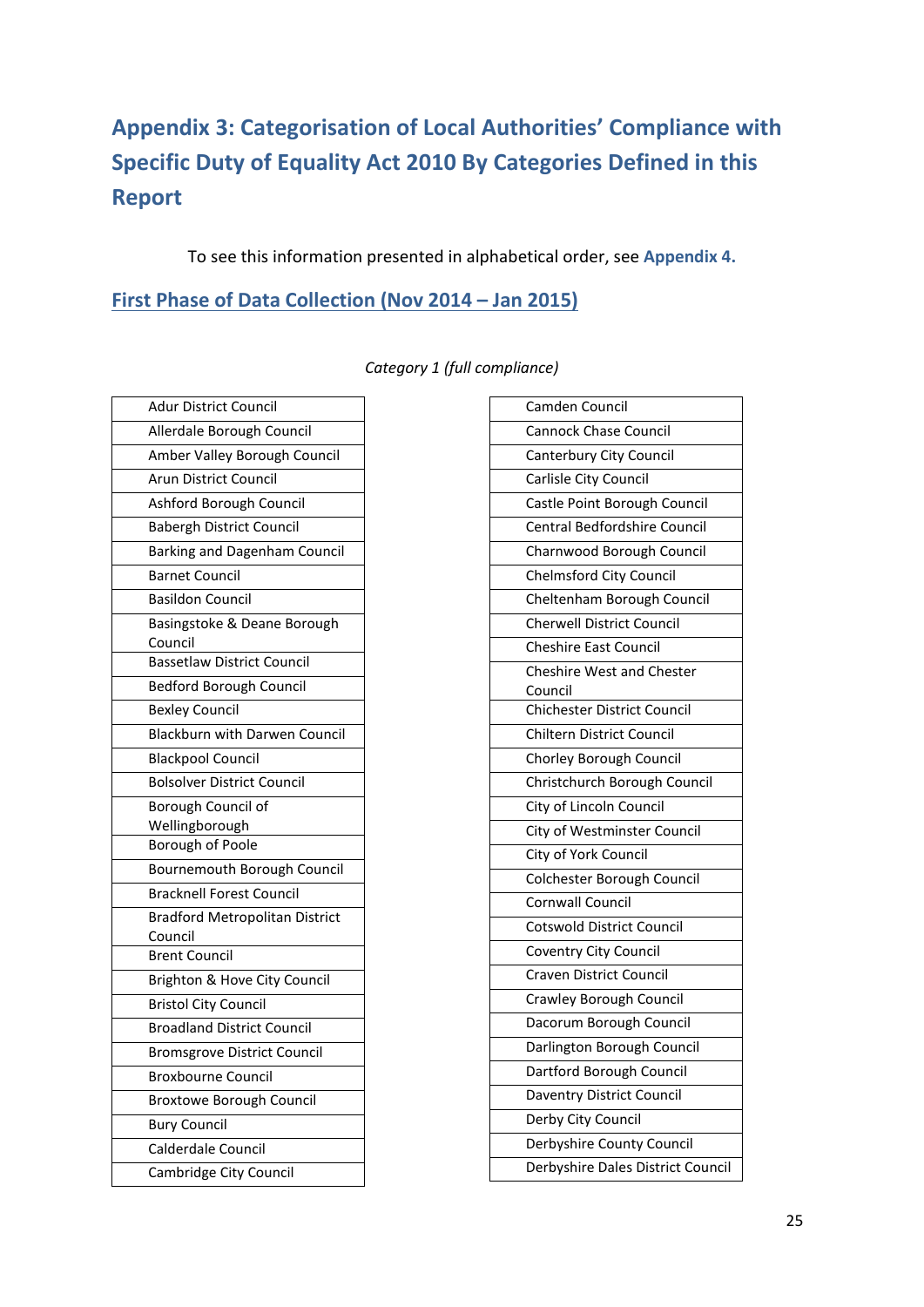# <span id="page-24-0"></span>**Appendix 3: Categorisation of Local Authorities' Compliance with Specific Duty of Equality Act 2010 By Categories Defined in this Report**

To see this information presented in alphabetical order, see **Appendix 4.**

#### <span id="page-24-1"></span>**First Phase of Data Collection (Nov 2014 – Jan 2015)**

| <b>Adur District Council</b>           |
|----------------------------------------|
| Allerdale Borough Council              |
| Amber Valley Borough Council           |
| <b>Arun District Council</b>           |
| Ashford Borough Council                |
| <b>Babergh District Council</b>        |
| Barking and Dagenham Council           |
| <b>Barnet Council</b>                  |
| <b>Basildon Council</b>                |
| Basingstoke & Deane Borough<br>Council |
| <b>Bassetlaw District Council</b>      |
| <b>Bedford Borough Council</b>         |
| <b>Bexley Council</b>                  |
| Blackburn with Darwen Council          |
| <b>Blackpool Council</b>               |
| <b>Bolsolver District Council</b>      |
| Borough Council of                     |
| Wellingborough                         |
| Borough of Poole                       |
| Bournemouth Borough Council            |
| <b>Bracknell Forest Council</b>        |
| <b>Bradford Metropolitan District</b>  |
| Council<br><b>Brent Council</b>        |
| Brighton & Hove City Council           |
| <b>Bristol City Council</b>            |
| <b>Broadland District Council</b>      |
| <b>Bromsgrove District Council</b>     |
| <b>Broxbourne Council</b>              |
| <b>Broxtowe Borough Council</b>        |
| <b>Bury Council</b>                    |
| Calderdale Council                     |
| Cambridge City Council                 |
|                                        |

#### *Category 1 (full compliance)*

| Camden Council                     |
|------------------------------------|
| <b>Cannock Chase Council</b>       |
| Canterbury City Council            |
| Carlisle City Council              |
| Castle Point Borough Council       |
| Central Bedfordshire Council       |
| Charnwood Borough Council          |
| <b>Chelmsford City Council</b>     |
| Cheltenham Borough Council         |
| <b>Cherwell District Council</b>   |
| <b>Cheshire East Council</b>       |
| <b>Cheshire West and Chester</b>   |
| Council                            |
| <b>Chichester District Council</b> |
| <b>Chiltern District Council</b>   |
| Chorley Borough Council            |
| Christchurch Borough Council       |
| City of Lincoln Council            |
| City of Westminster Council        |
| City of York Council               |
| Colchester Borough Council         |
| <b>Cornwall Council</b>            |
| <b>Cotswold District Council</b>   |
| Coventry City Council              |
| <b>Craven District Council</b>     |
| Crawley Borough Council            |
| Dacorum Borough Council            |
| Darlington Borough Council         |
| Dartford Borough Council           |
| Daventry District Council          |
| Derby City Council                 |
| Derbyshire County Council          |
| Derbyshire Dales District Council  |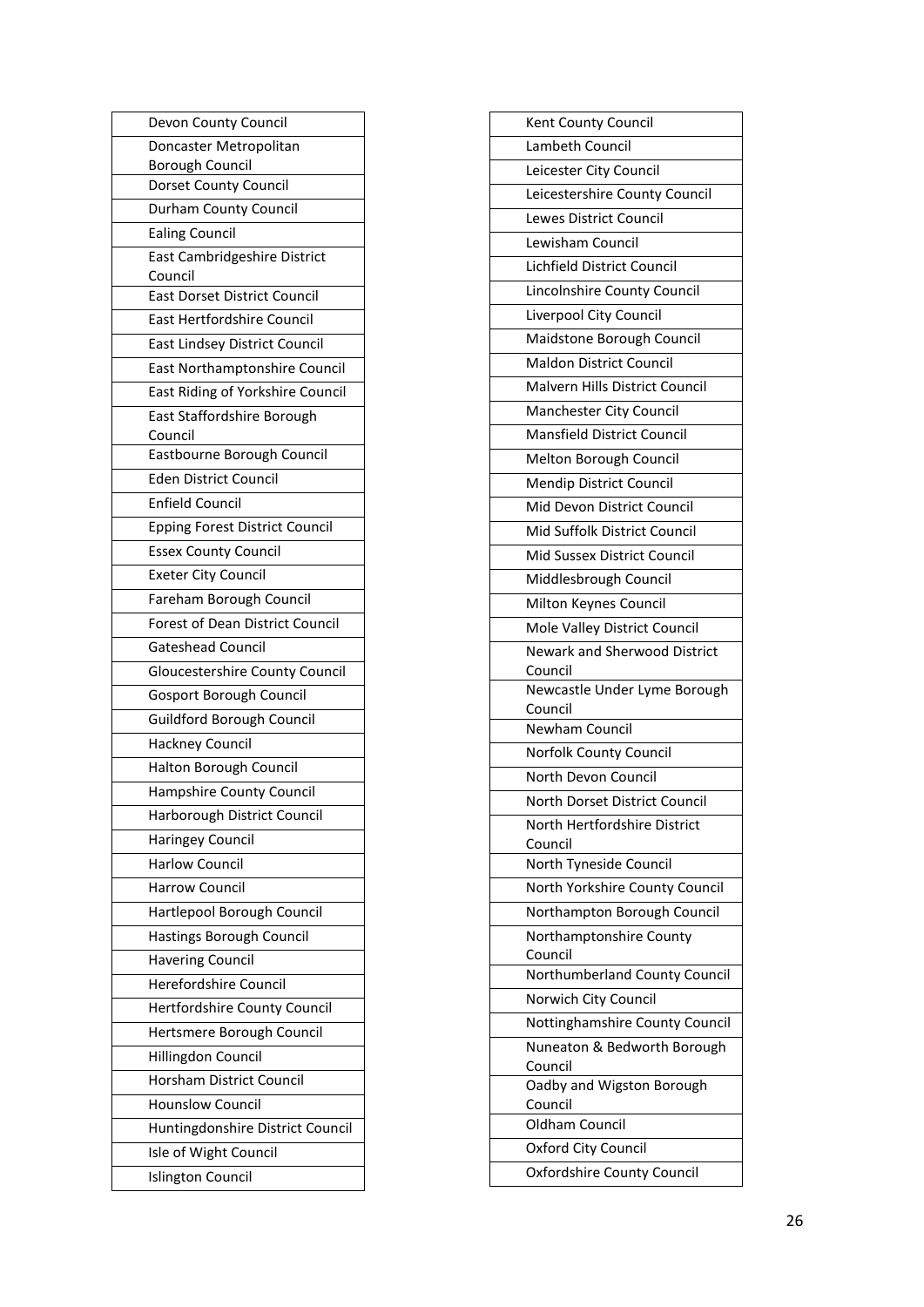| Devon County Council                    |
|-----------------------------------------|
| Doncaster Metropolitan                  |
| <b>Borough Council</b>                  |
| Dorset County Council                   |
| Durham County Council                   |
| <b>Ealing Council</b>                   |
| East Cambridgeshire District<br>Council |
| East Dorset District Council            |
| East Hertfordshire Council              |
| East Lindsey District Council           |
| East Northamptonshire Council           |
| East Riding of Yorkshire Council        |
| East Staffordshire Borough              |
| Council                                 |
| Eastbourne Borough Council              |
| <b>Eden District Council</b>            |
| <b>Enfield Council</b>                  |
| <b>Epping Forest District Council</b>   |
| <b>Essex County Council</b>             |
| <b>Exeter City Council</b>              |
| Fareham Borough Council                 |
| Forest of Dean District Council         |
| <b>Gateshead Council</b>                |
| Gloucestershire County Council          |
| Gosport Borough Council                 |
| Guildford Borough Council               |
| <b>Hackney Council</b>                  |
| Halton Borough Council                  |
| Hampshire County Council                |
| Harborough District Council             |
| <b>Haringey Council</b>                 |
| <b>Harlow Council</b>                   |
| <b>Harrow Council</b>                   |
| Hartlepool Borough Council              |
| Hastings Borough Council                |
| <b>Havering Council</b>                 |
| Herefordshire Council                   |
| Hertfordshire County Council            |
| Hertsmere Borough Council               |
| Hillingdon Council                      |
| Horsham District Council                |
| <b>Hounslow Council</b>                 |
| Huntingdonshire District Council        |
| Isle of Wight Council                   |
| Islington Council                       |
|                                         |

| Kent County Council                     |
|-----------------------------------------|
| Lambeth Council                         |
| Leicester City Council                  |
| Leicestershire County Council           |
| Lewes District Council                  |
| Lewisham Council                        |
| Lichfield District Council              |
| Lincolnshire County Council             |
| Liverpool City Council                  |
| Maidstone Borough Council               |
| <b>Maldon District Council</b>          |
| <b>Malvern Hills District Council</b>   |
| Manchester City Council                 |
| <b>Mansfield District Council</b>       |
| Melton Borough Council                  |
| Mendip District Council                 |
| Mid Devon District Council              |
| Mid Suffolk District Council            |
| Mid Sussex District Council             |
| Middlesbrough Council                   |
| Milton Keynes Council                   |
| Mole Valley District Council            |
| <b>Newark and Sherwood District</b>     |
| Council                                 |
| Newcastle Under Lyme Borough<br>Council |
| Newham Council                          |
| <b>Norfolk County Council</b>           |
| North Devon Council                     |
| North Dorset District Council           |
| North Hertfordshire District            |
| Council                                 |
| North Tyneside Council                  |
| North Yorkshire County Council          |
| Northampton Borough Council             |
| Northamptonshire County<br>Council      |
| Northumberland County Council           |
| Norwich City Council                    |
| Nottinghamshire County Council          |
| Nuneaton & Bedworth Borough             |
| Council<br>Oadby and Wigston Borough    |
| Council                                 |
| Oldham Council                          |
| Oxford City Council                     |
| <b>Oxfordshire County Council</b>       |
|                                         |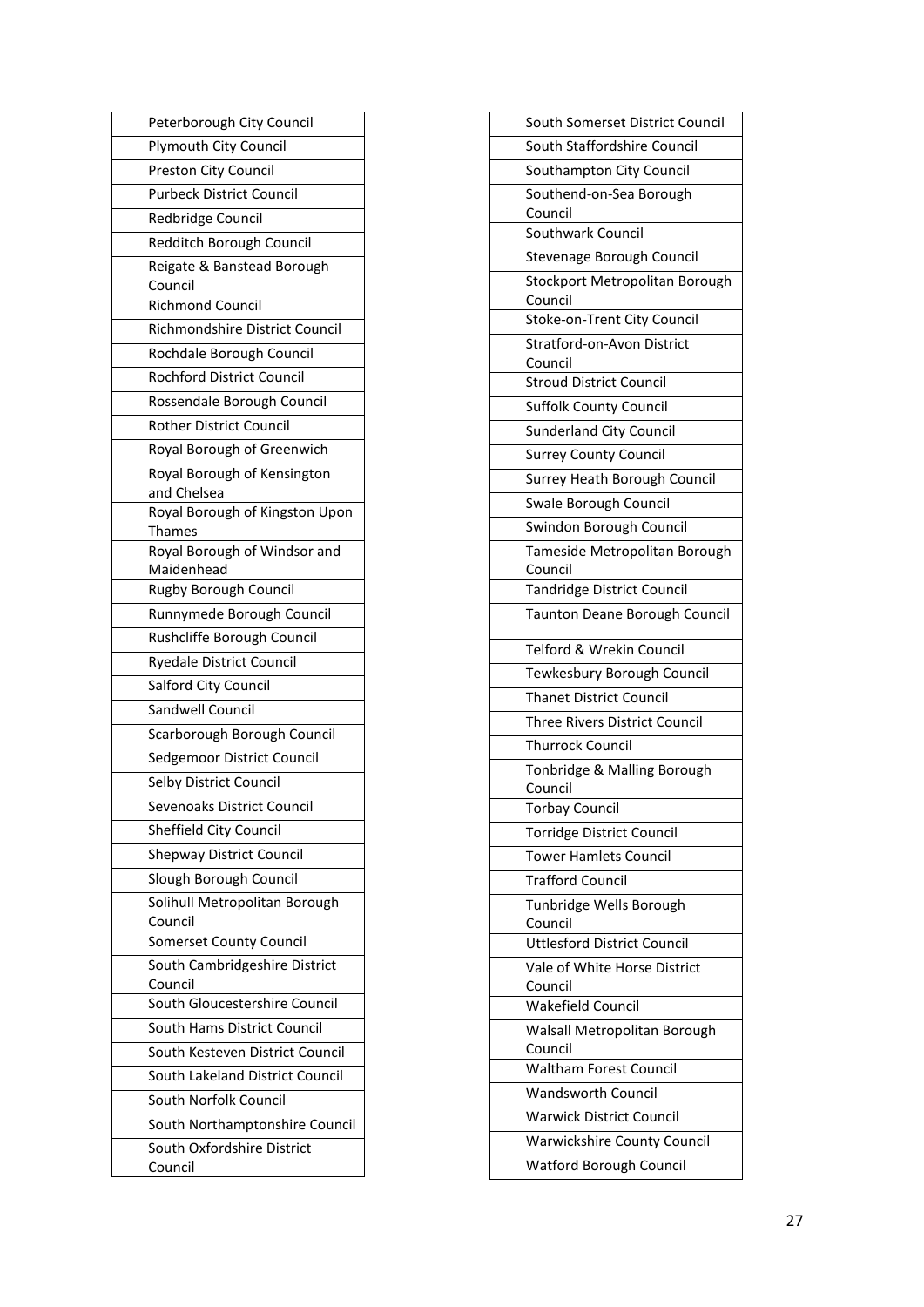| Peterborough City Council                |  |
|------------------------------------------|--|
| Plymouth City Council                    |  |
| Preston City Council                     |  |
| <b>Purbeck District Council</b>          |  |
| Redbridge Council                        |  |
| Redditch Borough Council                 |  |
| Reigate & Banstead Borough<br>Council    |  |
| Richmond Council                         |  |
| Richmondshire District Council           |  |
| Rochdale Borough Council                 |  |
| Rochford District Council                |  |
| Rossendale Borough Council               |  |
| <b>Rother District Council</b>           |  |
| Royal Borough of Greenwich               |  |
| Royal Borough of Kensington              |  |
| and Chelsea                              |  |
| Royal Borough of Kingston Upon           |  |
| Thames                                   |  |
| Royal Borough of Windsor and             |  |
| Maidenhead<br>Rugby Borough Council      |  |
| Runnymede Borough Council                |  |
|                                          |  |
| Rushcliffe Borough Council               |  |
| <b>Ryedale District Council</b>          |  |
| Salford City Council                     |  |
| Sandwell Council                         |  |
| Scarborough Borough Council              |  |
| Sedgemoor District Council               |  |
| Selby District Council                   |  |
| Sevenoaks District Council               |  |
| Sheffield City Council                   |  |
| <b>Shepway District Council</b>          |  |
| Slough Borough Council                   |  |
| Solihull Metropolitan Borough<br>Council |  |
| Somerset County Council                  |  |
| South Cambridgeshire District            |  |
| Council                                  |  |
| South Gloucestershire Council            |  |
| South Hams District Council              |  |
| South Kesteven District Council          |  |
| South Lakeland District Council          |  |
| South Norfolk Council                    |  |
| South Northamptonshire Council           |  |
| South Oxfordshire District               |  |
| Council                                  |  |

| South Somerset District Council                            |
|------------------------------------------------------------|
| South Staffordshire Council                                |
| Southampton City Council                                   |
| Southend-on-Sea Borough                                    |
| Council<br>Southwark Council                               |
| Stevenage Borough Council                                  |
| Stockport Metropolitan Borough                             |
| Council                                                    |
| Stoke-on-Trent City Council                                |
| Stratford-on-Avon District                                 |
| Council                                                    |
| <b>Stroud District Council</b>                             |
| <b>Suffolk County Council</b>                              |
| <b>Sunderland City Council</b>                             |
| <b>Surrey County Council</b>                               |
| Surrey Heath Borough Council                               |
| Swale Borough Council                                      |
| Swindon Borough Council                                    |
| Tameside Metropolitan Borough<br>Council                   |
| <b>Tandridge District Council</b>                          |
| Taunton Deane Borough Council                              |
| Telford & Wrekin Council                                   |
| Tewkesbury Borough Council                                 |
| <b>Thanet District Council</b>                             |
| Three Rivers District Council                              |
| <b>Thurrock Council</b>                                    |
| Tonbridge & Malling Borough                                |
| Council                                                    |
| <b>Torbay Council</b>                                      |
| <b>Torridge District Council</b>                           |
| <b>Tower Hamlets Council</b>                               |
| <b>Trafford Council</b>                                    |
| Tunbridge Wells Borough<br>Council                         |
| <b>Uttlesford District Council</b>                         |
| Vale of White Horse District                               |
| Council                                                    |
| Wakefield Council                                          |
| Walsall Metropolitan Borough                               |
| Council                                                    |
| <b>Waltham Forest Council</b><br><b>Wandsworth Council</b> |
|                                                            |
| <b>Warwick District Council</b>                            |
| <b>Warwickshire County Council</b>                         |
| Watford Borough Council                                    |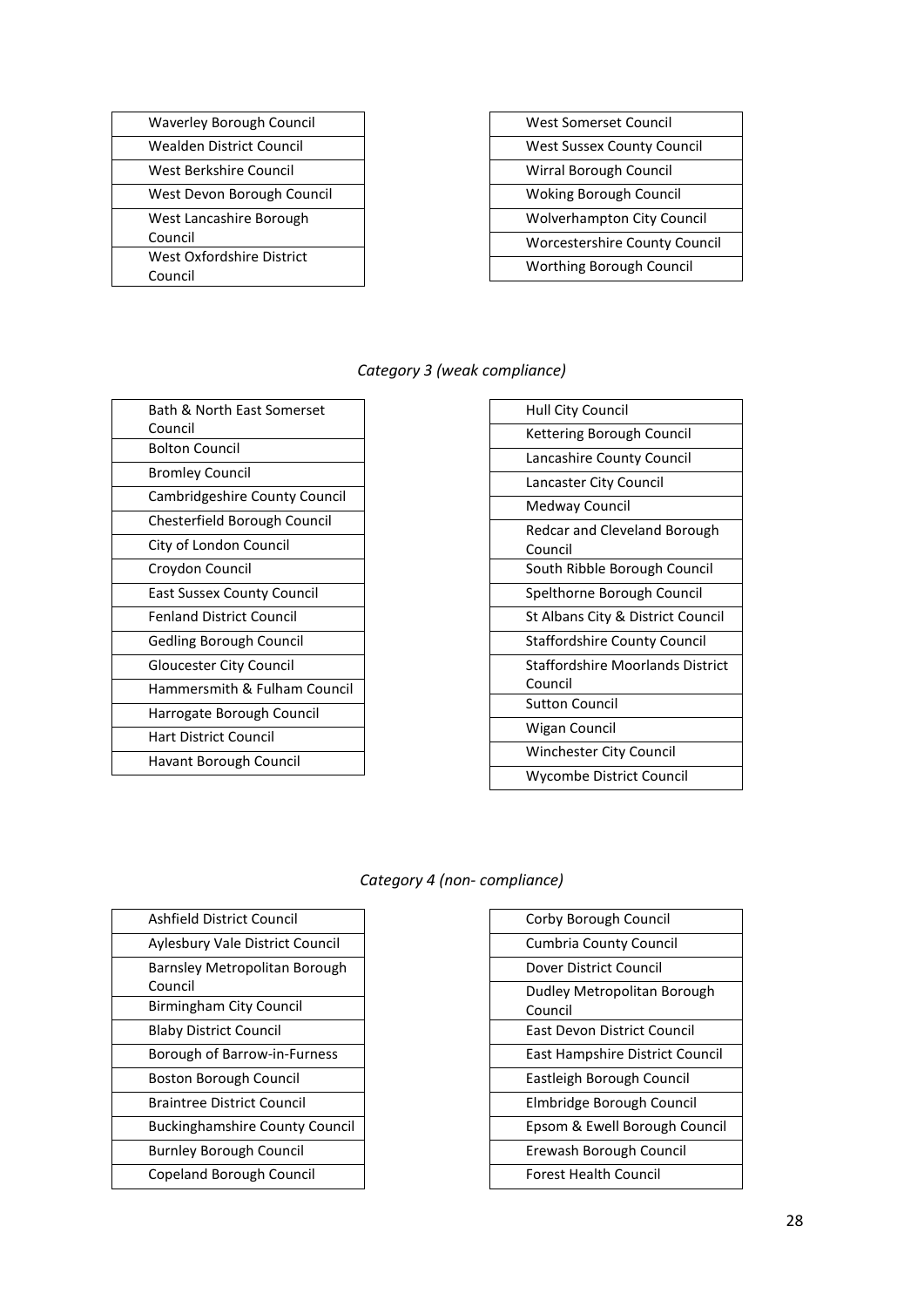| <b>West Sussex County Council</b><br>Wirral Borough Council<br><b>Woking Borough Council</b><br><b>Wolverhampton City Council</b><br><b>Worcestershire County Council</b> | <b>West Somerset Council</b>    |
|---------------------------------------------------------------------------------------------------------------------------------------------------------------------------|---------------------------------|
|                                                                                                                                                                           |                                 |
|                                                                                                                                                                           |                                 |
|                                                                                                                                                                           |                                 |
|                                                                                                                                                                           |                                 |
|                                                                                                                                                                           |                                 |
|                                                                                                                                                                           | <b>Worthing Borough Council</b> |

#### *Category 3 (weak compliance)*

| Bath & North East Somerset      |
|---------------------------------|
| Council                         |
| <b>Bolton Council</b>           |
| Bromley Council                 |
| Cambridgeshire County Council   |
| Chesterfield Borough Council    |
| City of London Council          |
| Croydon Council                 |
| East Sussex County Council      |
| <b>Fenland District Council</b> |
| Gedling Borough Council         |
| <b>Gloucester City Council</b>  |
| Hammersmith & Fulham Council    |
| Harrogate Borough Council       |
| Hart District Council           |
| Havant Borough Council          |
|                                 |

| Hull City Council                           |
|---------------------------------------------|
| Kettering Borough Council                   |
| Lancashire County Council                   |
| Lancaster City Council                      |
| Medway Council                              |
| Redcar and Cleveland Borough<br>Council     |
| South Ribble Borough Council                |
| Spelthorne Borough Council                  |
| St Albans City & District Council           |
| <b>Staffordshire County Council</b>         |
| Staffordshire Moorlands District<br>Council |
| <b>Sutton Council</b>                       |
| Wigan Council                               |
| <b>Winchester City Council</b>              |
| Wycombe District Council                    |
|                                             |

#### *Category 4 (non- compliance)*

| Corby Borough Council                  |
|----------------------------------------|
| <b>Cumbria County Council</b>          |
| Dover District Council                 |
| Dudley Metropolitan Borough<br>Council |
| East Devon District Council            |
| East Hampshire District Council        |
| Eastleigh Borough Council              |
| Elmbridge Borough Council              |
| Epsom & Ewell Borough Council          |
| Erewash Borough Council                |
| <b>Forest Health Council</b>           |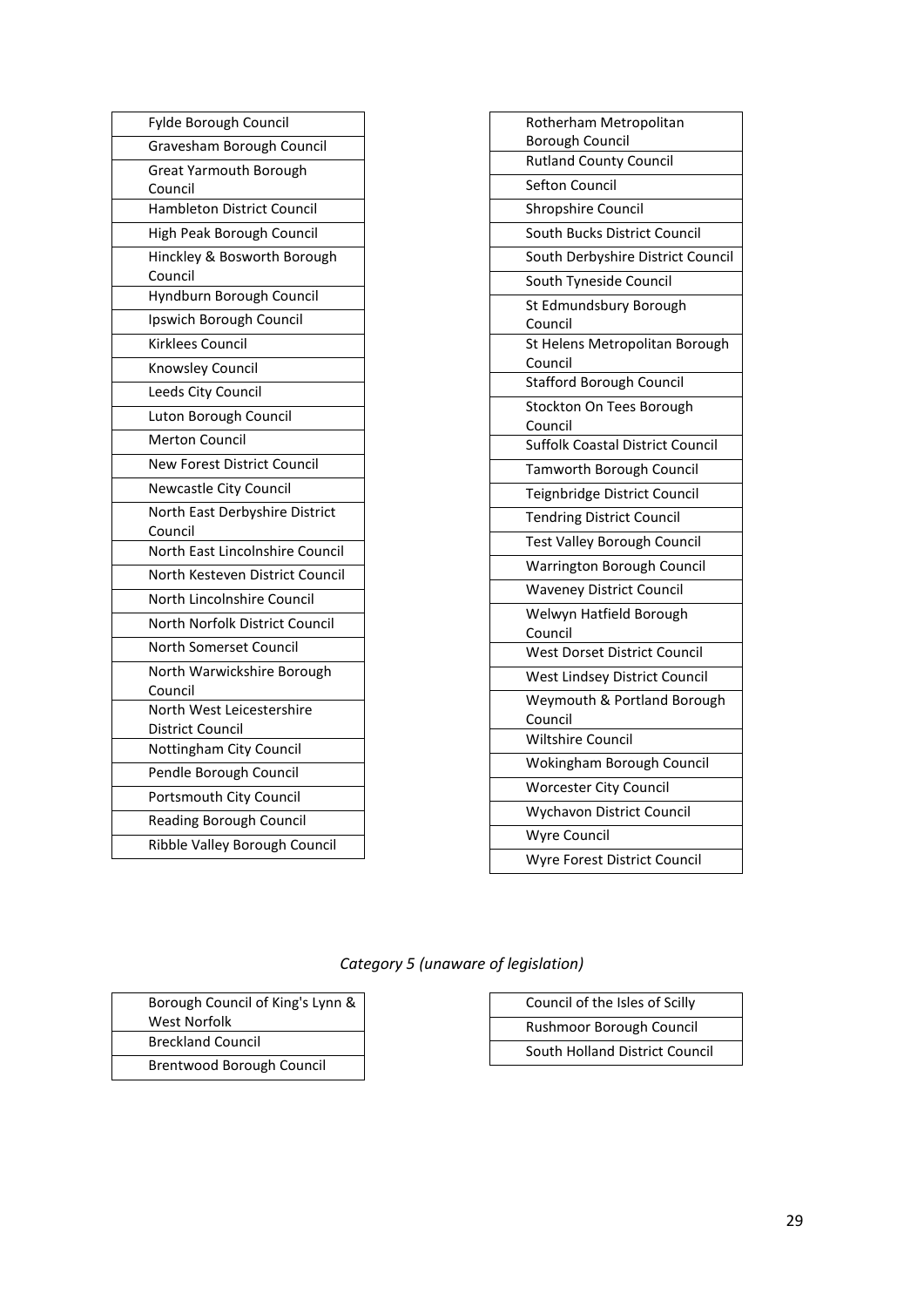| Fylde Borough Council                    |
|------------------------------------------|
| Gravesham Borough Council                |
| <b>Great Yarmouth Borough</b><br>Council |
| <b>Hambleton District Council</b>        |
| High Peak Borough Council                |
| Hinckley & Bosworth Borough<br>Council   |
| Hyndburn Borough Council                 |
| Ipswich Borough Council                  |
| Kirklees Council                         |
| Knowsley Council                         |
| Leeds City Council                       |
| Luton Borough Council                    |
| <b>Merton Council</b>                    |
| <b>New Forest District Council</b>       |
| <b>Newcastle City Council</b>            |
| North East Derbyshire District           |
| Council                                  |
| North East Lincolnshire Council          |
| North Kesteven District Council          |
| North Lincolnshire Council               |
| North Norfolk District Council           |
| North Somerset Council                   |
| North Warwickshire Borough<br>Council    |
| North West Leicestershire                |
| District Council                         |
| Nottingham City Council                  |
| Pendle Borough Council                   |
| Portsmouth City Council                  |
| <b>Reading Borough Council</b>           |
| Ribble Valley Borough Council            |

| Rotherham Metropolitan                    |
|-------------------------------------------|
| <b>Borough Council</b>                    |
| <b>Rutland County Council</b>             |
| <b>Sefton Council</b>                     |
| Shropshire Council                        |
| South Bucks District Council              |
| South Derbyshire District Council         |
| South Tyneside Council                    |
| St Edmundsbury Borough<br>Council         |
| St Helens Metropolitan Borough<br>Council |
| <b>Stafford Borough Council</b>           |
| Stockton On Tees Borough<br>Council       |
| <b>Suffolk Coastal District Council</b>   |
| Tamworth Borough Council                  |
| Teignbridge District Council              |
| <b>Tendring District Council</b>          |
| <b>Test Valley Borough Council</b>        |
| Warrington Borough Council                |
| <b>Waveney District Council</b>           |
| Welwyn Hatfield Borough<br>Council        |
| West Dorset District Council              |
| West Lindsey District Council             |
| Weymouth & Portland Borough<br>Council    |
| <b>Wiltshire Council</b>                  |
| Wokingham Borough Council                 |
| <b>Worcester City Council</b>             |
| <b>Wychavon District Council</b>          |
| <b>Wyre Council</b>                       |
| Wyre Forest District Council              |

## *Category 5 (unaware of legislation)*

| Borough Council of King's Lynn & |
|----------------------------------|
| <b>West Norfolk</b>              |
| <b>Breckland Council</b>         |
| Brentwood Borough Council        |

| Council of the Isles of Scilly |
|--------------------------------|
| Rushmoor Borough Council       |
| South Holland District Council |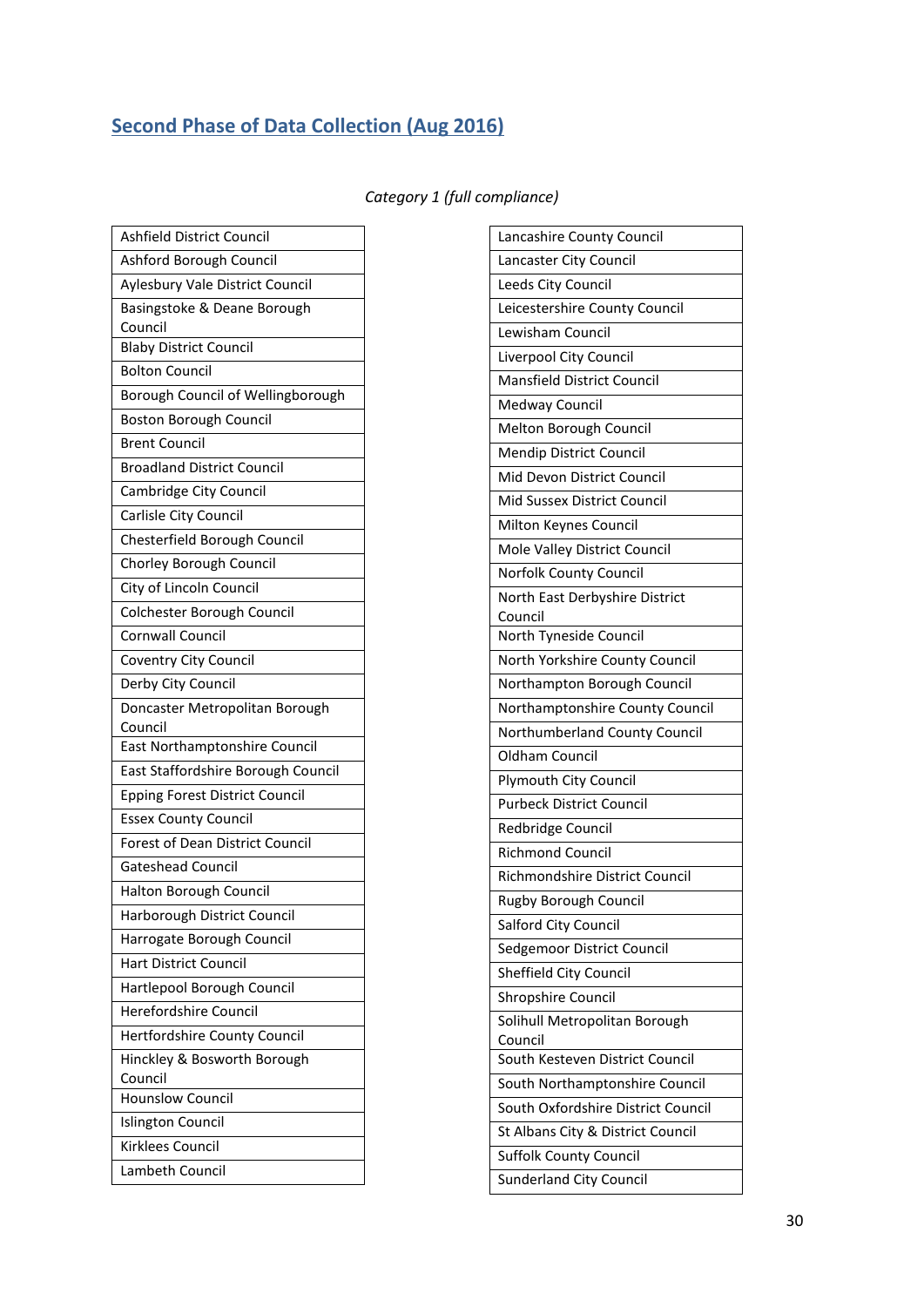# <span id="page-29-0"></span>**Second Phase of Data Collection (Aug 2016)**

|  |  | Category 1 (full compliance) |  |
|--|--|------------------------------|--|
|--|--|------------------------------|--|

| Ashfield District Council                                |
|----------------------------------------------------------|
|                                                          |
| Ashford Borough Council                                  |
| Aylesbury Vale District Council                          |
| Basingstoke & Deane Borough                              |
| Council                                                  |
| <b>Blaby District Council</b>                            |
| <b>Bolton Council</b>                                    |
| Borough Council of Wellingborough                        |
| <b>Boston Borough Council</b>                            |
| <b>Brent Council</b>                                     |
| <b>Broadland District Council</b>                        |
| Cambridge City Council                                   |
| Carlisle City Council                                    |
| Chesterfield Borough Council                             |
| Chorley Borough Council                                  |
| City of Lincoln Council                                  |
| Colchester Borough Council                               |
| <b>Cornwall Council</b>                                  |
| Coventry City Council                                    |
| Derby City Council                                       |
| Doncaster Metropolitan Borough<br>Council                |
| East Northamptonshire Council                            |
|                                                          |
| East Staffordshire Borough Council                       |
| <b>Epping Forest District Council</b>                    |
| <b>Essex County Council</b>                              |
| Forest of Dean District Council                          |
| <b>Gateshead Council</b>                                 |
| Halton Borough Council                                   |
|                                                          |
| Harborough District Council<br>Harrogate Borough Council |
| <b>Hart District Council</b>                             |
| Hartlepool Borough Council                               |
| Herefordshire Council                                    |
| Hertfordshire County Council                             |
| Hinckley & Bosworth Borough                              |
| Council<br><b>Hounslow Council</b>                       |
| <b>Islington Council</b>                                 |
| Kirklees Council                                         |

| Lancashire County Council          |
|------------------------------------|
| Lancaster City Council             |
| Leeds City Council                 |
| Leicestershire County Council      |
| Lewisham Council                   |
| Liverpool City Council             |
| Mansfield District Council         |
| <b>Medway Council</b>              |
| Melton Borough Council             |
| Mendip District Council            |
| Mid Devon District Council         |
| Mid Sussex District Council        |
| Milton Keynes Council              |
| Mole Valley District Council       |
| Norfolk County Council             |
| North East Derbyshire District     |
| Council                            |
| North Tyneside Council             |
| North Yorkshire County Council     |
| Northampton Borough Council        |
| Northamptonshire County Council    |
| Northumberland County Council      |
| Oldham Council                     |
| Plymouth City Council              |
| <b>Purbeck District Council</b>    |
| Redbridge Council                  |
| <b>Richmond Council</b>            |
| Richmondshire District Council     |
| <b>Rugby Borough Council</b>       |
| Salford City Council               |
| Sedgemoor District Council         |
| Sheffield City Council             |
| Shropshire Council                 |
| Solihull Metropolitan Borough      |
| Council                            |
| South Kesteven District Council    |
| South Northamptonshire Council     |
| South Oxfordshire District Council |
| St Albans City & District Council  |
| Suffolk County Council             |
| Sunderland City Council            |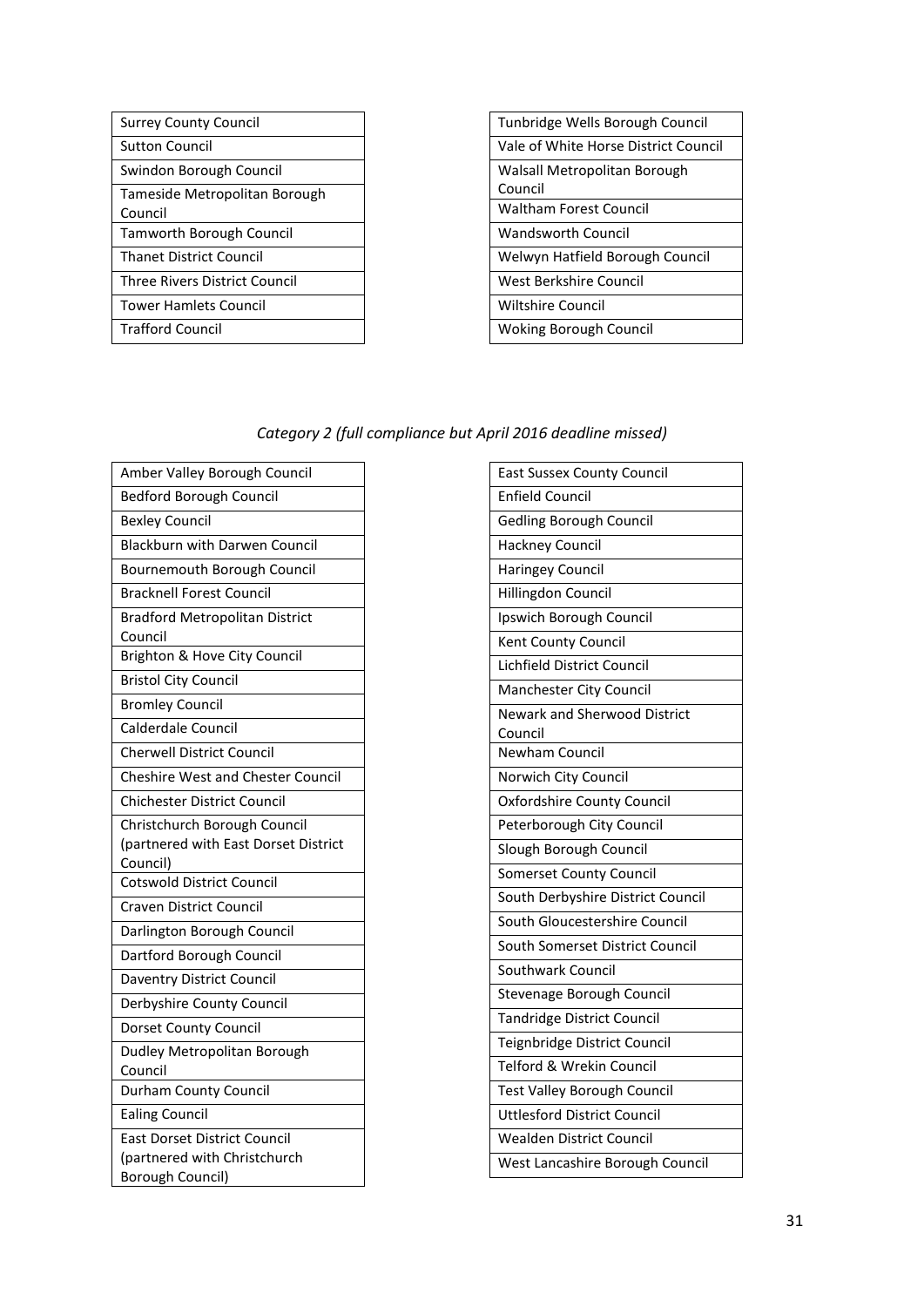| <b>Surrey County Council</b>    |
|---------------------------------|
| Sutton Council                  |
| Swindon Borough Council         |
| Tameside Metropolitan Borough   |
| Council                         |
| <b>Tamworth Borough Council</b> |
| <b>Thanet District Council</b>  |
| Three Rivers District Council   |
| <b>Tower Hamlets Council</b>    |
| <b>Trafford Council</b>         |

| Tunbridge Wells Borough Council      |
|--------------------------------------|
| Vale of White Horse District Council |
| Walsall Metropolitan Borough         |
| Council                              |
| Waltham Forest Council               |
| Wandsworth Council                   |
| Welwyn Hatfield Borough Council      |
| West Berkshire Council               |
| Wiltshire Council                    |
| <b>Woking Borough Council</b>        |

#### *Category 2 (full compliance but April 2016 deadline missed)*

| Amber Valley Borough Council             |
|------------------------------------------|
| <b>Bedford Borough Council</b>           |
| <b>Bexley Council</b>                    |
| <b>Blackburn with Darwen Council</b>     |
| Bournemouth Borough Council              |
| <b>Bracknell Forest Council</b>          |
| <b>Bradford Metropolitan District</b>    |
| Council                                  |
| Brighton & Hove City Council             |
| <b>Bristol City Council</b>              |
| <b>Bromley Council</b>                   |
| Calderdale Council                       |
| <b>Cherwell District Council</b>         |
| <b>Cheshire West and Chester Council</b> |
| <b>Chichester District Council</b>       |
| Christchurch Borough Council             |
| (partnered with East Dorset District     |
| Council)                                 |
| <b>Cotswold District Council</b>         |
| <b>Craven District Council</b>           |
| Darlington Borough Council               |
| Dartford Borough Council                 |
| Daventry District Council                |
| Derbyshire County Council                |
| Dorset County Council                    |
| Dudley Metropolitan Borough              |
| Council                                  |
| <b>Durham County Council</b>             |
| <b>Ealing Council</b>                    |
| <b>East Dorset District Council</b>      |
| (partnered with Christchurch             |
| Borough Council)                         |

| <b>East Sussex County Council</b>              |
|------------------------------------------------|
| <b>Enfield Council</b>                         |
| <b>Gedling Borough Council</b>                 |
| <b>Hackney Council</b>                         |
| <b>Haringey Council</b>                        |
| Hillingdon Council                             |
| Ipswich Borough Council                        |
| Kent County Council                            |
| Lichfield District Council                     |
| Manchester City Council                        |
| <b>Newark and Sherwood District</b><br>Council |
| <b>Newham Council</b>                          |
| Norwich City Council                           |
| <b>Oxfordshire County Council</b>              |
| Peterborough City Council                      |
| Slough Borough Council                         |
| <b>Somerset County Council</b>                 |
| South Derbyshire District Council              |
| South Gloucestershire Council                  |
| South Somerset District Council                |
| Southwark Council                              |
| Stevenage Borough Council                      |
| <b>Tandridge District Council</b>              |
| Teignbridge District Council                   |
| <b>Telford &amp; Wrekin Council</b>            |
| <b>Test Valley Borough Council</b>             |
| <b>Uttlesford District Council</b>             |
| <b>Wealden District Council</b>                |
| West Lancashire Borough Council                |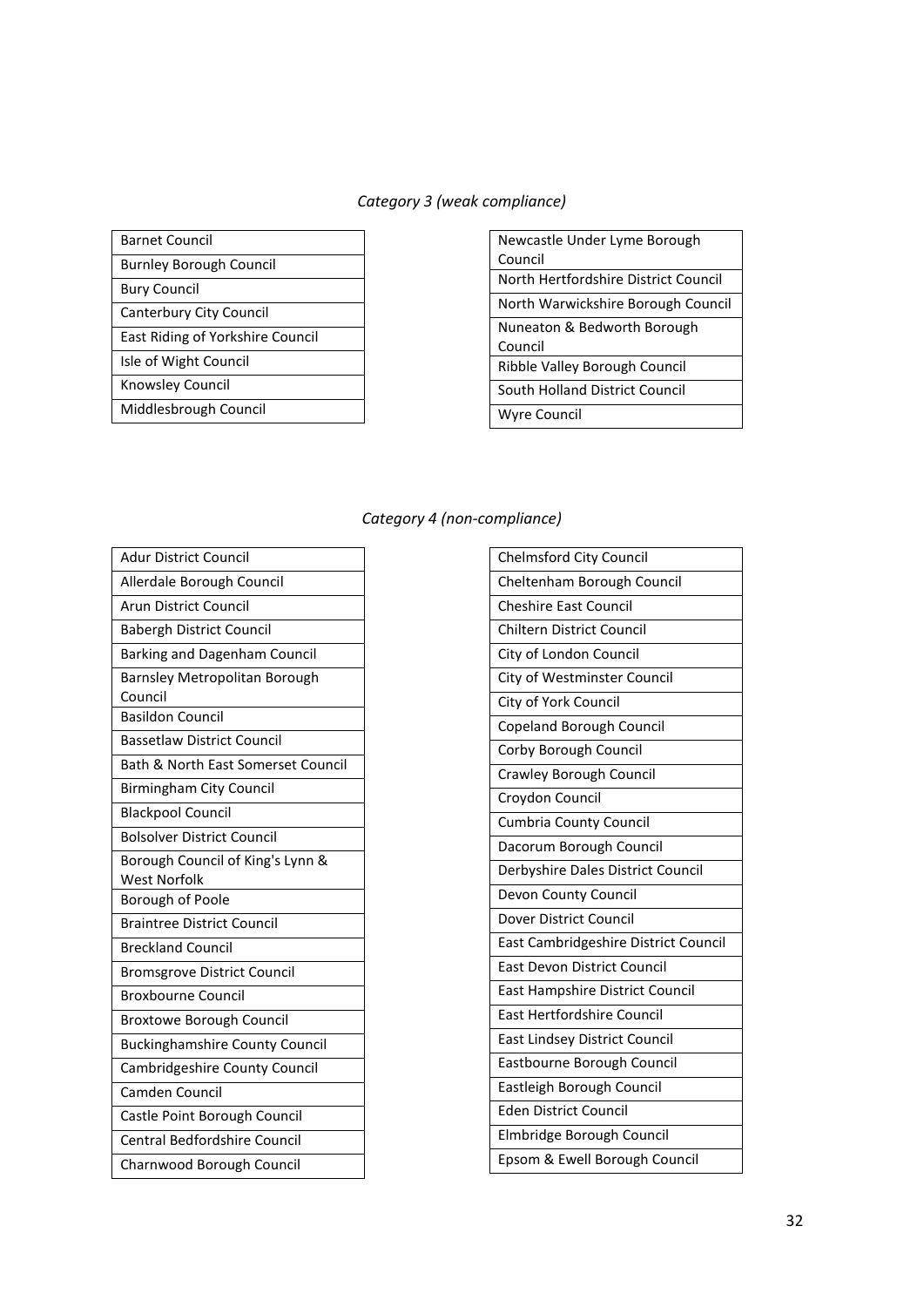## *Category 3 (weak compliance)*

| Barnet Council                   |
|----------------------------------|
| Burnley Borough Council          |
| Bury Council                     |
| <b>Canterbury City Council</b>   |
| East Riding of Yorkshire Council |
| Isle of Wight Council            |
| Knowsley Council                 |
| Middlesbrough Council            |

| Newcastle Under Lyme Borough         |
|--------------------------------------|
| Council                              |
| North Hertfordshire District Council |
| North Warwickshire Borough Council   |
| Nuneaton & Bedworth Borough          |
| Council                              |
| Ribble Valley Borough Council        |
| South Holland District Council       |
| Wyre Council                         |

#### *Category 4 (non-compliance)*

| <b>Adur District Council</b>                            |
|---------------------------------------------------------|
| Allerdale Borough Council                               |
| <b>Arun District Council</b>                            |
| <b>Babergh District Council</b>                         |
| Barking and Dagenham Council                            |
| Barnsley Metropolitan Borough<br>Council                |
| <b>Basildon Council</b>                                 |
| <b>Bassetlaw District Council</b>                       |
| Bath & North East Somerset Council                      |
| <b>Birmingham City Council</b>                          |
| <b>Blackpool Council</b>                                |
| <b>Bolsolver District Council</b>                       |
| Borough Council of King's Lynn &<br><b>West Norfolk</b> |
| <b>Borough of Poole</b>                                 |
| <b>Braintree District Council</b>                       |
| <b>Breckland Council</b>                                |
| <b>Bromsgrove District Council</b>                      |
| Broxbourne Council                                      |
| <b>Broxtowe Borough Council</b>                         |
| <b>Buckinghamshire County Council</b>                   |
| Cambridgeshire County Council                           |
| Camden Council                                          |
| Castle Point Borough Council                            |
| <b>Central Bedfordshire Council</b>                     |
| Charnwood Borough Council                               |

| <b>Chelmsford City Council</b>       |
|--------------------------------------|
| Cheltenham Borough Council           |
| <b>Cheshire East Council</b>         |
| <b>Chiltern District Council</b>     |
| City of London Council               |
| City of Westminster Council          |
| City of York Council                 |
| Copeland Borough Council             |
| Corby Borough Council                |
| Crawley Borough Council              |
| Croydon Council                      |
| <b>Cumbria County Council</b>        |
| Dacorum Borough Council              |
| Derbyshire Dales District Council    |
| Devon County Council                 |
| Dover District Council               |
| East Cambridgeshire District Council |
| <b>East Devon District Council</b>   |
| East Hampshire District Council      |
| East Hertfordshire Council           |
| East Lindsey District Council        |
| Eastbourne Borough Council           |
| Eastleigh Borough Council            |
| <b>Eden District Council</b>         |
| Elmbridge Borough Council            |
| Epsom & Ewell Borough Council        |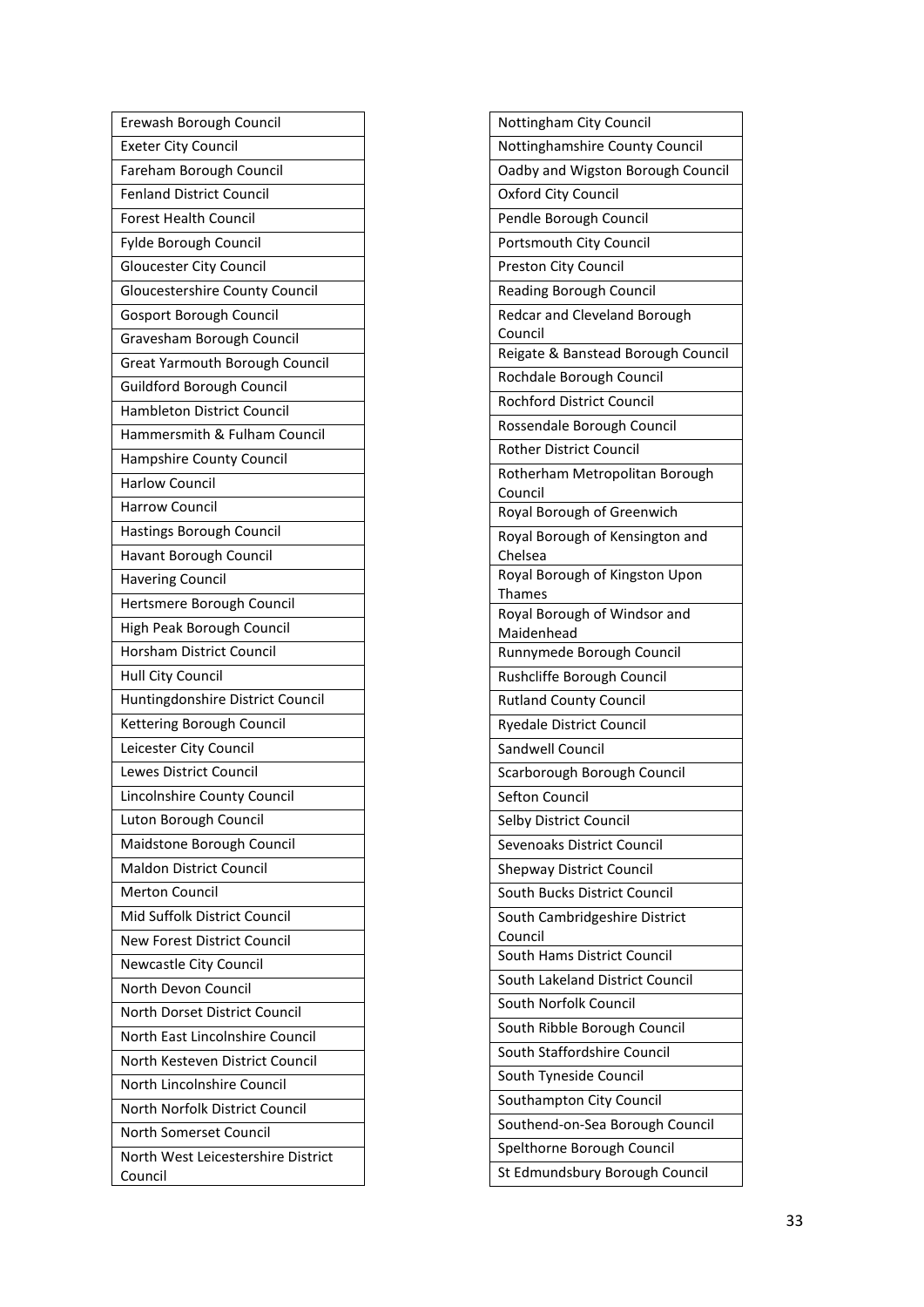| Erewash Borough Council                       |
|-----------------------------------------------|
| <b>Exeter City Council</b>                    |
| Fareham Borough Council                       |
| <b>Fenland District Council</b>               |
| <b>Forest Health Council</b>                  |
| Fylde Borough Council                         |
| <b>Gloucester City Council</b>                |
| Gloucestershire County Council                |
| Gosport Borough Council                       |
| Gravesham Borough Council                     |
| Great Yarmouth Borough Council                |
| <b>Guildford Borough Council</b>              |
| <b>Hambleton District Council</b>             |
| Hammersmith & Fulham Council                  |
| Hampshire County Council                      |
| <b>Harlow Council</b>                         |
| <b>Harrow Council</b>                         |
| Hastings Borough Council                      |
| Havant Borough Council                        |
| <b>Havering Council</b>                       |
| Hertsmere Borough Council                     |
| High Peak Borough Council                     |
| <b>Horsham District Council</b>               |
| Hull City Council                             |
| Huntingdonshire District Council              |
| Kettering Borough Council                     |
| Leicester City Council                        |
| <b>Lewes District Council</b>                 |
| Lincolnshire County Council                   |
| Luton Borough Council                         |
| Maidstone Borough Council                     |
| <b>Maldon District Council</b>                |
| <b>Merton Council</b>                         |
| Mid Suffolk District Council                  |
| New Forest District Council                   |
| Newcastle City Council                        |
| North Devon Council                           |
| North Dorset District Council                 |
| North East Lincolnshire Council               |
| North Kesteven District Council               |
| North Lincolnshire Council                    |
| North Norfolk District Council                |
| North Somerset Council                        |
| North West Leicestershire District<br>Council |

| Nottingham City Council                    |
|--------------------------------------------|
| Nottinghamshire County Council             |
| Oadby and Wigston Borough Council          |
| <b>Oxford City Council</b>                 |
| Pendle Borough Council                     |
| Portsmouth City Council                    |
| <b>Preston City Council</b>                |
| Reading Borough Council                    |
| Redcar and Cleveland Borough               |
| Council                                    |
| Reigate & Banstead Borough Council         |
| Rochdale Borough Council                   |
| Rochford District Council                  |
| Rossendale Borough Council                 |
| Rother District Council                    |
| Rotherham Metropolitan Borough             |
| Council                                    |
| Royal Borough of Greenwich                 |
| Royal Borough of Kensington and<br>Chelsea |
| Royal Borough of Kingston Upon             |
| Thames                                     |
| Royal Borough of Windsor and               |
| Maidenhead                                 |
| Runnymede Borough Council                  |
| Rushcliffe Borough Council                 |
| <b>Rutland County Council</b>              |
| <b>Ryedale District Council</b>            |
| Sandwell Council                           |
| Scarborough Borough Council                |
| Sefton Council                             |
| Selby District Council                     |
| Sevenoaks District Council                 |
| <b>Shepway District Council</b>            |
| South Bucks District Council               |
| South Cambridgeshire District              |
| Council                                    |
| South Hams District Council                |
| South Lakeland District Council            |
| South Norfolk Council                      |
| South Ribble Borough Council               |
| South Staffordshire Council                |
| South Tyneside Council                     |
| Southampton City Council                   |
| Southend-on-Sea Borough Council            |
| Spelthorne Borough Council                 |
| St Edmundsbury Borough Council             |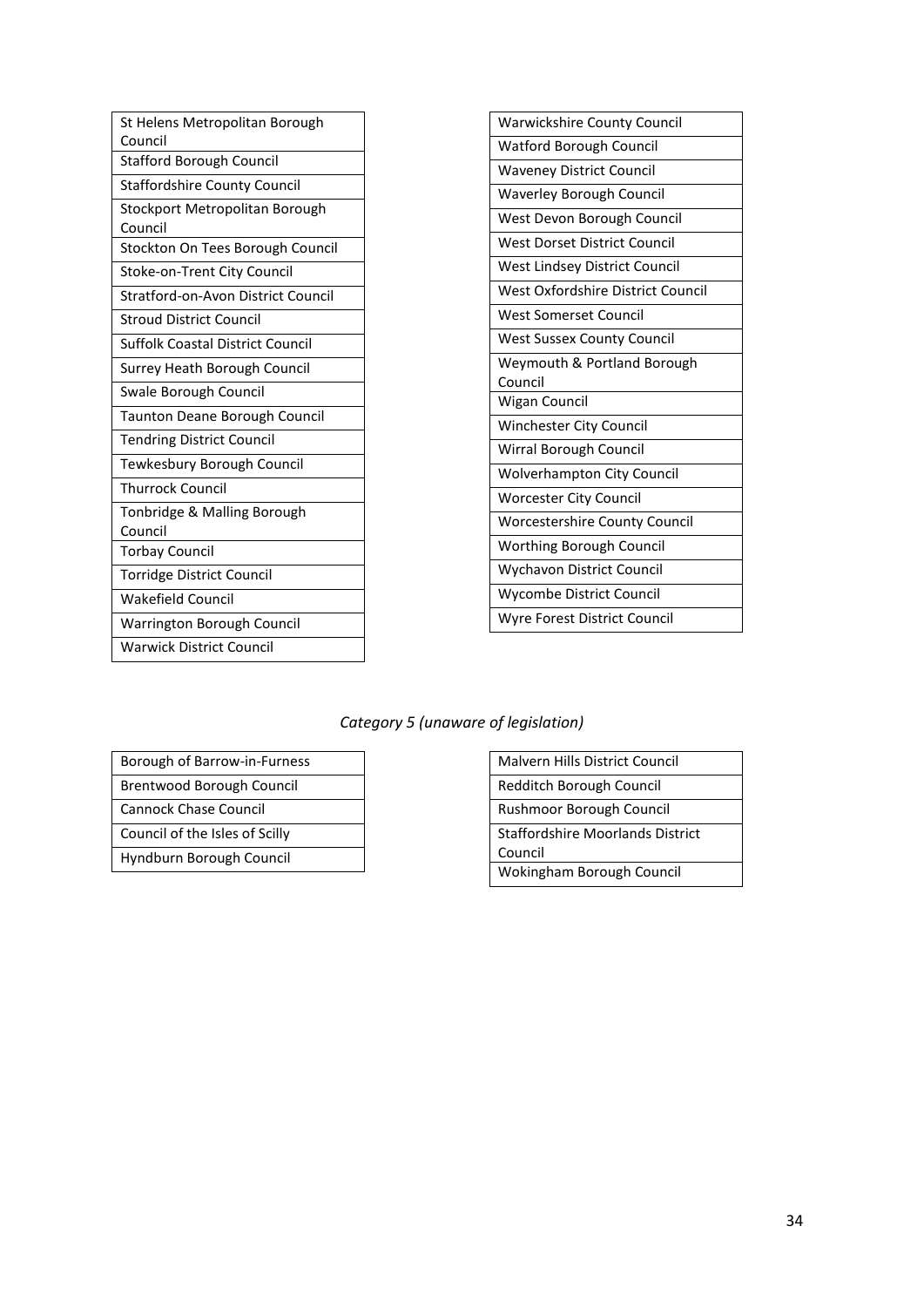| St Helens Metropolitan Borough          | <b>Warwickshire County Council</b>   |
|-----------------------------------------|--------------------------------------|
| Council                                 | <b>Watford Borough Council</b>       |
| <b>Stafford Borough Council</b>         | <b>Waveney District Council</b>      |
| <b>Staffordshire County Council</b>     | <b>Waverley Borough Council</b>      |
| Stockport Metropolitan Borough          | West Devon Borough Council           |
| Council                                 | West Dorset District Council         |
| Stockton On Tees Borough Council        |                                      |
| Stoke-on-Trent City Council             | West Lindsey District Council        |
| Stratford-on-Avon District Council      | West Oxfordshire District Council    |
| <b>Stroud District Council</b>          | <b>West Somerset Council</b>         |
| <b>Suffolk Coastal District Council</b> | <b>West Sussex County Council</b>    |
| Surrey Heath Borough Council            | Weymouth & Portland Borough          |
| Swale Borough Council                   | Council                              |
|                                         | Wigan Council                        |
| <b>Taunton Deane Borough Council</b>    | Winchester City Council              |
| <b>Tendring District Council</b>        | Wirral Borough Council               |
| Tewkesbury Borough Council              | <b>Wolverhampton City Council</b>    |
| <b>Thurrock Council</b>                 | <b>Worcester City Council</b>        |
| Tonbridge & Malling Borough             | <b>Worcestershire County Council</b> |
| Council                                 | Worthing Borough Council             |
| <b>Torbay Council</b>                   |                                      |
| <b>Torridge District Council</b>        | <b>Wychavon District Council</b>     |
| <b>Wakefield Council</b>                | Wycombe District Council             |
| Warrington Borough Council              | Wyre Forest District Council         |
| <b>Warwick District Council</b>         |                                      |

#### *Category 5 (unaware of legislation)*

| Borough of Barrow-in-Furness   |
|--------------------------------|
| Brentwood Borough Council      |
| Cannock Chase Council          |
| Council of the Isles of Scilly |
| Hyndburn Borough Council       |

| <b>Malvern Hills District Council</b>   |
|-----------------------------------------|
| Redditch Borough Council                |
| Rushmoor Borough Council                |
| <b>Staffordshire Moorlands District</b> |
| Council                                 |
| Wokingham Borough Council               |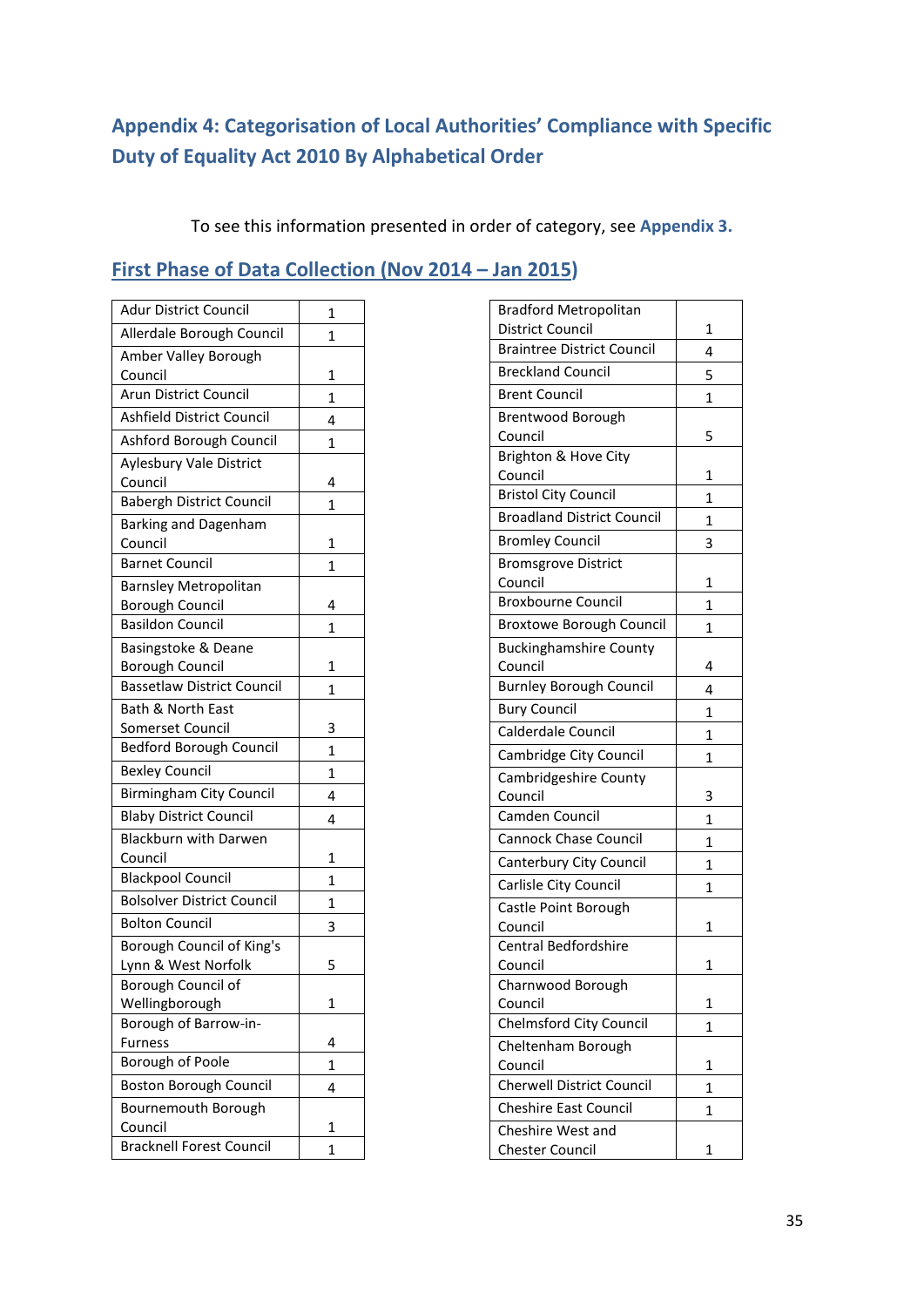# <span id="page-34-0"></span>**Appendix 4: Categorisation of Local Authorities' Compliance with Specific Duty of Equality Act 2010 By Alphabetical Order**

To see this information presented in order of category, see **Appendix 3.**

# <span id="page-34-1"></span>**First Phase of Data Collection (Nov 2014 – Jan 2015)**

| <b>Adur District Council</b>      | 1            |
|-----------------------------------|--------------|
| Allerdale Borough Council         | 1            |
| Amber Valley Borough              |              |
| Council                           | 1            |
| Arun District Council             | $\mathbf{1}$ |
| Ashfield District Council         | 4            |
| Ashford Borough Council           | 1            |
| Aylesbury Vale District           |              |
| Council                           | 4            |
| <b>Babergh District Council</b>   | 1            |
| Barking and Dagenham              |              |
| Council                           | 1            |
| <b>Barnet Council</b>             | 1            |
| <b>Barnsley Metropolitan</b>      |              |
| <b>Borough Council</b>            | 4            |
| <b>Basildon Council</b>           | 1            |
| Basingstoke & Deane               |              |
| <b>Borough Council</b>            | 1            |
| <b>Bassetlaw District Council</b> | 1            |
| <b>Bath &amp; North East</b>      |              |
| Somerset Council                  | 3            |
| <b>Bedford Borough Council</b>    | $\mathbf{1}$ |
| <b>Bexley Council</b>             | 1            |
| <b>Birmingham City Council</b>    | 4            |
| <b>Blaby District Council</b>     | 4            |
| <b>Blackburn with Darwen</b>      |              |
| Council                           | 1            |
| <b>Blackpool Council</b>          | $\mathbf{1}$ |
| <b>Bolsolver District Council</b> | 1            |
| Bolton Council                    | 3            |
| Borough Council of King's         |              |
| Lynn & West Norfolk               | 5            |
| Borough Council of                |              |
| Wellingborough                    | 1            |
| Borough of Barrow-in-             |              |
| Furness                           | 4            |
| Borough of Poole                  | 1            |
| Boston Borough Council            | 4            |
| Bournemouth Borough               |              |
| Council                           | 1            |
| <b>Bracknell Forest Council</b>   | 1            |

| <b>Bradford Metropolitan</b>              |   |
|-------------------------------------------|---|
| <b>District Council</b>                   | 1 |
| <b>Braintree District Council</b>         | 4 |
| <b>Breckland Council</b>                  | 5 |
| <b>Brent Council</b>                      | 1 |
| Brentwood Borough                         |   |
| Council                                   | 5 |
| Brighton & Hove City                      |   |
| Council                                   | 1 |
| <b>Bristol City Council</b>               | 1 |
| <b>Broadland District Council</b>         | 1 |
| <b>Bromley Council</b>                    | 3 |
| <b>Bromsgrove District</b>                |   |
| Council                                   | 1 |
| <b>Broxbourne Council</b>                 | 1 |
| <b>Broxtowe Borough Council</b>           | 1 |
| <b>Buckinghamshire County</b>             |   |
| Council                                   | 4 |
| <b>Burnley Borough Council</b>            | 4 |
| <b>Bury Council</b>                       | 1 |
| Calderdale Council                        | 1 |
| Cambridge City Council                    | 1 |
| Cambridgeshire County                     |   |
| Council                                   | 3 |
| Camden Council                            | 1 |
| <b>Cannock Chase Council</b>              | 1 |
| Canterbury City Council                   | 1 |
| Carlisle City Council                     | 1 |
| Castle Point Borough                      |   |
| Council                                   | 1 |
| Central Bedfordshire                      |   |
| Council                                   | 1 |
| Charnwood Borough                         | 1 |
| Council<br><b>Chelmsford City Council</b> |   |
|                                           | 1 |
| Cheltenham Borough<br>Council             | 1 |
| <b>Cherwell District Council</b>          | 1 |
| <b>Cheshire East Council</b>              |   |
| Cheshire West and                         | 1 |
| <b>Chester Council</b>                    | 1 |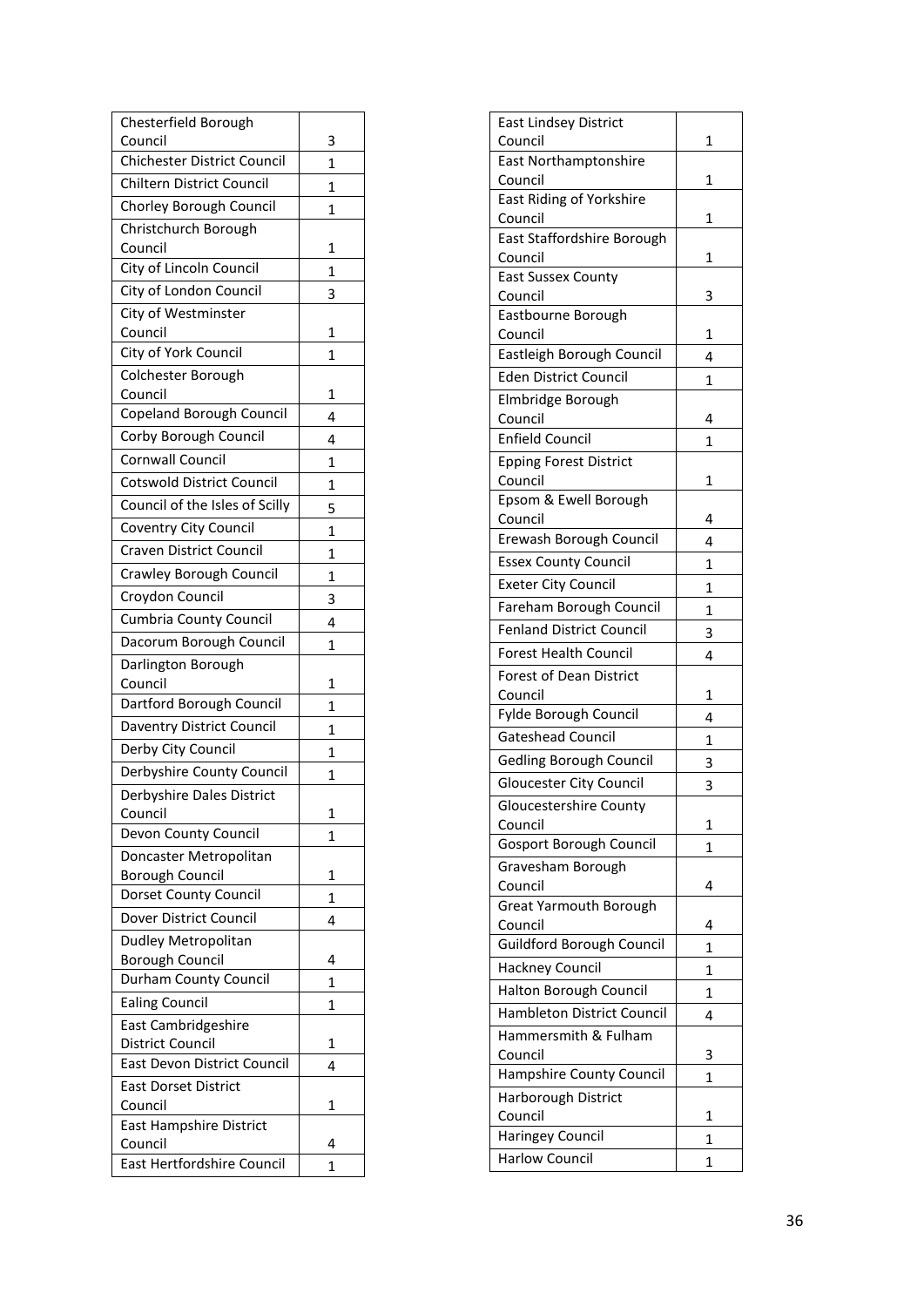| Chesterfield Borough                            |                   |
|-------------------------------------------------|-------------------|
| Council<br>Chichester District Council          | 3                 |
| Chiltern District Council                       | $\mathbf{1}$      |
| Chorley Borough Council                         | 1                 |
| Christchurch Borough                            | 1                 |
| Council                                         | $\mathbf{1}$      |
| City of Lincoln Council                         | $\mathbf{1}$      |
| City of London Council                          | 3                 |
| City of Westminster                             |                   |
| Council                                         | 1                 |
| City of York Council                            | 1                 |
| Colchester Borough                              |                   |
| Council<br>Copeland Borough Council             | 1<br>4            |
| Corby Borough Council                           | 4                 |
| <b>Cornwall Council</b>                         |                   |
| <b>Cotswold District Council</b>                | 1<br>$\mathbf{1}$ |
| Council of the Isles of Scilly                  | 5                 |
| Coventry City Council                           | 1                 |
| <b>Craven District Council</b>                  | 1                 |
| Crawley Borough Council                         | $\overline{1}$    |
| Croydon Council                                 | 3                 |
| <b>Cumbria County Council</b>                   | 4                 |
| Dacorum Borough Council                         | 1                 |
| Darlington Borough                              |                   |
| Council                                         | 1                 |
| Dartford Borough Council                        | $\mathbf{1}$      |
| Daventry District Council                       | 1                 |
| Derby City Council                              | 1                 |
| Derbyshire County Council                       | 1                 |
| Derbyshire Dales District                       |                   |
| Council<br>Devon County Council                 | 1                 |
|                                                 |                   |
|                                                 | 1                 |
| Doncaster Metropolitan                          |                   |
| Borough Council                                 | 1                 |
| Dorset County Council<br>Dover District Council | 1                 |
| Dudley Metropolitan                             | 4                 |
| <b>Borough Council</b>                          | 4                 |
| Durham County Council                           | 1                 |
| <b>Ealing Council</b>                           | 1                 |
| East Cambridgeshire                             |                   |
| <b>District Council</b>                         | 1                 |
| East Devon District Council                     | 4                 |
| <b>East Dorset District</b>                     | 1                 |
| Council<br><b>East Hampshire District</b>       |                   |
| Council<br>East Hertfordshire Council           | 4                 |

| <b>East Lindsey District</b>         |   |
|--------------------------------------|---|
| Council                              | 1 |
| <b>East Northamptonshire</b>         |   |
| Council                              | 1 |
| East Riding of Yorkshire             |   |
| Council                              | 1 |
| East Staffordshire Borough           |   |
| Council<br><b>East Sussex County</b> | 1 |
| Council                              | 3 |
| Eastbourne Borough                   |   |
| Council                              | 1 |
| Eastleigh Borough Council            | 4 |
| <b>Eden District Council</b>         | 1 |
| Elmbridge Borough                    |   |
| Council                              | 4 |
| <b>Enfield Council</b>               | 1 |
| <b>Epping Forest District</b>        |   |
| Council                              | 1 |
| Epsom & Ewell Borough                |   |
| Council                              | 4 |
| Erewash Borough Council              | 4 |
| <b>Essex County Council</b>          | 1 |
| <b>Exeter City Council</b>           | 1 |
| Fareham Borough Council              | 1 |
| <b>Fenland District Council</b>      | 3 |
| <b>Forest Health Council</b>         | 4 |
| Forest of Dean District              |   |
| Council                              | 1 |
| Fylde Borough Council                | 4 |
| <b>Gateshead Council</b>             | 1 |
| Gedling Borough Council              | 3 |
| Gloucester City Council              |   |
|                                      | 3 |
| Gloucestershire County               |   |
| Council                              | 1 |
| Gosport Borough Council              | 1 |
| Gravesham Borough                    |   |
| Council                              | 4 |
| <b>Great Yarmouth Borough</b>        |   |
| Council                              | 4 |
| Guildford Borough Council            | 1 |
| <b>Hackney Council</b>               | 1 |
| <b>Halton Borough Council</b>        | 1 |
| Hambleton District Council           | 4 |
| Hammersmith & Fulham<br>Council      | 3 |
| Hampshire County Council             | 1 |
| Harborough District                  |   |
| Council                              | 1 |
| Haringey Council                     | 1 |
| <b>Harlow Council</b>                | 1 |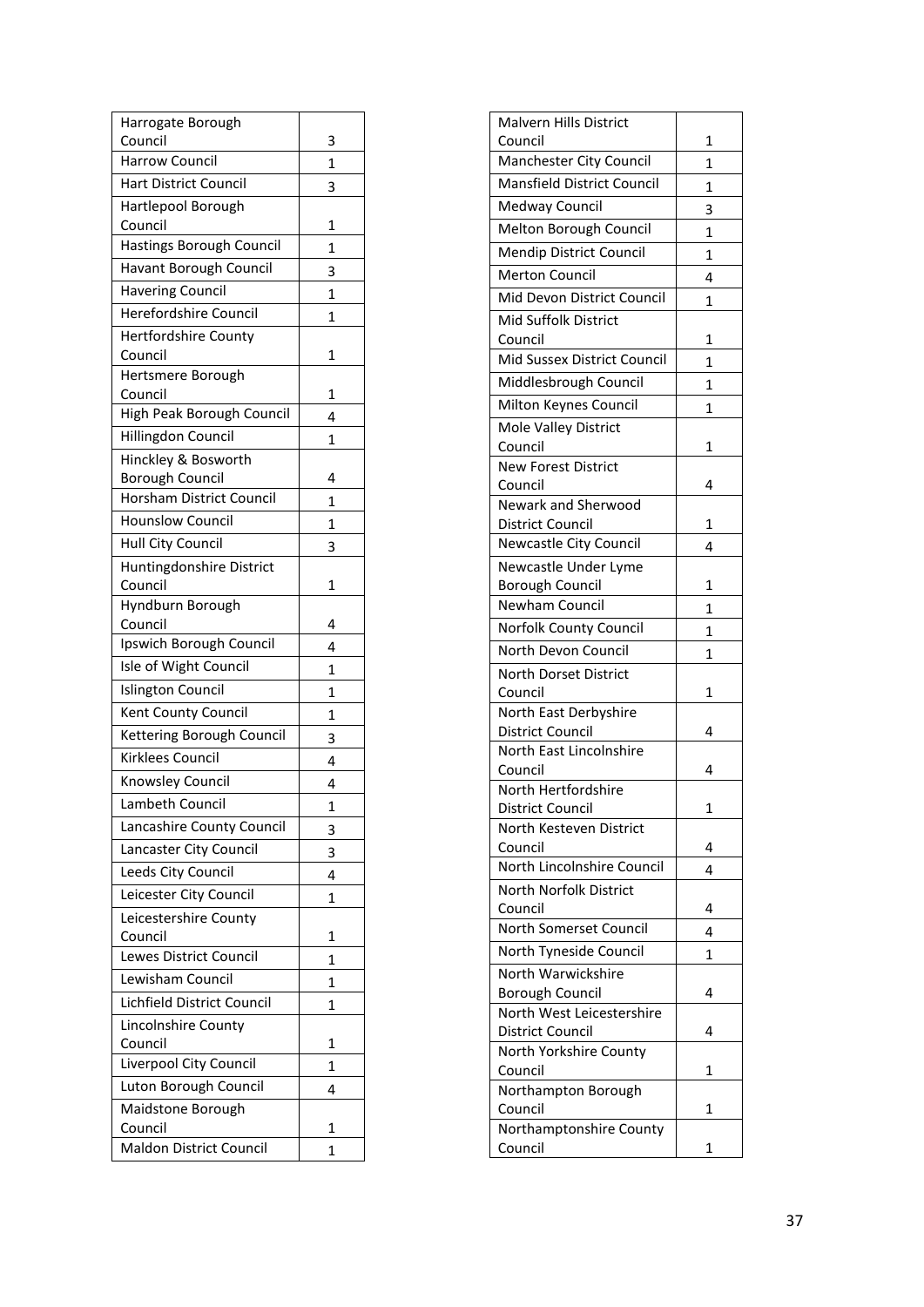| Harrogate Borough<br>Council                  |                   |
|-----------------------------------------------|-------------------|
| <b>Harrow Council</b>                         | 3<br>$\mathbf{1}$ |
| <b>Hart District Council</b>                  | 3                 |
| Hartlepool Borough                            |                   |
| Council                                       | 1                 |
| Hastings Borough Council                      | 1                 |
| Havant Borough Council                        | 3                 |
| <b>Havering Council</b>                       | 1                 |
| <b>Herefordshire Council</b>                  | 1                 |
| <b>Hertfordshire County</b>                   |                   |
| Council                                       | 1                 |
| Hertsmere Borough                             |                   |
| Council<br>High Peak Borough Council          | 1                 |
|                                               | 4                 |
| Hillingdon Council                            | 1                 |
| Hinckley & Bosworth<br><b>Borough Council</b> | 4                 |
| Horsham District Council                      | $\mathbf{1}$      |
| <b>Hounslow Council</b>                       | $\mathbf{1}$      |
| Hull City Council                             |                   |
| Huntingdonshire District                      | 3                 |
| Council                                       | 1                 |
| Hyndburn Borough                              |                   |
| Council                                       | 4                 |
| Ipswich Borough Council                       | 4                 |
| Isle of Wight Council                         | 1                 |
| <b>Islington Council</b>                      | $\overline{1}$    |
| Kent County Council                           | 1                 |
| Kettering Borough Council                     | 3                 |
| Kirklees Council                              | 4                 |
| Knowsley Council                              | 4                 |
| <b>Lambeth Council</b>                        | $\mathbf{1}$      |
| Lancashire County Council                     | 3                 |
| Lancaster City Council                        | 3                 |
| Leeds City Council                            | 4                 |
| Leicester City Council                        | 1                 |
| Leicestershire County                         |                   |
| Council                                       | 1                 |
| Lewes District Council                        | 1                 |
| Lewisham Council                              | 1                 |
| Lichfield District Council                    | 1                 |
| Lincolnshire County                           |                   |
| Council                                       | $\mathbf{1}$      |
| Liverpool City Council                        | 1                 |
| Luton Borough Council                         | 4                 |
| Maidstone Borough<br>Council                  | 1                 |
| <b>Maldon District Council</b>                | 1                 |
|                                               |                   |

| Malvern Hills District            |   |
|-----------------------------------|---|
| Council                           | 1 |
| Manchester City Council           | 1 |
| <b>Mansfield District Council</b> | 1 |
| Medway Council                    | 3 |
| Melton Borough Council            | 1 |
| Mendip District Council           | 1 |
| <b>Merton Council</b>             | 4 |
| Mid Devon District Council        | 1 |
| Mid Suffolk District              |   |
| Council                           | 1 |
| Mid Sussex District Council       | 1 |
| Middlesbrough Council             | 1 |
| Milton Keynes Council             | 1 |
| Mole Valley District              |   |
| Council                           | 1 |
| <b>New Forest District</b>        |   |
| Council                           | 4 |
| <b>Newark and Sherwood</b>        |   |
| District Council                  | 1 |
| Newcastle City Council            | 4 |
| Newcastle Under Lyme              |   |
| <b>Borough Council</b>            | 1 |
| Newham Council                    | 1 |
| Norfolk County Council            | 1 |
| North Devon Council               | 1 |
| North Dorset District             |   |
| Council                           | 1 |
| North East Derbyshire             |   |
| <b>District Council</b>           | 4 |
| North East Lincolnshire           |   |
| Council<br>North Hertfordshire    | 4 |
| District Council                  | 1 |
| North Kesteven District           |   |
| Council                           | 4 |
| North Lincolnshire Council        | 4 |
| North Norfolk District            |   |
| Council                           | 4 |
| North Somerset Council            | 4 |
| North Tyneside Council            | 1 |
| North Warwickshire                |   |
| <b>Borough Council</b>            | 4 |
| North West Leicestershire         |   |
| District Council                  | 4 |
| North Yorkshire County            |   |
| Council                           | 1 |
| Northampton Borough<br>Council    | 1 |
| Northamptonshire County           |   |
| Council                           | 1 |
|                                   |   |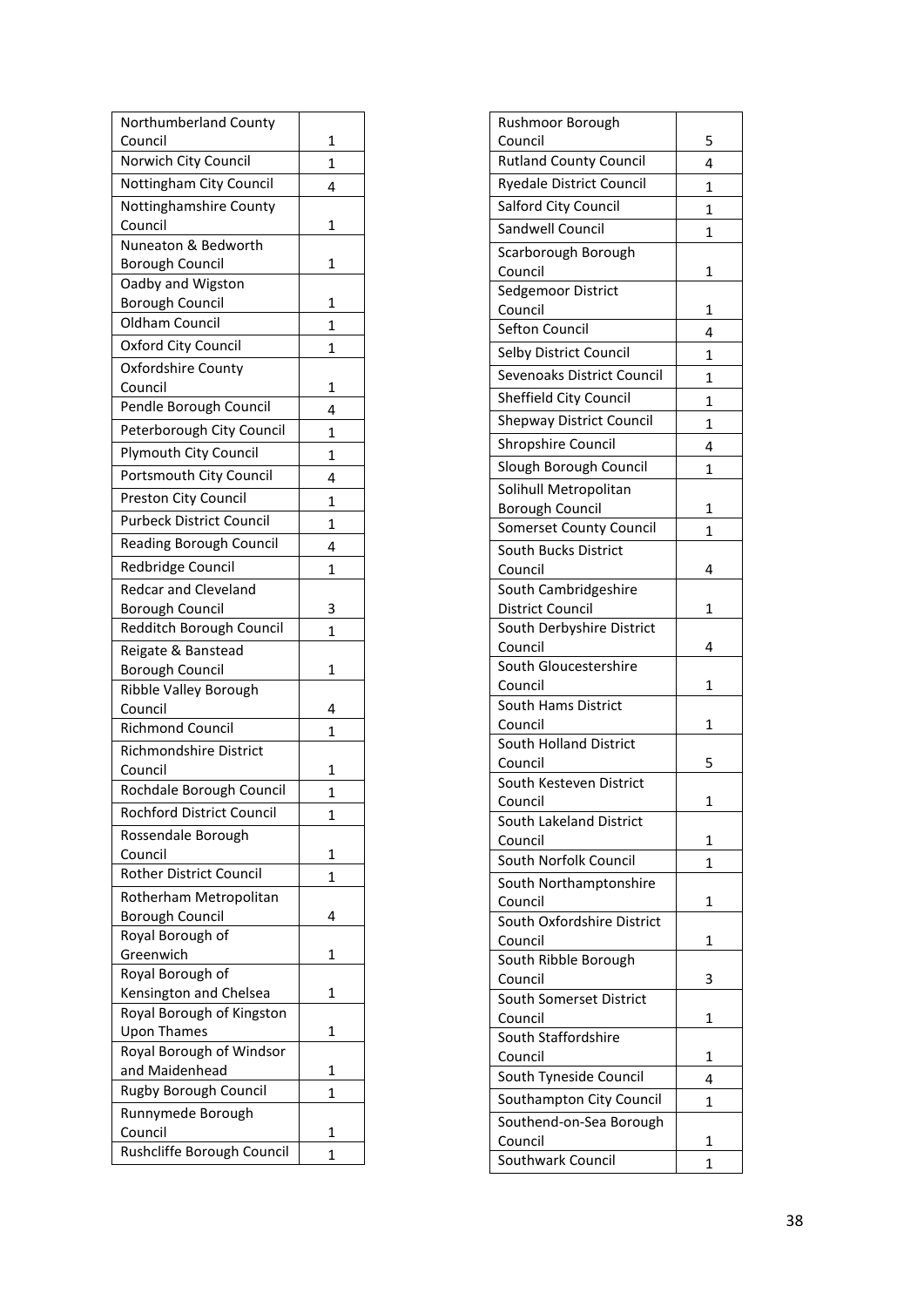| Northumberland County                       |                |
|---------------------------------------------|----------------|
| Council<br>Norwich City Council             | 1              |
|                                             | $\mathbf{1}$   |
| Nottingham City Council                     | 4              |
| Nottinghamshire County                      |                |
| Council<br>Nuneaton & Bedworth              | 1              |
|                                             | 1              |
| <b>Borough Council</b><br>Oadby and Wigston |                |
| <b>Borough Council</b>                      | 1              |
| <b>Oldham Council</b>                       | 1              |
| Oxford City Council                         |                |
| Oxfordshire County                          | 1              |
| Council                                     | 1              |
| Pendle Borough Council                      |                |
|                                             | 4              |
| Peterborough City Council                   | 1              |
| <b>Plymouth City Council</b>                | 1              |
| Portsmouth City Council                     | 4              |
| Preston City Council                        | 1              |
| <b>Purbeck District Council</b>             | $\mathbf{1}$   |
| <b>Reading Borough Council</b>              | 4              |
| Redbridge Council                           | 1              |
| <b>Redcar and Cleveland</b>                 |                |
| <b>Borough Council</b>                      | 3              |
| Redditch Borough Council                    | 1              |
| Reigate & Banstead                          |                |
| <b>Borough Council</b>                      | 1              |
| Ribble Valley Borough                       |                |
| Council                                     | 4              |
| <b>Richmond Council</b>                     | 1              |
| Richmondshire District                      |                |
| Council                                     | 1              |
| Rochdale Borough Council                    | 1              |
| Rochford District Council                   | 1              |
| Rossendale Borough                          |                |
| Council                                     | 1              |
| <b>Rother District Council</b>              | $\overline{1}$ |
| Rotherham Metropolitan                      |                |
| Borough Council                             | 4              |
| Royal Borough of                            |                |
| Greenwich                                   | 1              |
| Royal Borough of                            |                |
| Kensington and Chelsea                      | 1              |
| Royal Borough of Kingston                   |                |
| <b>Upon Thames</b>                          | 1              |
| Royal Borough of Windsor<br>and Maidenhead  | 1              |
| Rugby Borough Council                       |                |
|                                             | 1              |
| Runnymede Borough<br>Council                | 1              |
| Rushcliffe Borough Council                  |                |
|                                             | 1              |

| Rushmoor Borough                                |   |
|-------------------------------------------------|---|
| Council                                         | 5 |
| <b>Rutland County Council</b>                   | 4 |
| <b>Ryedale District Council</b>                 | 1 |
| Salford City Council                            | 1 |
| Sandwell Council                                | 1 |
| Scarborough Borough                             |   |
| Council                                         | 1 |
| Sedgemoor District                              |   |
| Council                                         | 1 |
| Sefton Council                                  | 4 |
| Selby District Council                          | 1 |
| <b>Sevenoaks District Council</b>               | 1 |
| Sheffield City Council                          | 1 |
| <b>Shepway District Council</b>                 | 1 |
| Shropshire Council                              | 4 |
| Slough Borough Council                          |   |
|                                                 | 1 |
| Solihull Metropolitan<br><b>Borough Council</b> | 1 |
| <b>Somerset County Council</b>                  | 1 |
| South Bucks District                            |   |
| Council                                         | 4 |
| South Cambridgeshire                            |   |
| District Council                                | 1 |
| South Derbyshire District                       |   |
| Council                                         | 4 |
| South Gloucestershire                           |   |
| Council                                         | 1 |
| <b>South Hams District</b>                      |   |
| Council                                         | 1 |
| South Holland District                          |   |
| Council                                         | 5 |
| South Kesteven District<br>Council              | 1 |
| South Lakeland District                         |   |
| Council                                         | 1 |
| South Norfolk Council                           | 1 |
| South Northamptonshire                          |   |
| Council                                         | 1 |
| South Oxfordshire District                      |   |
| Council                                         | 1 |
| South Ribble Borough                            |   |
| Council                                         | 3 |
| South Somerset District                         |   |
| Council<br>South Staffordshire                  | 1 |
| Council                                         | 1 |
| South Tyneside Council                          |   |
|                                                 | 4 |
| Southampton City Council                        | 1 |
| Southend-on-Sea Borough<br>Council              | 1 |
| Southwark Council                               | 1 |
|                                                 |   |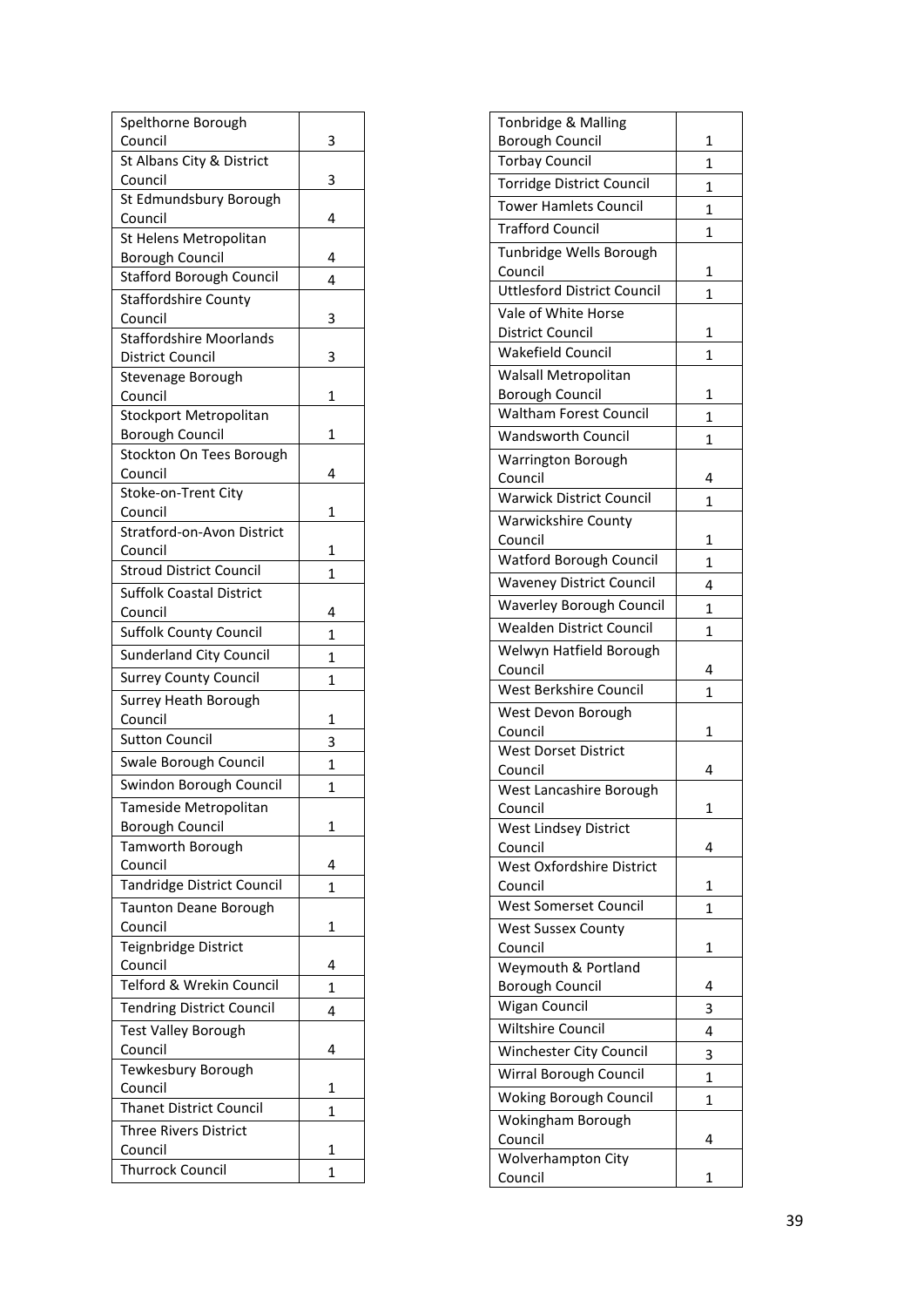| Spelthorne Borough                     |   |
|----------------------------------------|---|
| Council                                | 3 |
| St Albans City & District              |   |
| Council                                | 3 |
| St Edmundsbury Borough                 |   |
| Council                                | 4 |
| St Helens Metropolitan                 |   |
| <b>Borough Council</b>                 | 4 |
| <b>Stafford Borough Council</b>        | 4 |
| <b>Staffordshire County</b><br>Council | 3 |
| <b>Staffordshire Moorlands</b>         |   |
| District Council                       | 3 |
| Stevenage Borough                      |   |
| Council                                | 1 |
| Stockport Metropolitan                 |   |
| <b>Borough Council</b>                 | 1 |
| Stockton On Tees Borough               |   |
| Council                                | 4 |
| Stoke-on-Trent City                    |   |
| Council                                | 1 |
| Stratford-on-Avon District             |   |
| Council                                | 1 |
| <b>Stroud District Council</b>         | 1 |
| <b>Suffolk Coastal District</b>        |   |
| Council                                | 4 |
| <b>Suffolk County Council</b>          | 1 |
| Sunderland City Council                | 1 |
| <b>Surrey County Council</b>           | 1 |
| Surrey Heath Borough                   |   |
| Council                                | 1 |
| <b>Sutton Council</b>                  | 3 |
| Swale Borough Council                  | 1 |
| Swindon Borough Council                | 1 |
| Tameside Metropolitan                  |   |
| <b>Borough Council</b>                 | 1 |
| Tamworth Borough                       |   |
| Council                                | 4 |
| Tandridge District Council             | 1 |
| <b>Taunton Deane Borough</b>           |   |
| Council                                | 1 |
| Teignbridge District                   |   |
| Council                                | 4 |
| Telford & Wrekin Council               | 1 |
| <b>Tendring District Council</b>       | 4 |
| Test Valley Borough                    |   |
| Council                                | 4 |
| Tewkesbury Borough                     |   |
| Council                                | 1 |
| <b>Thanet District Council</b>         | 1 |
| <b>Three Rivers District</b>           |   |
| Council                                | 1 |
| <b>Thurrock Council</b>                | 1 |

| <b>Borough Council</b><br>1<br><b>Torbay Council</b><br>1<br>Torridge District Council<br>1<br><b>Tower Hamlets Council</b><br>$\mathbf{1}$<br><b>Trafford Council</b><br>1<br>Tunbridge Wells Borough<br>Council<br>1<br><b>Uttlesford District Council</b><br>$\overline{1}$<br>Vale of White Horse<br><b>District Council</b><br>1<br><b>Wakefield Council</b><br>1<br>Walsall Metropolitan<br><b>Borough Council</b><br>1<br><b>Waltham Forest Council</b><br>1<br><b>Wandsworth Council</b><br>1<br>Warrington Borough<br>4<br>Council<br><b>Warwick District Council</b><br>1<br><b>Warwickshire County</b><br>Council<br>1<br>Watford Borough Council<br>1<br><b>Waveney District Council</b><br>4<br><b>Waverley Borough Council</b><br>1<br><b>Wealden District Council</b><br>1<br>Welwyn Hatfield Borough<br>Council<br>4<br>West Berkshire Council<br>1<br>West Devon Borough<br>Council<br>1<br><b>West Dorset District</b><br>Council<br>4<br>West Lancashire Borough<br>Council<br>1<br>West Lindsey District<br>Council<br>4<br>West Oxfordshire District<br>Council<br>1<br><b>West Somerset Council</b><br>1<br>West Sussex County<br>Council<br>1<br>Weymouth & Portland<br><b>Borough Council</b><br>4<br>Wigan Council<br>3<br><b>Wiltshire Council</b><br>4<br>Winchester City Council<br>3<br>Wirral Borough Council<br>1<br>Woking Borough Council<br>1<br>Wokingham Borough<br>Council<br>4<br>Wolverhampton City<br>Council<br>1 | Tonbridge & Malling |  |
|------------------------------------------------------------------------------------------------------------------------------------------------------------------------------------------------------------------------------------------------------------------------------------------------------------------------------------------------------------------------------------------------------------------------------------------------------------------------------------------------------------------------------------------------------------------------------------------------------------------------------------------------------------------------------------------------------------------------------------------------------------------------------------------------------------------------------------------------------------------------------------------------------------------------------------------------------------------------------------------------------------------------------------------------------------------------------------------------------------------------------------------------------------------------------------------------------------------------------------------------------------------------------------------------------------------------------------------------------------------------------------------------------------------------------------------------------------|---------------------|--|
|                                                                                                                                                                                                                                                                                                                                                                                                                                                                                                                                                                                                                                                                                                                                                                                                                                                                                                                                                                                                                                                                                                                                                                                                                                                                                                                                                                                                                                                            |                     |  |
|                                                                                                                                                                                                                                                                                                                                                                                                                                                                                                                                                                                                                                                                                                                                                                                                                                                                                                                                                                                                                                                                                                                                                                                                                                                                                                                                                                                                                                                            |                     |  |
|                                                                                                                                                                                                                                                                                                                                                                                                                                                                                                                                                                                                                                                                                                                                                                                                                                                                                                                                                                                                                                                                                                                                                                                                                                                                                                                                                                                                                                                            |                     |  |
|                                                                                                                                                                                                                                                                                                                                                                                                                                                                                                                                                                                                                                                                                                                                                                                                                                                                                                                                                                                                                                                                                                                                                                                                                                                                                                                                                                                                                                                            |                     |  |
|                                                                                                                                                                                                                                                                                                                                                                                                                                                                                                                                                                                                                                                                                                                                                                                                                                                                                                                                                                                                                                                                                                                                                                                                                                                                                                                                                                                                                                                            |                     |  |
|                                                                                                                                                                                                                                                                                                                                                                                                                                                                                                                                                                                                                                                                                                                                                                                                                                                                                                                                                                                                                                                                                                                                                                                                                                                                                                                                                                                                                                                            |                     |  |
|                                                                                                                                                                                                                                                                                                                                                                                                                                                                                                                                                                                                                                                                                                                                                                                                                                                                                                                                                                                                                                                                                                                                                                                                                                                                                                                                                                                                                                                            |                     |  |
|                                                                                                                                                                                                                                                                                                                                                                                                                                                                                                                                                                                                                                                                                                                                                                                                                                                                                                                                                                                                                                                                                                                                                                                                                                                                                                                                                                                                                                                            |                     |  |
|                                                                                                                                                                                                                                                                                                                                                                                                                                                                                                                                                                                                                                                                                                                                                                                                                                                                                                                                                                                                                                                                                                                                                                                                                                                                                                                                                                                                                                                            |                     |  |
|                                                                                                                                                                                                                                                                                                                                                                                                                                                                                                                                                                                                                                                                                                                                                                                                                                                                                                                                                                                                                                                                                                                                                                                                                                                                                                                                                                                                                                                            |                     |  |
|                                                                                                                                                                                                                                                                                                                                                                                                                                                                                                                                                                                                                                                                                                                                                                                                                                                                                                                                                                                                                                                                                                                                                                                                                                                                                                                                                                                                                                                            |                     |  |
|                                                                                                                                                                                                                                                                                                                                                                                                                                                                                                                                                                                                                                                                                                                                                                                                                                                                                                                                                                                                                                                                                                                                                                                                                                                                                                                                                                                                                                                            |                     |  |
|                                                                                                                                                                                                                                                                                                                                                                                                                                                                                                                                                                                                                                                                                                                                                                                                                                                                                                                                                                                                                                                                                                                                                                                                                                                                                                                                                                                                                                                            |                     |  |
|                                                                                                                                                                                                                                                                                                                                                                                                                                                                                                                                                                                                                                                                                                                                                                                                                                                                                                                                                                                                                                                                                                                                                                                                                                                                                                                                                                                                                                                            |                     |  |
|                                                                                                                                                                                                                                                                                                                                                                                                                                                                                                                                                                                                                                                                                                                                                                                                                                                                                                                                                                                                                                                                                                                                                                                                                                                                                                                                                                                                                                                            |                     |  |
|                                                                                                                                                                                                                                                                                                                                                                                                                                                                                                                                                                                                                                                                                                                                                                                                                                                                                                                                                                                                                                                                                                                                                                                                                                                                                                                                                                                                                                                            |                     |  |
|                                                                                                                                                                                                                                                                                                                                                                                                                                                                                                                                                                                                                                                                                                                                                                                                                                                                                                                                                                                                                                                                                                                                                                                                                                                                                                                                                                                                                                                            |                     |  |
|                                                                                                                                                                                                                                                                                                                                                                                                                                                                                                                                                                                                                                                                                                                                                                                                                                                                                                                                                                                                                                                                                                                                                                                                                                                                                                                                                                                                                                                            |                     |  |
|                                                                                                                                                                                                                                                                                                                                                                                                                                                                                                                                                                                                                                                                                                                                                                                                                                                                                                                                                                                                                                                                                                                                                                                                                                                                                                                                                                                                                                                            |                     |  |
|                                                                                                                                                                                                                                                                                                                                                                                                                                                                                                                                                                                                                                                                                                                                                                                                                                                                                                                                                                                                                                                                                                                                                                                                                                                                                                                                                                                                                                                            |                     |  |
|                                                                                                                                                                                                                                                                                                                                                                                                                                                                                                                                                                                                                                                                                                                                                                                                                                                                                                                                                                                                                                                                                                                                                                                                                                                                                                                                                                                                                                                            |                     |  |
|                                                                                                                                                                                                                                                                                                                                                                                                                                                                                                                                                                                                                                                                                                                                                                                                                                                                                                                                                                                                                                                                                                                                                                                                                                                                                                                                                                                                                                                            |                     |  |
|                                                                                                                                                                                                                                                                                                                                                                                                                                                                                                                                                                                                                                                                                                                                                                                                                                                                                                                                                                                                                                                                                                                                                                                                                                                                                                                                                                                                                                                            |                     |  |
|                                                                                                                                                                                                                                                                                                                                                                                                                                                                                                                                                                                                                                                                                                                                                                                                                                                                                                                                                                                                                                                                                                                                                                                                                                                                                                                                                                                                                                                            |                     |  |
|                                                                                                                                                                                                                                                                                                                                                                                                                                                                                                                                                                                                                                                                                                                                                                                                                                                                                                                                                                                                                                                                                                                                                                                                                                                                                                                                                                                                                                                            |                     |  |
|                                                                                                                                                                                                                                                                                                                                                                                                                                                                                                                                                                                                                                                                                                                                                                                                                                                                                                                                                                                                                                                                                                                                                                                                                                                                                                                                                                                                                                                            |                     |  |
|                                                                                                                                                                                                                                                                                                                                                                                                                                                                                                                                                                                                                                                                                                                                                                                                                                                                                                                                                                                                                                                                                                                                                                                                                                                                                                                                                                                                                                                            |                     |  |
|                                                                                                                                                                                                                                                                                                                                                                                                                                                                                                                                                                                                                                                                                                                                                                                                                                                                                                                                                                                                                                                                                                                                                                                                                                                                                                                                                                                                                                                            |                     |  |
|                                                                                                                                                                                                                                                                                                                                                                                                                                                                                                                                                                                                                                                                                                                                                                                                                                                                                                                                                                                                                                                                                                                                                                                                                                                                                                                                                                                                                                                            |                     |  |
|                                                                                                                                                                                                                                                                                                                                                                                                                                                                                                                                                                                                                                                                                                                                                                                                                                                                                                                                                                                                                                                                                                                                                                                                                                                                                                                                                                                                                                                            |                     |  |
|                                                                                                                                                                                                                                                                                                                                                                                                                                                                                                                                                                                                                                                                                                                                                                                                                                                                                                                                                                                                                                                                                                                                                                                                                                                                                                                                                                                                                                                            |                     |  |
|                                                                                                                                                                                                                                                                                                                                                                                                                                                                                                                                                                                                                                                                                                                                                                                                                                                                                                                                                                                                                                                                                                                                                                                                                                                                                                                                                                                                                                                            |                     |  |
|                                                                                                                                                                                                                                                                                                                                                                                                                                                                                                                                                                                                                                                                                                                                                                                                                                                                                                                                                                                                                                                                                                                                                                                                                                                                                                                                                                                                                                                            |                     |  |
|                                                                                                                                                                                                                                                                                                                                                                                                                                                                                                                                                                                                                                                                                                                                                                                                                                                                                                                                                                                                                                                                                                                                                                                                                                                                                                                                                                                                                                                            |                     |  |
|                                                                                                                                                                                                                                                                                                                                                                                                                                                                                                                                                                                                                                                                                                                                                                                                                                                                                                                                                                                                                                                                                                                                                                                                                                                                                                                                                                                                                                                            |                     |  |
|                                                                                                                                                                                                                                                                                                                                                                                                                                                                                                                                                                                                                                                                                                                                                                                                                                                                                                                                                                                                                                                                                                                                                                                                                                                                                                                                                                                                                                                            |                     |  |
|                                                                                                                                                                                                                                                                                                                                                                                                                                                                                                                                                                                                                                                                                                                                                                                                                                                                                                                                                                                                                                                                                                                                                                                                                                                                                                                                                                                                                                                            |                     |  |
|                                                                                                                                                                                                                                                                                                                                                                                                                                                                                                                                                                                                                                                                                                                                                                                                                                                                                                                                                                                                                                                                                                                                                                                                                                                                                                                                                                                                                                                            |                     |  |
|                                                                                                                                                                                                                                                                                                                                                                                                                                                                                                                                                                                                                                                                                                                                                                                                                                                                                                                                                                                                                                                                                                                                                                                                                                                                                                                                                                                                                                                            |                     |  |
|                                                                                                                                                                                                                                                                                                                                                                                                                                                                                                                                                                                                                                                                                                                                                                                                                                                                                                                                                                                                                                                                                                                                                                                                                                                                                                                                                                                                                                                            |                     |  |
|                                                                                                                                                                                                                                                                                                                                                                                                                                                                                                                                                                                                                                                                                                                                                                                                                                                                                                                                                                                                                                                                                                                                                                                                                                                                                                                                                                                                                                                            |                     |  |
|                                                                                                                                                                                                                                                                                                                                                                                                                                                                                                                                                                                                                                                                                                                                                                                                                                                                                                                                                                                                                                                                                                                                                                                                                                                                                                                                                                                                                                                            |                     |  |
|                                                                                                                                                                                                                                                                                                                                                                                                                                                                                                                                                                                                                                                                                                                                                                                                                                                                                                                                                                                                                                                                                                                                                                                                                                                                                                                                                                                                                                                            |                     |  |
|                                                                                                                                                                                                                                                                                                                                                                                                                                                                                                                                                                                                                                                                                                                                                                                                                                                                                                                                                                                                                                                                                                                                                                                                                                                                                                                                                                                                                                                            |                     |  |
|                                                                                                                                                                                                                                                                                                                                                                                                                                                                                                                                                                                                                                                                                                                                                                                                                                                                                                                                                                                                                                                                                                                                                                                                                                                                                                                                                                                                                                                            |                     |  |
|                                                                                                                                                                                                                                                                                                                                                                                                                                                                                                                                                                                                                                                                                                                                                                                                                                                                                                                                                                                                                                                                                                                                                                                                                                                                                                                                                                                                                                                            |                     |  |
|                                                                                                                                                                                                                                                                                                                                                                                                                                                                                                                                                                                                                                                                                                                                                                                                                                                                                                                                                                                                                                                                                                                                                                                                                                                                                                                                                                                                                                                            |                     |  |
|                                                                                                                                                                                                                                                                                                                                                                                                                                                                                                                                                                                                                                                                                                                                                                                                                                                                                                                                                                                                                                                                                                                                                                                                                                                                                                                                                                                                                                                            |                     |  |
|                                                                                                                                                                                                                                                                                                                                                                                                                                                                                                                                                                                                                                                                                                                                                                                                                                                                                                                                                                                                                                                                                                                                                                                                                                                                                                                                                                                                                                                            |                     |  |
|                                                                                                                                                                                                                                                                                                                                                                                                                                                                                                                                                                                                                                                                                                                                                                                                                                                                                                                                                                                                                                                                                                                                                                                                                                                                                                                                                                                                                                                            |                     |  |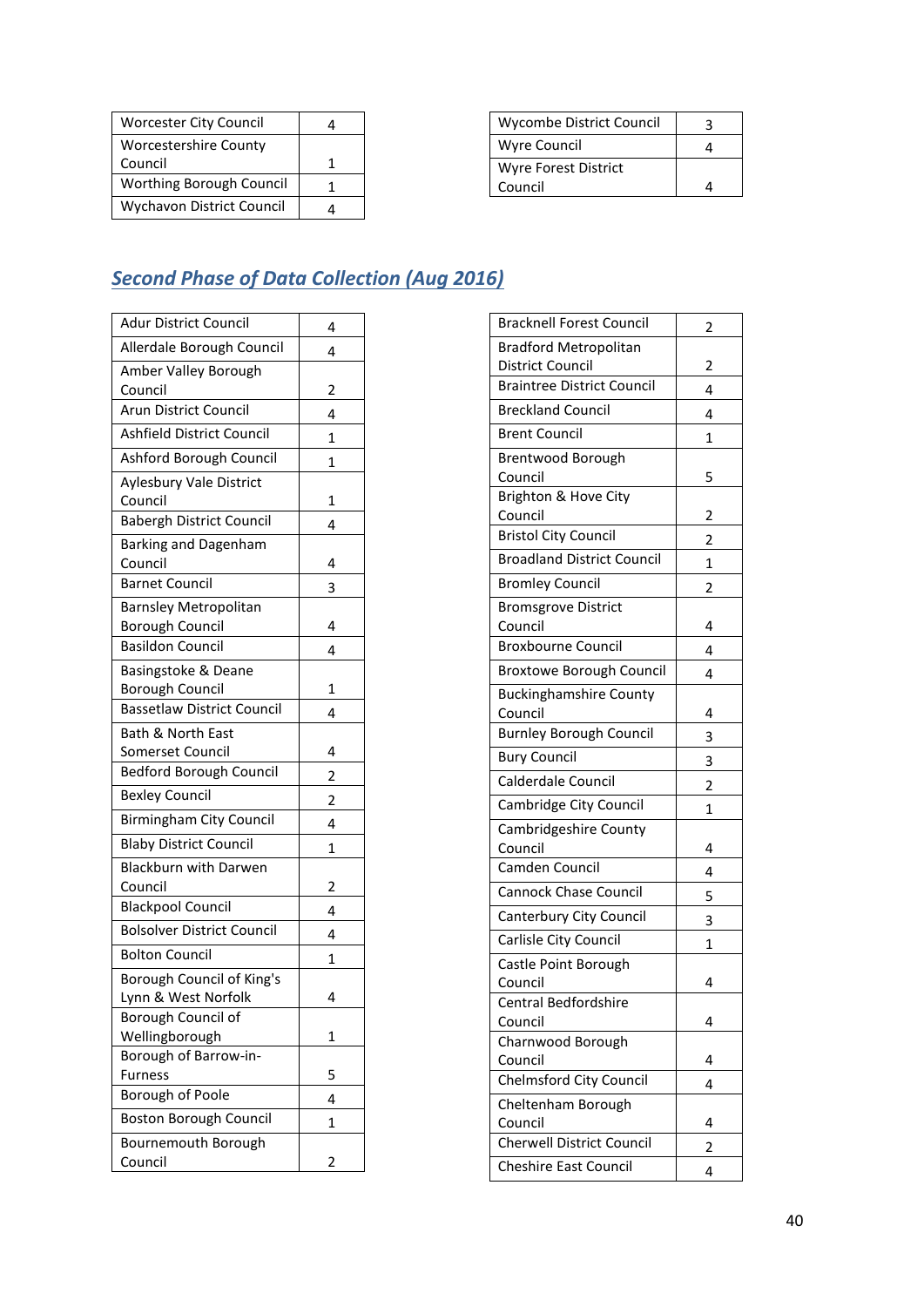| <b>Worcester City Council</b> |  |
|-------------------------------|--|
| <b>Worcestershire County</b>  |  |
| Council                       |  |
| Worthing Borough Council      |  |
| Wychavon District Council     |  |

| Wycombe District Council |  |
|--------------------------|--|
| Wyre Council             |  |
| Wyre Forest District     |  |
| Council                  |  |

# <span id="page-39-0"></span>*Second Phase of Data Collection (Aug 2016)*

| <b>Adur District Council</b>      | 4              |
|-----------------------------------|----------------|
| Allerdale Borough Council         | 4              |
| Amber Valley Borough              |                |
| Council                           | 2              |
| Arun District Council             | 4              |
| Ashfield District Council         | 1              |
| Ashford Borough Council           | 1              |
| Aylesbury Vale District           |                |
| Council                           | 1              |
| <b>Babergh District Council</b>   | 4              |
| <b>Barking and Dagenham</b>       |                |
| Council                           | 4              |
| <b>Barnet Council</b>             | 3              |
| <b>Barnsley Metropolitan</b>      |                |
| <b>Borough Council</b>            | 4              |
| <b>Basildon Council</b>           | 4              |
| Basingstoke & Deane               |                |
| <b>Borough Council</b>            | 1              |
| <b>Bassetlaw District Council</b> | 4              |
| Bath & North East                 |                |
| Somerset Council                  | 4              |
| <b>Bedford Borough Council</b>    | $\overline{2}$ |
| <b>Bexley Council</b>             | $\overline{2}$ |
| <b>Birmingham City Council</b>    | 4              |
| <b>Blaby District Council</b>     | 1              |
| <b>Blackburn with Darwen</b>      |                |
| Council                           | 2              |
| <b>Blackpool Council</b>          | 4              |
| <b>Bolsolver District Council</b> | 4              |
| <b>Bolton Council</b>             | 1              |
| Borough Council of King's         |                |
| Lynn & West Norfolk               | 4              |
| Borough Council of                |                |
| Wellingborough                    | 1              |
| Borough of Barrow-in-             |                |
| <b>Furness</b>                    | 5              |
| Borough of Poole                  | 4              |
| <b>Boston Borough Council</b>     | 1              |
| Bournemouth Borough               |                |
| Council                           | 2              |

| <b>Bracknell Forest Council</b>                                  | 2 |
|------------------------------------------------------------------|---|
| <b>Bradford Metropolitan</b>                                     |   |
| <b>District Council</b>                                          | 2 |
| <b>Braintree District Council</b>                                | 4 |
| <b>Breckland Council</b>                                         | 4 |
| <b>Brent Council</b>                                             | 1 |
| Brentwood Borough                                                |   |
| Council                                                          | 5 |
| Brighton & Hove City                                             |   |
| Council                                                          | 2 |
| <b>Bristol City Council</b>                                      | 2 |
| <b>Broadland District Council</b>                                | 1 |
| <b>Bromley Council</b>                                           | 2 |
| <b>Bromsgrove District</b>                                       |   |
| Council                                                          | 4 |
| <b>Broxbourne Council</b>                                        | 4 |
| <b>Broxtowe Borough Council</b>                                  | 4 |
| <b>Buckinghamshire County</b>                                    |   |
| Council                                                          | 4 |
| <b>Burnley Borough Council</b>                                   | 3 |
| <b>Bury Council</b>                                              | 3 |
| Calderdale Council                                               | 2 |
| Cambridge City Council                                           | 1 |
| Cambridgeshire County                                            |   |
| Council                                                          |   |
|                                                                  | 4 |
| Camden Council                                                   | 4 |
| <b>Cannock Chase Council</b>                                     | 5 |
| Canterbury City Council                                          | 3 |
| Carlisle City Council                                            | 1 |
| Castle Point Borough                                             |   |
| Council                                                          | 4 |
| Central Bedfordshire                                             |   |
| Council                                                          | 4 |
| Charnwood Borough                                                |   |
| Council                                                          | 4 |
| <b>Chelmsford City Council</b>                                   | 4 |
| Cheltenham Borough                                               |   |
| Council                                                          | 4 |
| <b>Cherwell District Council</b><br><b>Cheshire East Council</b> | 2 |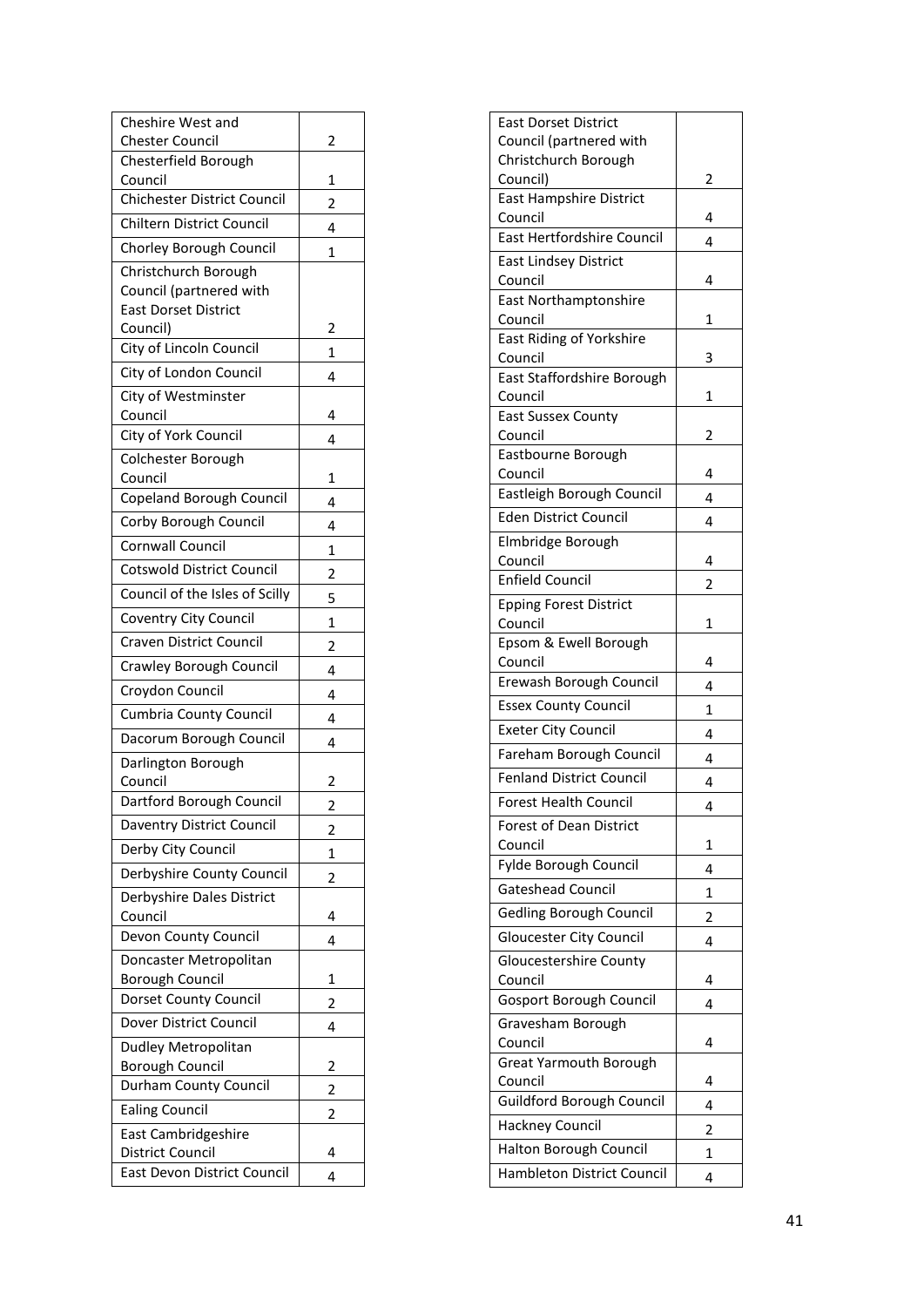| Cheshire West and<br><b>Chester Council</b>   | 2                       |
|-----------------------------------------------|-------------------------|
| Chesterfield Borough                          |                         |
| Council                                       | 1                       |
| <b>Chichester District Council</b>            | 2                       |
| <b>Chiltern District Council</b>              | 4                       |
| Chorley Borough Council                       | 1                       |
| Christchurch Borough                          |                         |
| Council (partnered with                       |                         |
| <b>East Dorset District</b><br>Council)       | 2                       |
| City of Lincoln Council                       | 1                       |
| City of London Council                        | 4                       |
| City of Westminster                           |                         |
| Council                                       | 4                       |
| City of York Council                          | 4                       |
| Colchester Borough                            |                         |
| Council                                       | 1                       |
| Copeland Borough Council                      | 4                       |
| Corby Borough Council                         | 4                       |
| <b>Cornwall Council</b>                       | 1                       |
| <b>Cotswold District Council</b>              | $\overline{c}$          |
| Council of the Isles of Scilly                | 5                       |
| Coventry City Council                         | 1                       |
| <b>Craven District Council</b>                | $\overline{c}$          |
| Crawley Borough Council                       | 4                       |
| Croydon Council                               | 4                       |
| <b>Cumbria County Council</b>                 | 4                       |
| Dacorum Borough Council                       | 4                       |
| Darlington Borough                            |                         |
| Council<br>Dartford Borough Council           | 2                       |
| Daventry District Council                     |                         |
| Derby City Council                            | 2                       |
| Derbyshire County Council                     | 1                       |
| Derbyshire Dales District                     | $\overline{2}$          |
| Council                                       | 4                       |
| Devon County Council                          | 4                       |
| Doncaster Metropolitan                        |                         |
| <b>Borough Council</b>                        | 1                       |
| Dorset County Council                         | $\overline{c}$          |
| Dover District Council                        | 4                       |
| Dudley Metropolitan<br><b>Borough Council</b> | 2                       |
| Durham County Council                         | $\overline{\mathbf{c}}$ |
| <b>Ealing Council</b>                         | 2                       |
| East Cambridgeshire                           |                         |
| District Council                              | 4                       |
| East Devon District Council                   | 4                       |

| <b>East Dorset District</b>             |                |
|-----------------------------------------|----------------|
| Council (partnered with                 |                |
| Christchurch Borough                    |                |
| Council)                                | 2              |
| East Hampshire District                 |                |
| Council                                 | 4              |
| East Hertfordshire Council              | 4              |
| <b>East Lindsey District</b><br>Council | 4              |
| <b>East Northamptonshire</b>            |                |
| Council                                 | 1              |
| East Riding of Yorkshire                |                |
| Council                                 | 3              |
| East Staffordshire Borough              |                |
| Council                                 | 1              |
| <b>East Sussex County</b><br>Council    | 2              |
| Eastbourne Borough                      |                |
| Council                                 | 4              |
| Eastleigh Borough Council               | 4              |
| Eden District Council                   |                |
|                                         | 4              |
| Elmbridge Borough<br>Council            | 4              |
| <b>Enfield Council</b>                  |                |
| <b>Epping Forest District</b>           | 2              |
| Council                                 | 1              |
| Epsom & Ewell Borough                   |                |
| Council                                 | 4              |
| Erewash Borough Council                 | 4              |
| <b>Essex County Council</b>             | 1              |
| <b>Exeter City Council</b>              | 4              |
| Fareham Borough Council                 | 4              |
| <b>Fenland District Council</b>         | 4              |
| Forest Health Council                   | 4              |
| Forest of Dean District                 |                |
| Council                                 | 1              |
| Fylde Borough Council                   | 4              |
| <b>Gateshead Council</b>                | 1              |
| <b>Gedling Borough Council</b>          | $\overline{2}$ |
| <b>Gloucester City Council</b>          | 4              |
| <b>Gloucestershire County</b>           |                |
| Council                                 | 4              |
| <b>Gosport Borough Council</b>          | 4              |
| Gravesham Borough                       |                |
| Council                                 | 4              |
| Great Yarmouth Borough<br>Council       | 4              |
| Guildford Borough Council               | 4              |
| Hackney Council                         | 2              |
| Halton Borough Council                  | 1              |
| Hambleton District Council              |                |
|                                         | 4              |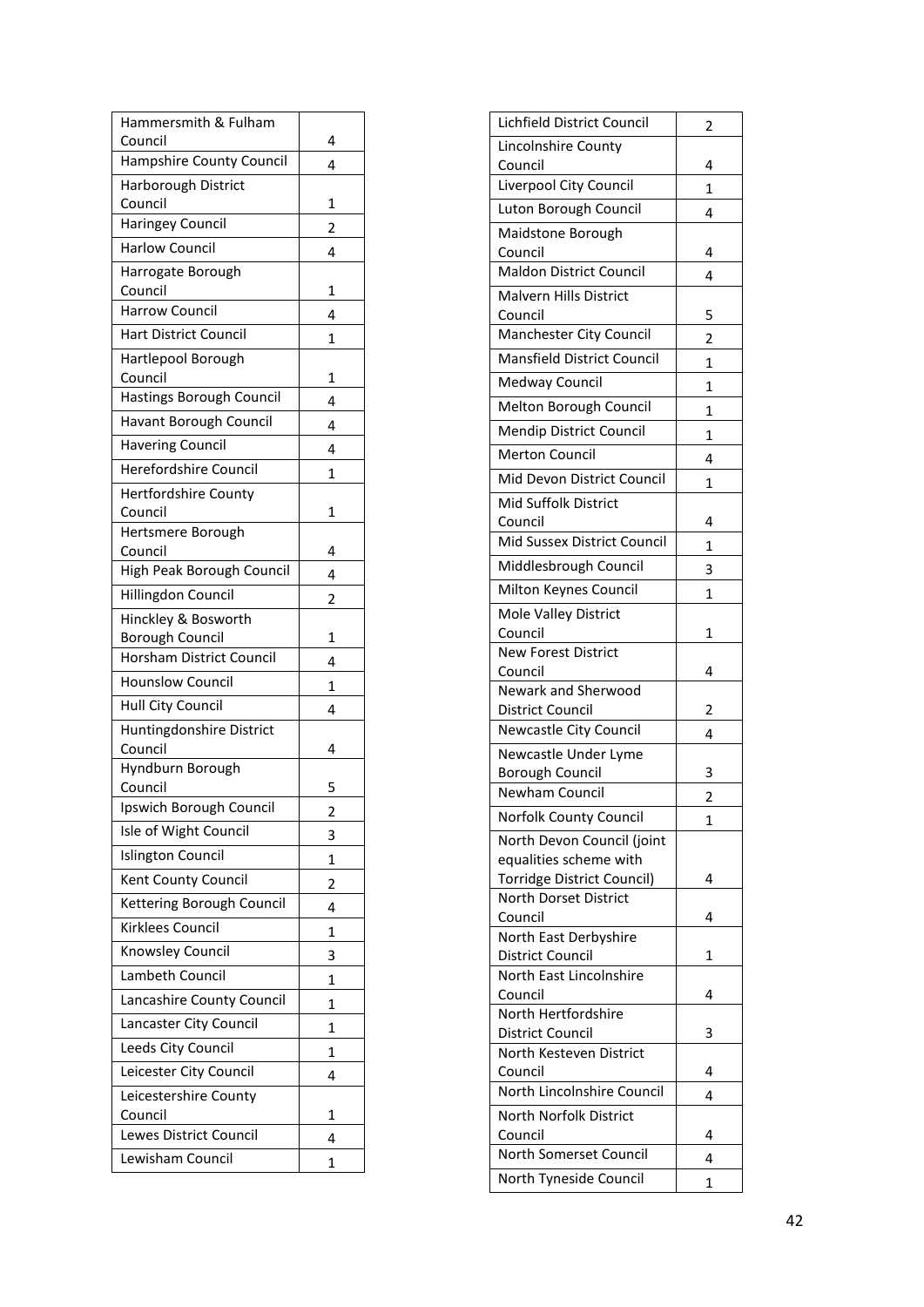| Hammersmith & Fulham<br>Council        | 4              |
|----------------------------------------|----------------|
| Hampshire County Council               | 4              |
| Harborough District                    |                |
| Council                                | 1              |
| <b>Haringey Council</b>                | $\overline{2}$ |
| <b>Harlow Council</b>                  | 4              |
| Harrogate Borough                      |                |
| Council                                | 1              |
| <b>Harrow Council</b>                  | 4              |
| <b>Hart District Council</b>           | 1              |
| Hartlepool Borough<br>Council          | 1              |
| Hastings Borough Council               | 4              |
| Havant Borough Council                 | 4              |
| <b>Havering Council</b>                | 4              |
| Herefordshire Council                  | 1              |
| <b>Hertfordshire County</b>            |                |
| Council                                | 1              |
| Hertsmere Borough                      |                |
| Council                                | 4              |
| High Peak Borough Council              | 4              |
| Hillingdon Council                     | $\overline{2}$ |
| Hinckley & Bosworth<br>Borough Council | 1              |
| <b>Horsham District Council</b>        | 4              |
| <b>Hounslow Council</b>                | 1              |
| Hull City Council                      | 4              |
| Huntingdonshire District               |                |
| Council                                | 4              |
| Hyndburn Borough                       |                |
| Council                                | 5              |
| Ipswich Borough Council                | 2              |
| Isle of Wight Council                  | 3              |
| <b>Islington Council</b>               | 1              |
| Kent County Council                    | 2              |
| Kettering Borough Council              | 4              |
| Kirklees Council                       | 1              |
| Knowsley Council                       | 3              |
| Lambeth Council                        | 1              |
| Lancashire County Council              | 1              |
| Lancaster City Council                 | 1              |
| Leeds City Council                     | 1              |
| Leicester City Council                 | 4              |
| Leicestershire County                  |                |
| Council<br>Lewes District Council      | 1              |
| Lewisham Council                       | 4              |
|                                        | 1              |

| Lichfield District Council                                 | 2            |
|------------------------------------------------------------|--------------|
| Lincolnshire County                                        |              |
| Council                                                    | 4            |
| Liverpool City Council                                     | 1            |
| Luton Borough Council                                      | 4            |
| Maidstone Borough                                          |              |
| Council                                                    | 4            |
| Maldon District Council                                    | 4            |
| <b>Malvern Hills District</b>                              |              |
| Council                                                    | 5            |
| Manchester City Council                                    | 2            |
| Mansfield District Council                                 | 1            |
| Medway Council                                             | 1            |
| Melton Borough Council                                     | 1            |
| Mendip District Council                                    | 1            |
| <b>Merton Council</b>                                      | 4            |
| Mid Devon District Council                                 | $\mathbf{1}$ |
| Mid Suffolk District                                       |              |
| Council                                                    | 4            |
| Mid Sussex District Council                                | $\mathbf{1}$ |
| Middlesbrough Council                                      | 3            |
| Milton Keynes Council                                      | 1            |
| Mole Valley District                                       |              |
| Council                                                    | 1            |
| <b>New Forest District</b>                                 |              |
|                                                            |              |
| Council                                                    | 4            |
| Newark and Sherwood                                        |              |
| <b>District Council</b>                                    | 2            |
| Newcastle City Council                                     | 4            |
| Newcastle Under Lyme                                       |              |
| <b>Borough Council</b>                                     | 3            |
| Newham Council                                             | 2            |
| Norfolk County Council                                     | 1            |
| North Devon Council (joint                                 |              |
| equalities scheme with                                     |              |
| Torridge District Council)<br><b>North Dorset District</b> | 4            |
| Council                                                    | 4            |
| North East Derbyshire                                      |              |
| <b>District Council</b>                                    | 1            |
| North East Lincolnshire                                    |              |
| Council                                                    | 4            |
| North Hertfordshire                                        |              |
| District Council                                           | 3            |
| North Kesteven District<br>Council                         | 4            |
| North Lincolnshire Council                                 | 4            |
| North Norfolk District                                     |              |
| Council                                                    | 4            |
| North Somerset Council                                     | 4            |
| North Tyneside Council                                     | 1            |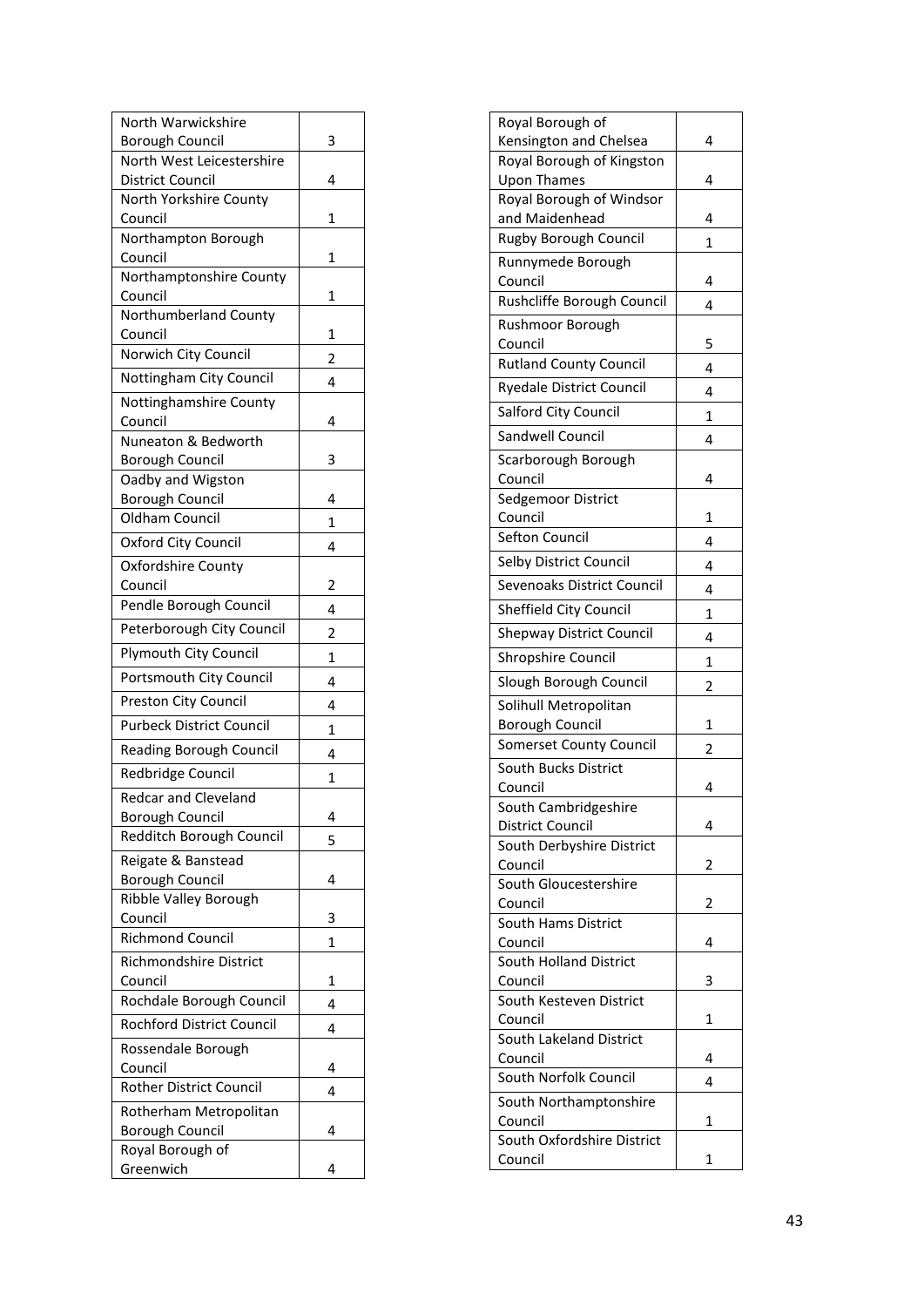| North Warwickshire                                  |   |
|-----------------------------------------------------|---|
| <b>Borough Council</b><br>North West Leicestershire | 3 |
| <b>District Council</b>                             | 4 |
| North Yorkshire County                              |   |
| Council                                             | 1 |
| Northampton Borough                                 |   |
| Council                                             | 1 |
| Northamptonshire County                             |   |
| Council                                             | 1 |
| Northumberland County<br>Council                    | 1 |
| Norwich City Council                                | 2 |
| Nottingham City Council                             | 4 |
| Nottinghamshire County                              |   |
| Council                                             | 4 |
| Nuneaton & Bedworth                                 |   |
| <b>Borough Council</b>                              | 3 |
| Oadby and Wigston                                   |   |
| Borough Council                                     | 4 |
| Oldham Council                                      | 1 |
| Oxford City Council                                 | 4 |
| Oxfordshire County                                  |   |
| Council                                             | 2 |
| Pendle Borough Council                              | 4 |
| Peterborough City Council                           | 2 |
| Plymouth City Council                               | 1 |
| Portsmouth City Council                             | 4 |
| Preston City Council                                | 4 |
| <b>Purbeck District Council</b>                     | 1 |
| Reading Borough Council                             | 4 |
| Redbridge Council                                   | 1 |
| <b>Redcar and Cleveland</b>                         |   |
| <b>Borough Council</b>                              | 4 |
| Redditch Borough Council                            | 5 |
| Reigate & Banstead                                  |   |
| <b>Borough Council</b>                              | 4 |
| Ribble Valley Borough                               |   |
| Council<br><b>Richmond Council</b>                  | 3 |
|                                                     | 1 |
| Richmondshire District<br>Council                   | 1 |
| Rochdale Borough Council                            | 4 |
| Rochford District Council                           | 4 |
| Rossendale Borough                                  |   |
| Council                                             | 4 |
| Rother District Council                             | 4 |
| Rotherham Metropolitan                              |   |
| <b>Borough Council</b>                              | 4 |
| Royal Borough of                                    |   |
| Greenwich                                           | 4 |

| Royal Borough of                                |   |
|-------------------------------------------------|---|
| Kensington and Chelsea                          | 4 |
| Royal Borough of Kingston                       |   |
| <b>Upon Thames</b>                              | 4 |
| Royal Borough of Windsor                        |   |
| and Maidenhead                                  | 4 |
| Rugby Borough Council                           | 1 |
| Runnymede Borough                               |   |
| Council<br>Rushcliffe Borough Council           | 4 |
|                                                 | 4 |
| Rushmoor Borough                                |   |
| Council<br><b>Rutland County Council</b>        | 5 |
|                                                 | 4 |
| <b>Ryedale District Council</b>                 | 4 |
| Salford City Council                            | 1 |
| Sandwell Council                                | 4 |
| Scarborough Borough                             |   |
| Council                                         | 4 |
| Sedgemoor District                              |   |
| Council                                         | 1 |
| Sefton Council                                  | 4 |
| Selby District Council                          | 4 |
| Sevenoaks District Council                      | 4 |
| Sheffield City Council                          | 1 |
| <b>Shepway District Council</b>                 | 4 |
| Shropshire Council                              | 1 |
| Slough Borough Council                          |   |
|                                                 | 2 |
| Solihull Metropolitan<br><b>Borough Council</b> | 1 |
| <b>Somerset County Council</b>                  |   |
| South Bucks District                            | 2 |
| Council                                         | 4 |
| South Cambridgeshire                            |   |
| District Council                                | 4 |
| South Derbyshire District                       |   |
| Council                                         | 2 |
| South Gloucestershire                           |   |
| Council                                         | 2 |
| South Hams District                             |   |
| Council<br>South Holland District               | 4 |
| Council                                         | 3 |
| South Kesteven District                         |   |
| Council                                         | 1 |
| South Lakeland District                         |   |
| Council                                         | 4 |
| South Norfolk Council                           | 4 |
| South Northamptonshire                          |   |
| Council                                         | 1 |
| South Oxfordshire District                      |   |
| Council                                         | 1 |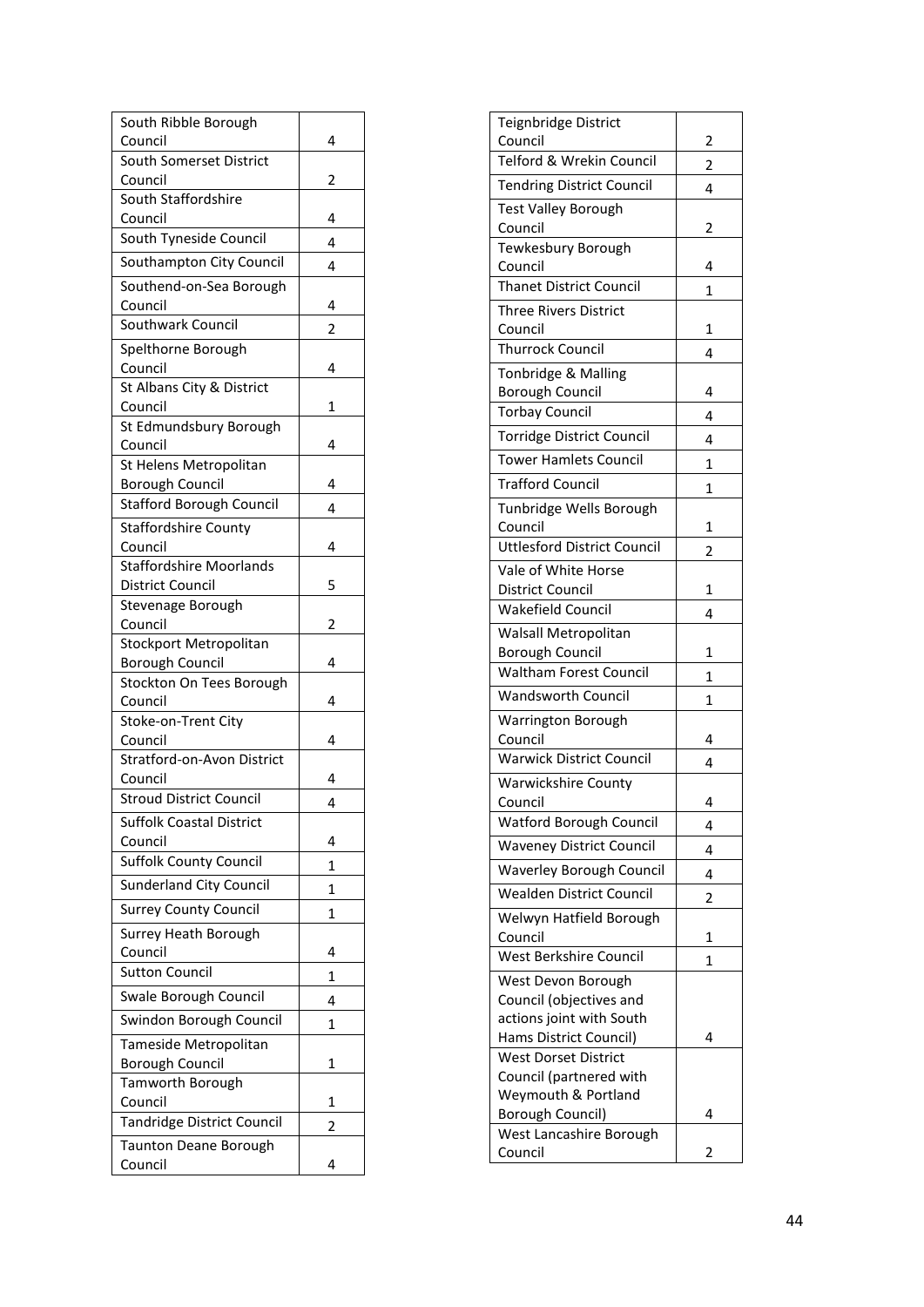| South Ribble Borough                                      |                |
|-----------------------------------------------------------|----------------|
| Council                                                   | 4              |
| South Somerset District<br>Council                        | 2              |
| South Staffordshire                                       |                |
| Council                                                   | 4              |
| South Tyneside Council                                    | 4              |
| Southampton City Council                                  | 4              |
| Southend-on-Sea Borough                                   |                |
| Council                                                   | 4              |
| Southwark Council                                         | $\overline{2}$ |
| Spelthorne Borough                                        |                |
| Council                                                   | 4              |
| St Albans City & District                                 |                |
| Council                                                   | 1              |
| St Edmundsbury Borough                                    |                |
| Council                                                   | 4              |
| St Helens Metropolitan                                    |                |
| <b>Borough Council</b>                                    | 4              |
| <b>Stafford Borough Council</b>                           | 4              |
| <b>Staffordshire County</b>                               |                |
| Council                                                   | 4              |
| <b>Staffordshire Moorlands</b><br><b>District Council</b> | 5              |
| Stevenage Borough                                         |                |
| Council                                                   | 2              |
| Stockport Metropolitan                                    |                |
| <b>Borough Council</b>                                    | 4              |
| Stockton On Tees Borough                                  |                |
| Council                                                   | 4              |
| Stoke-on-Trent City                                       |                |
| Council                                                   | 4              |
| Stratford-on-Avon District                                |                |
| Council                                                   | 4              |
| <b>Stroud District Council</b>                            | 4              |
| <b>Suffolk Coastal District</b>                           |                |
| Council                                                   | 4              |
| <b>Suffolk County Council</b>                             | 1              |
| <b>Sunderland City Council</b>                            | 1              |
| <b>Surrey County Council</b>                              | 1              |
| Surrey Heath Borough                                      |                |
| Council                                                   | 4              |
| <b>Sutton Council</b>                                     | 1              |
| Swale Borough Council                                     | 4              |
| Swindon Borough Council                                   | 1              |
| Tameside Metropolitan                                     |                |
| <b>Borough Council</b>                                    | 1              |
| Tamworth Borough                                          |                |
| Council                                                   | 1              |
| Tandridge District Council                                | 2              |
| Taunton Deane Borough                                     |                |
| Council                                                   | 4              |

| Teignbridge District<br>Council               | 2              |
|-----------------------------------------------|----------------|
| Telford & Wrekin Council                      |                |
| <b>Tendring District Council</b>              | 2<br>4         |
| <b>Test Valley Borough</b>                    |                |
| Council                                       | 2              |
| Tewkesbury Borough                            |                |
| Council                                       | 4              |
| <b>Thanet District Council</b>                | 1              |
| <b>Three Rivers District</b><br>Council       | 1              |
| <b>Thurrock Council</b>                       | 4              |
| Tonbridge & Malling                           |                |
| <b>Borough Council</b>                        | 4              |
| Torbay Council                                | 4              |
| Torridge District Council                     | 4              |
| <b>Tower Hamlets Council</b>                  | 1              |
| <b>Trafford Council</b>                       |                |
| Tunbridge Wells Borough                       | 1              |
| Council                                       | 1              |
| <b>Uttlesford District Council</b>            | $\overline{2}$ |
| Vale of White Horse                           |                |
| <b>District Council</b>                       | 1              |
| <b>Wakefield Council</b>                      | 4              |
| Walsall Metropolitan                          |                |
| <b>Borough Council</b>                        | 1              |
| <b>Waltham Forest Council</b>                 | 1              |
| <b>Wandsworth Council</b>                     | 1              |
| Warrington Borough                            |                |
| Council                                       | 4              |
| <b>Warwick District Council</b>               | 4              |
| <b>Warwickshire County</b>                    |                |
| Council                                       | 4              |
| <b>Watford Borough Council</b>                | 4              |
| <b>Waveney District Council</b>               | 4              |
| <b>Waverley Borough Council</b>               | 4              |
| <b>Wealden District Council</b>               | 2              |
| Welwyn Hatfield Borough                       |                |
| Council<br>West Berkshire Council             | 1              |
|                                               | 1              |
| West Devon Borough<br>Council (objectives and |                |
| actions joint with South                      |                |
| Hams District Council)                        | 4              |
| <b>West Dorset District</b>                   |                |
| Council (partnered with                       |                |
| Weymouth & Portland                           |                |
| Borough Council)                              | 4              |
| West Lancashire Borough                       |                |
| Council                                       | 2              |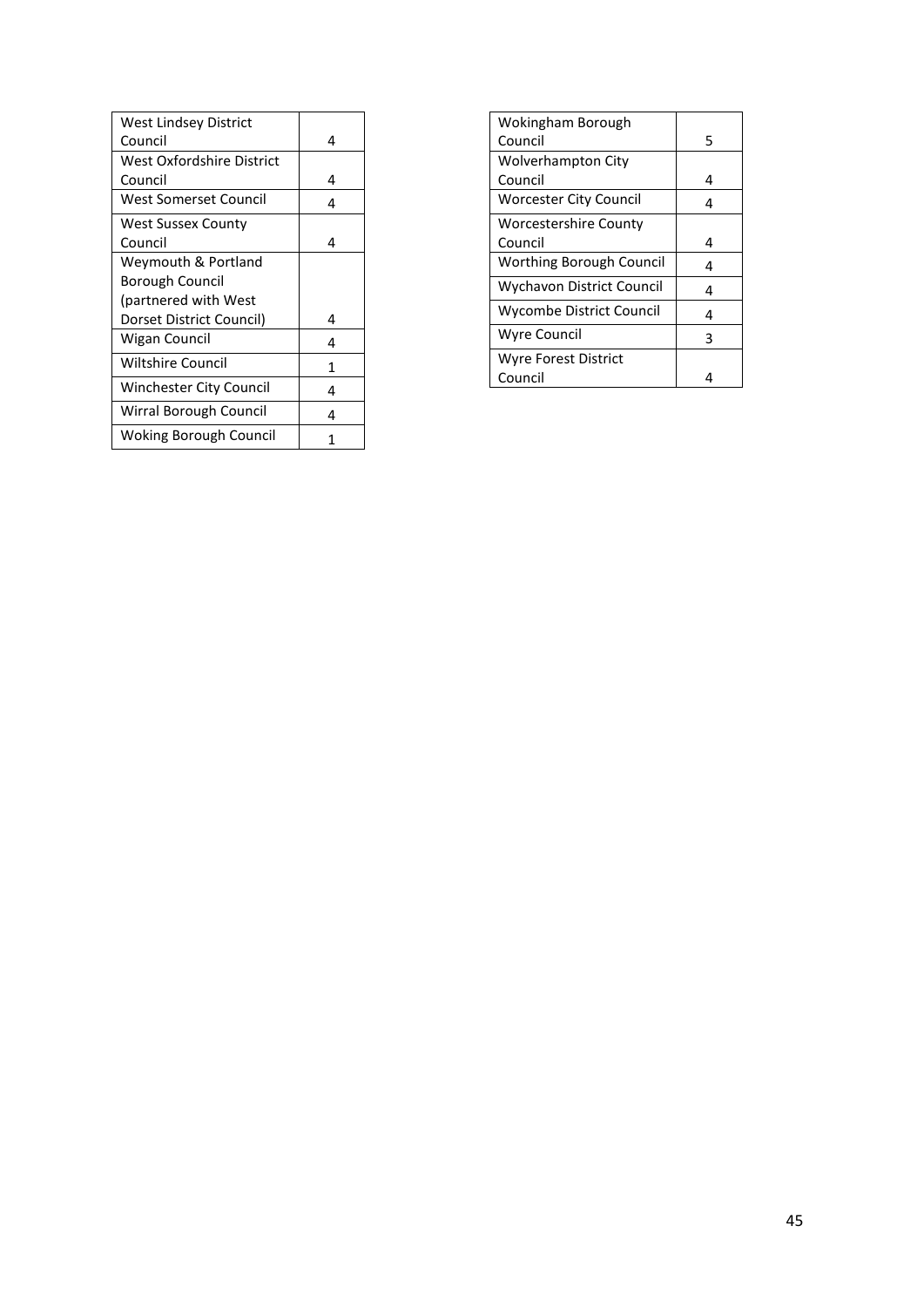| West Lindsey District     |   |
|---------------------------|---|
| Council                   | 4 |
| West Oxfordshire District |   |
| Council                   | 4 |
| West Somerset Council     | 4 |
| West Sussex County        |   |
| Council                   | 4 |
| Weymouth & Portland       |   |
| Borough Council           |   |
| (partnered with West)     |   |
| Dorset District Council)  | 4 |
| Wigan Council             | 4 |
| <b>Wiltshire Council</b>  | 1 |
| Winchester City Council   | 4 |
| Wirral Borough Council    | 4 |
| Woking Borough Council    |   |

| Wokingham Borough             |   |
|-------------------------------|---|
| Council                       | 5 |
| <b>Wolverhampton City</b>     |   |
| Council                       | 4 |
| <b>Worcester City Council</b> | 4 |
| <b>Worcestershire County</b>  |   |
| Council                       | 4 |
| Worthing Borough Council      | 4 |
| Wychavon District Council     | 4 |
| Wycombe District Council      | 4 |
| Wyre Council                  | 3 |
| Wyre Forest District          |   |
| Council                       |   |